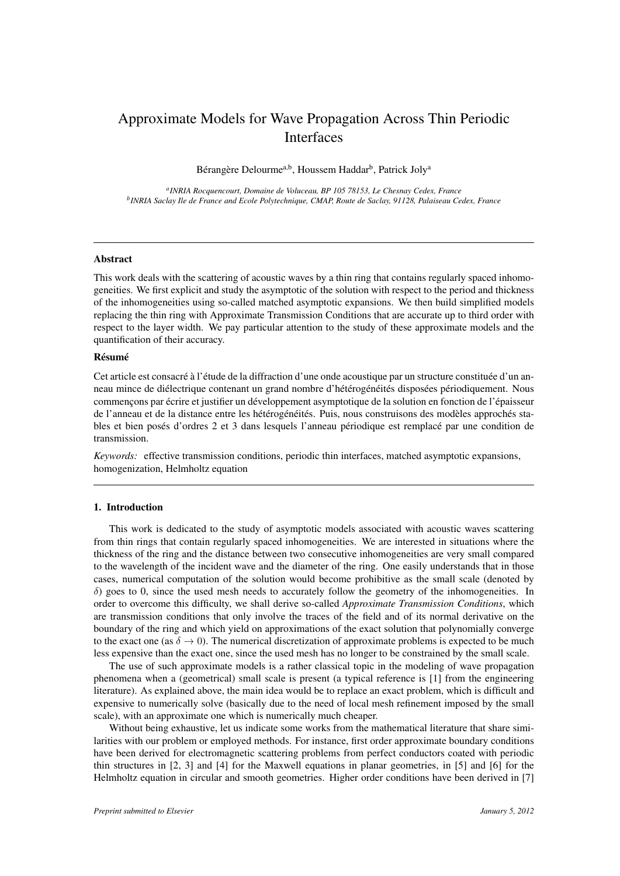# Approximate Models for Wave Propagation Across Thin Periodic Interfaces

Bérangère Delourme<sup>a,b</sup>, Houssem Haddar<sup>b</sup>, Patrick Joly<sup>a</sup>

*a INRIA Rocquencourt, Domaine de Voluceau, BP 105 78153, Le Chesnay Cedex, France b INRIA Saclay Ile de France and Ecole Polytechnique, CMAP, Route de Saclay, 91128, Palaiseau Cedex, France*

#### Abstract

This work deals with the scattering of acoustic waves by a thin ring that contains regularly spaced inhomogeneities. We first explicit and study the asymptotic of the solution with respect to the period and thickness of the inhomogeneities using so-called matched asymptotic expansions. We then build simplified models replacing the thin ring with Approximate Transmission Conditions that are accurate up to third order with respect to the layer width. We pay particular attention to the study of these approximate models and the quantification of their accuracy.

#### Résumé

Cet article est consacré à l'étude de la diffraction d'une onde acoustique par un structure constituée d'un anneau mince de diélectrique contenant un grand nombre d'hétérogénéités disposées périodiquement. Nous commençons par écrire et justifier un développement asymptotique de la solution en fonction de l'épaisseur de l'anneau et de la distance entre les hétérogénéités. Puis, nous construisons des modèles approchés stables et bien posés d'ordres 2 et 3 dans lesquels l'anneau périodique est remplacé par une condition de transmission.

*Keywords:* effective transmission conditions, periodic thin interfaces, matched asymptotic expansions, homogenization, Helmholtz equation

#### 1. Introduction

This work is dedicated to the study of asymptotic models associated with acoustic waves scattering from thin rings that contain regularly spaced inhomogeneities. We are interested in situations where the thickness of the ring and the distance between two consecutive inhomogeneities are very small compared to the wavelength of the incident wave and the diameter of the ring. One easily understands that in those cases, numerical computation of the solution would become prohibitive as the small scale (denoted by  $\delta$ ) goes to 0, since the used mesh needs to accurately follow the geometry of the inhomogeneities. In order to overcome this difficulty, we shall derive so-called *Approximate Transmission Conditions*, which are transmission conditions that only involve the traces of the field and of its normal derivative on the boundary of the ring and which yield on approximations of the exact solution that polynomially converge to the exact one (as  $\delta \to 0$ ). The numerical discretization of approximate problems is expected to be much less expensive than the exact one, since the used mesh has no longer to be constrained by the small scale.

The use of such approximate models is a rather classical topic in the modeling of wave propagation phenomena when a (geometrical) small scale is present (a typical reference is [1] from the engineering literature). As explained above, the main idea would be to replace an exact problem, which is difficult and expensive to numerically solve (basically due to the need of local mesh refinement imposed by the small scale), with an approximate one which is numerically much cheaper.

Without being exhaustive, let us indicate some works from the mathematical literature that share similarities with our problem or employed methods. For instance, first order approximate boundary conditions have been derived for electromagnetic scattering problems from perfect conductors coated with periodic thin structures in [2, 3] and [4] for the Maxwell equations in planar geometries, in [5] and [6] for the Helmholtz equation in circular and smooth geometries. Higher order conditions have been derived in [7]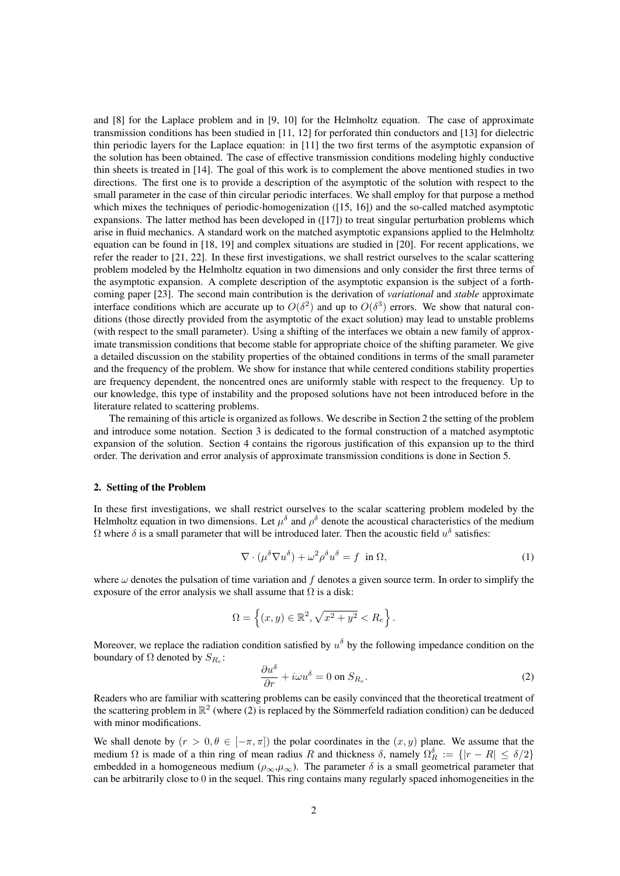and [8] for the Laplace problem and in [9, 10] for the Helmholtz equation. The case of approximate transmission conditions has been studied in [11, 12] for perforated thin conductors and [13] for dielectric thin periodic layers for the Laplace equation: in [11] the two first terms of the asymptotic expansion of the solution has been obtained. The case of effective transmission conditions modeling highly conductive thin sheets is treated in [14]. The goal of this work is to complement the above mentioned studies in two directions. The first one is to provide a description of the asymptotic of the solution with respect to the small parameter in the case of thin circular periodic interfaces. We shall employ for that purpose a method which mixes the techniques of periodic-homogenization ([15, 16]) and the so-called matched asymptotic expansions. The latter method has been developed in ([17]) to treat singular perturbation problems which arise in fluid mechanics. A standard work on the matched asymptotic expansions applied to the Helmholtz equation can be found in [18, 19] and complex situations are studied in [20]. For recent applications, we refer the reader to [21, 22]. In these first investigations, we shall restrict ourselves to the scalar scattering problem modeled by the Helmholtz equation in two dimensions and only consider the first three terms of the asymptotic expansion. A complete description of the asymptotic expansion is the subject of a forthcoming paper [23]. The second main contribution is the derivation of *variational* and *stable* approximate interface conditions which are accurate up to  $O(\delta^2)$  and up to  $O(\delta^3)$  errors. We show that natural conditions (those directly provided from the asymptotic of the exact solution) may lead to unstable problems (with respect to the small parameter). Using a shifting of the interfaces we obtain a new family of approximate transmission conditions that become stable for appropriate choice of the shifting parameter. We give a detailed discussion on the stability properties of the obtained conditions in terms of the small parameter and the frequency of the problem. We show for instance that while centered conditions stability properties are frequency dependent, the noncentred ones are uniformly stable with respect to the frequency. Up to our knowledge, this type of instability and the proposed solutions have not been introduced before in the literature related to scattering problems.

The remaining of this article is organized as follows. We describe in Section 2 the setting of the problem and introduce some notation. Section 3 is dedicated to the formal construction of a matched asymptotic expansion of the solution. Section 4 contains the rigorous justification of this expansion up to the third order. The derivation and error analysis of approximate transmission conditions is done in Section 5.

#### 2. Setting of the Problem

In these first investigations, we shall restrict ourselves to the scalar scattering problem modeled by the Helmholtz equation in two dimensions. Let  $\mu^{\delta}$  and  $\rho^{\delta}$  denote the acoustical characteristics of the medium  $\Omega$  where  $\delta$  is a small parameter that will be introduced later. Then the acoustic field  $u^{\delta}$  satisfies:

$$
\nabla \cdot (\mu^{\delta} \nabla u^{\delta}) + \omega^{2} \rho^{\delta} u^{\delta} = f \text{ in } \Omega,
$$
\n(1)

where  $\omega$  denotes the pulsation of time variation and f denotes a given source term. In order to simplify the exposure of the error analysis we shall assume that  $\Omega$  is a disk:

$$
\Omega = \left\{ (x, y) \in \mathbb{R}^2, \sqrt{x^2 + y^2} < R_e \right\}.
$$

Moreover, we replace the radiation condition satisfied by  $u^{\delta}$  by the following impedance condition on the boundary of  $\Omega$  denoted by  $S_{R_e}$ :

$$
\frac{\partial u^{\delta}}{\partial r} + i\omega u^{\delta} = 0 \text{ on } S_{R_e}.
$$
 (2)

Readers who are familiar with scattering problems can be easily convinced that the theoretical treatment of the scattering problem in  $\mathbb{R}^2$  (where (2) is replaced by the Sömmerfeld radiation condition) can be deduced with minor modifications.

We shall denote by  $(r > 0, \theta \in [-\pi, \pi])$  the polar coordinates in the  $(x, y)$  plane. We assume that the medium  $\Omega$  is made of a thin ring of mean radius R and thickness  $\delta$ , namely  $\Omega_R^{\delta} := \{|r - R| \leq \delta/2\}$ embedded in a homogeneous medium ( $\rho_{\infty},\mu_{\infty}$ ). The parameter  $\delta$  is a small geometrical parameter that can be arbitrarily close to 0 in the sequel. This ring contains many regularly spaced inhomogeneities in the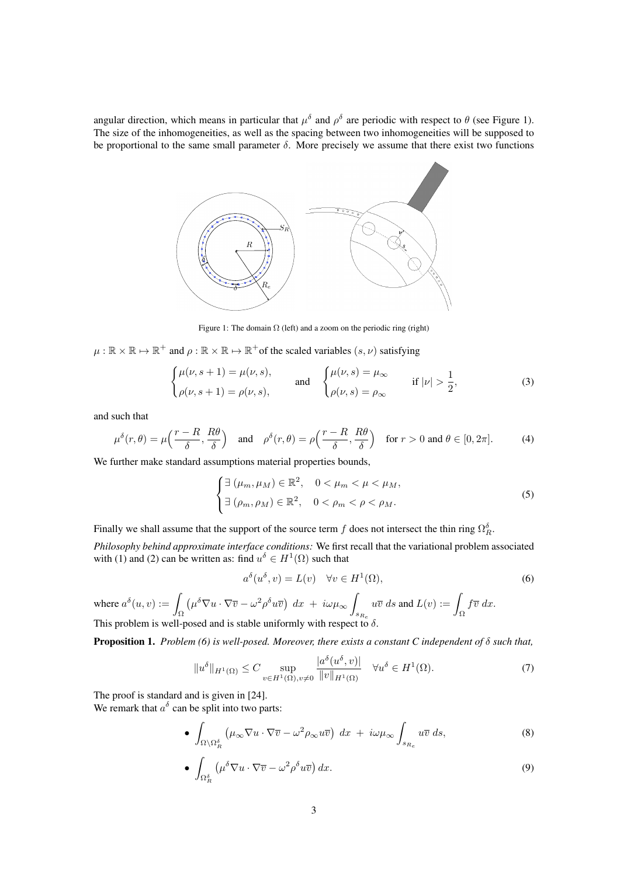angular direction, which means in particular that  $\mu^{\delta}$  and  $\rho^{\delta}$  are periodic with respect to  $\theta$  (see Figure 1). The size of the inhomogeneities, as well as the spacing between two inhomogeneities will be supposed to be proportional to the same small parameter  $\delta$ . More precisely we assume that there exist two functions



Figure 1: The domain  $\Omega$  (left) and a zoom on the periodic ring (right)

 $\mu : \mathbb{R} \times \mathbb{R} \mapsto \mathbb{R}^+$  and  $\rho : \mathbb{R} \times \mathbb{R} \mapsto \mathbb{R}^+$  of the scaled variables  $(s, \nu)$  satisfying

$$
\begin{cases}\n\mu(\nu, s+1) = \mu(\nu, s), \\
\rho(\nu, s+1) = \rho(\nu, s),\n\end{cases}\n\text{ and }\n\begin{cases}\n\mu(\nu, s) = \mu_{\infty} \\
\rho(\nu, s) = \rho_{\infty}\n\end{cases}\n\text{ if } |\nu| > \frac{1}{2},
$$
\n(3)

and such that

$$
\mu^{\delta}(r,\theta) = \mu\left(\frac{r-R}{\delta}, \frac{R\theta}{\delta}\right) \quad \text{and} \quad \rho^{\delta}(r,\theta) = \rho\left(\frac{r-R}{\delta}, \frac{R\theta}{\delta}\right) \quad \text{for } r > 0 \text{ and } \theta \in [0, 2\pi]. \tag{4}
$$

We further make standard assumptions material properties bounds,

$$
\begin{cases} \exists \ (\mu_m, \mu_M) \in \mathbb{R}^2, & 0 < \mu_m < \mu < \mu_M, \\ \exists \ (\rho_m, \rho_M) \in \mathbb{R}^2, & 0 < \rho_m < \rho < \rho_M. \end{cases} \tag{5}
$$

Finally we shall assume that the support of the source term f does not intersect the thin ring  $\Omega_R^{\delta}$ .

*Philosophy behind approximate interface conditions:* We first recall that the variational problem associated with (1) and (2) can be written as: find  $u^{\delta} \in H^1(\Omega)$  such that

$$
a^{\delta}(u^{\delta}, v) = L(v) \quad \forall v \in H^{1}(\Omega), \tag{6}
$$

where 
$$
a^{\delta}(u, v) := \int_{\Omega} \left( \mu^{\delta} \nabla u \cdot \nabla \overline{v} - \omega^2 \rho^{\delta} u \overline{v} \right) dx + i \omega \mu_{\infty} \int_{s_{R_e}} u \overline{v} ds
$$
 and  $L(v) := \int_{\Omega} f \overline{v} dx$ .  
This problem is well-posed and is stable uniformly with respect to  $\delta$ .

Proposition 1. *Problem (6) is well-posed. Moreover, there exists a constant C independent of* δ *such that,*

$$
||u^{\delta}||_{H^1(\Omega)} \leq C \sup_{v \in H^1(\Omega), v \neq 0} \frac{|a^{\delta}(u^{\delta}, v)|}{||v||_{H^1(\Omega)}} \quad \forall u^{\delta} \in H^1(\Omega). \tag{7}
$$

The proof is standard and is given in [24].

We remark that  $a^{\delta}$  can be split into two parts:

• 
$$
\int_{\Omega \setminus \Omega_R^{\delta}} \left( \mu_\infty \nabla u \cdot \nabla \overline{v} - \omega^2 \rho_\infty u \overline{v} \right) dx + i \omega \mu_\infty \int_{s_{R_e}} u \overline{v} ds,
$$
 (8)

• 
$$
\int_{\Omega_R^{\delta}} \left( \mu^{\delta} \nabla u \cdot \nabla \overline{v} - \omega^2 \rho^{\delta} u \overline{v} \right) dx.
$$
 (9)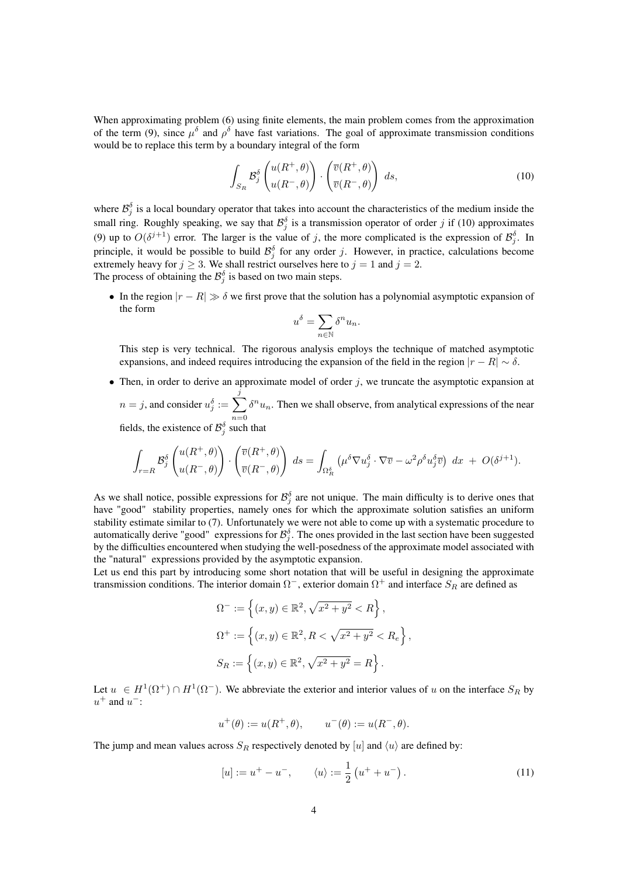When approximating problem (6) using finite elements, the main problem comes from the approximation of the term (9), since  $\mu^{\delta}$  and  $\rho^{\delta}$  have fast variations. The goal of approximate transmission conditions would be to replace this term by a boundary integral of the form

$$
\int_{S_R} \mathcal{B}_j^{\delta} \begin{pmatrix} u(R^+,\theta) \\ u(R^-,\theta) \end{pmatrix} \cdot \begin{pmatrix} \overline{v}(R^+,\theta) \\ \overline{v}(R^-,\theta) \end{pmatrix} ds,
$$
\n(10)

where  $B_j^{\delta}$  is a local boundary operator that takes into account the characteristics of the medium inside the small ring. Roughly speaking, we say that  $\mathcal{B}_{j}^{\delta}$  is a transmission operator of order j if (10) approximates (9) up to  $O(\delta^{j+1})$  error. The larger is the value of j, the more complicated is the expression of  $\mathcal{B}_j^{\delta}$ . In principle, it would be possible to build  $\mathcal{B}_{j}^{\delta}$  for any order j. However, in practice, calculations become extremely heavy for  $j \geq 3$ . We shall restrict ourselves here to  $j = 1$  and  $j = 2$ . The process of obtaining the  $\mathcal{B}_{j}^{\delta}$  is based on two main steps.

• In the region  $|r - R| \gg \delta$  we first prove that the solution has a polynomial asymptotic expansion of the form

$$
u^{\delta} = \sum_{n \in \mathbb{N}} \delta^n u_n.
$$

This step is very technical. The rigorous analysis employs the technique of matched asymptotic expansions, and indeed requires introducing the expansion of the field in the region  $|r - R| \sim \delta$ .

• Then, in order to derive an approximate model of order  $j$ , we truncate the asymptotic expansion at  $n = j$ , and consider  $u_j^{\delta} := \sum$ j  $n=0$  $\delta^n u_n$ . Then we shall observe, from analytical expressions of the near fields, the existence of  $\mathcal{B}_{j}^{\delta}$  such that

$$
\int_{r=R} \mathcal{B}^{\delta}_{j} \begin{pmatrix} u(R^+,\theta) \\ u(R^-,\theta) \end{pmatrix} \cdot \begin{pmatrix} \overline{v}(R^+,\theta) \\ \overline{v}(R^-,\theta) \end{pmatrix} ds = \int_{\Omega_R^{\delta}} \left( \mu^{\delta} \nabla u_j^{\delta} \cdot \nabla \overline{v} - \omega^2 \rho^{\delta} u_j^{\delta} \overline{v} \right) dx + O(\delta^{j+1}).
$$

As we shall notice, possible expressions for  $\mathcal{B}_j^{\delta}$  are not unique. The main difficulty is to derive ones that have "good" stability properties, namely ones for which the approximate solution satisfies an uniform stability estimate similar to (7). Unfortunately we were not able to come up with a systematic procedure to automatically derive "good" expressions for  $\mathcal{B}_{j}^{\delta}$ . The ones provided in the last section have been suggested by the difficulties encountered when studying the well-posedness of the approximate model associated with the "natural" expressions provided by the asymptotic expansion.

Let us end this part by introducing some short notation that will be useful in designing the approximate transmission conditions. The interior domain  $\Omega^-$ , exterior domain  $\Omega^+$  and interface  $S_R$  are defined as

$$
\Omega^{-} := \left\{ (x, y) \in \mathbb{R}^2, \sqrt{x^2 + y^2} < R \right\},\
$$
\n
$$
\Omega^{+} := \left\{ (x, y) \in \mathbb{R}^2, R < \sqrt{x^2 + y^2} < R_e \right\},\
$$
\n
$$
S_R := \left\{ (x, y) \in \mathbb{R}^2, \sqrt{x^2 + y^2} = R \right\}.
$$

Let  $u \in H^1(\Omega^+) \cap H^1(\Omega^-)$ . We abbreviate the exterior and interior values of u on the interface  $S_R$  by  $u^+$  and  $u^-$ :

$$
u^+(\theta) := u(R^+,\theta), \qquad u^-(\theta) := u(R^-,\theta).
$$

The jump and mean values across  $S_R$  respectively denoted by [u] and  $\langle u \rangle$  are defined by:

$$
[u] := u^{+} - u^{-}, \qquad \langle u \rangle := \frac{1}{2} \left( u^{+} + u^{-} \right). \tag{11}
$$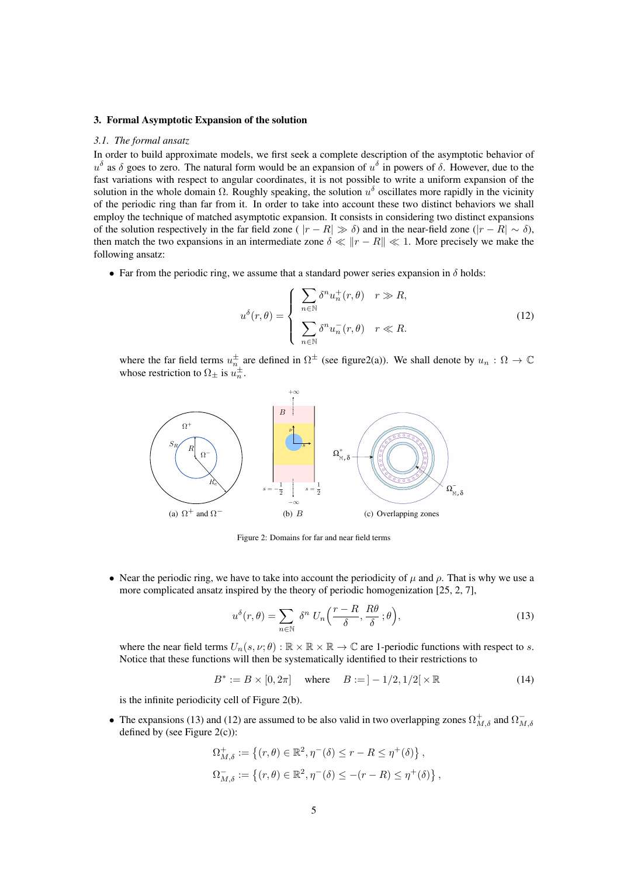## 3. Formal Asymptotic Expansion of the solution

#### *3.1. The formal ansatz*

In order to build approximate models, we first seek a complete description of the asymptotic behavior of  $u^{\delta}$  as  $\delta$  goes to zero. The natural form would be an expansion of  $u^{\delta}$  in powers of  $\delta$ . However, due to the fast variations with respect to angular coordinates, it is not possible to write a uniform expansion of the solution in the whole domain  $\Omega$ . Roughly speaking, the solution  $u^{\delta}$  oscillates more rapidly in the vicinity of the periodic ring than far from it. In order to take into account these two distinct behaviors we shall employ the technique of matched asymptotic expansion. It consists in considering two distinct expansions of the solution respectively in the far field zone ( $|r - R| \gg \delta$ ) and in the near-field zone  $(|r - R| \sim \delta)$ , then match the two expansions in an intermediate zone  $\delta \ll ||r - R|| \ll 1$ . More precisely we make the following ansatz:

• Far from the periodic ring, we assume that a standard power series expansion in  $\delta$  holds:

$$
u^{\delta}(r,\theta) = \begin{cases} \sum_{n \in \mathbb{N}} \delta^n u_n^+(r,\theta) & r \gg R, \\ \sum_{n \in \mathbb{N}} \delta^n u_n^-(r,\theta) & r \ll R. \end{cases}
$$
(12)

where the far field terms  $u_n^{\pm}$  are defined in  $\Omega^{\pm}$  (see figure2(a)). We shall denote by  $u_n : \Omega \to \mathbb{C}$ whose restriction to  $\Omega_{\pm}$  is  $u_n^{\pm}$ .



Figure 2: Domains for far and near field terms

• Near the periodic ring, we have to take into account the periodicity of  $\mu$  and  $\rho$ . That is why we use a more complicated ansatz inspired by the theory of periodic homogenization [25, 2, 7],

$$
u^{\delta}(r,\theta) = \sum_{n \in \mathbb{N}} \delta^n U_n\left(\frac{r-R}{\delta}, \frac{R\theta}{\delta}; \theta\right),\tag{13}
$$

where the near field terms  $U_n(s, \nu; \theta) : \mathbb{R} \times \mathbb{R} \times \mathbb{R} \to \mathbb{C}$  are 1-periodic functions with respect to s. Notice that these functions will then be systematically identified to their restrictions to

$$
B^* := B \times [0, 2\pi] \quad \text{where} \quad B := ]-1/2, 1/2[ \times \mathbb{R} \tag{14}
$$

is the infinite periodicity cell of Figure 2(b).

• The expansions (13) and (12) are assumed to be also valid in two overlapping zones  $\Omega_{M,\delta}^+$  and  $\Omega_{M,\delta}^$ defined by (see Figure  $2(c)$ ):

$$
\Omega_{M,\delta}^+ := \left\{ (r,\theta) \in \mathbb{R}^2, \eta^-(\delta) \le r - R \le \eta^+(\delta) \right\},\
$$
  

$$
\Omega_{M,\delta}^- := \left\{ (r,\theta) \in \mathbb{R}^2, \eta^-(\delta) \le -(r - R) \le \eta^+(\delta) \right\},\
$$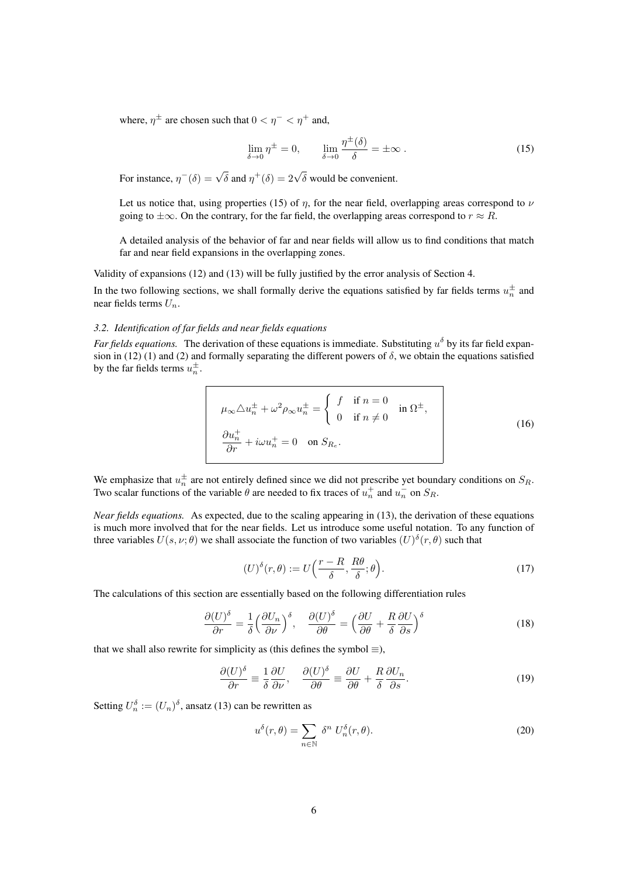where,  $\eta^{\pm}$  are chosen such that  $0 < \eta^{-} < \eta^{+}$  and,

$$
\lim_{\delta \to 0} \eta^{\pm} = 0, \qquad \lim_{\delta \to 0} \frac{\eta^{\pm}(\delta)}{\delta} = \pm \infty . \tag{15}
$$

For instance,  $\eta^-(\delta) = \sqrt{\delta}$  and  $\eta^+(\delta) = 2\sqrt{\delta}$  would be convenient.

Let us notice that, using properties (15) of  $\eta$ , for the near field, overlapping areas correspond to  $\nu$ going to  $\pm\infty$ . On the contrary, for the far field, the overlapping areas correspond to  $r \approx R$ .

A detailed analysis of the behavior of far and near fields will allow us to find conditions that match far and near field expansions in the overlapping zones.

Validity of expansions (12) and (13) will be fully justified by the error analysis of Section 4.

In the two following sections, we shall formally derive the equations satisfied by far fields terms  $u_n^{\pm}$  and near fields terms  $U_n$ .

## *3.2. Identification of far fields and near fields equations*

*Far fields equations.* The derivation of these equations is immediate. Substituting  $u^{\delta}$  by its far field expansion in (12) (1) and (2) and formally separating the different powers of  $\delta$ , we obtain the equations satisfied by the far fields terms  $u_n^{\pm}$ .

$$
\mu_{\infty} \Delta u_n^{\pm} + \omega^2 \rho_{\infty} u_n^{\pm} = \begin{cases} f & \text{if } n = 0 \\ 0 & \text{if } n \neq 0 \end{cases} \text{ in } \Omega^{\pm},
$$
  
\n
$$
\frac{\partial u_n^+}{\partial r} + i\omega u_n^+ = 0 \text{ on } S_{R_e}.
$$
\n(16)

We emphasize that  $u_n^{\pm}$  are not entirely defined since we did not prescribe yet boundary conditions on  $S_R$ . Two scalar functions of the variable  $\theta$  are needed to fix traces of  $u_n^+$  and  $u_n^-$  on  $S_R$ .

*Near fields equations.* As expected, due to the scaling appearing in (13), the derivation of these equations is much more involved that for the near fields. Let us introduce some useful notation. To any function of three variables  $U(s, \nu; \theta)$  we shall associate the function of two variables  $(U)^{\delta}(r, \theta)$  such that

$$
(U)^{\delta}(r,\theta) := U\left(\frac{r-R}{\delta}, \frac{R\theta}{\delta}; \theta\right). \tag{17}
$$

The calculations of this section are essentially based on the following differentiation rules

$$
\frac{\partial (U)^{\delta}}{\partial r} = \frac{1}{\delta} \left( \frac{\partial U_n}{\partial \nu} \right)^{\delta}, \quad \frac{\partial (U)^{\delta}}{\partial \theta} = \left( \frac{\partial U}{\partial \theta} + \frac{R}{\delta} \frac{\partial U}{\partial s} \right)^{\delta} \tag{18}
$$

that we shall also rewrite for simplicity as (this defines the symbol  $\equiv$ ),

$$
\frac{\partial (U)^{\delta}}{\partial r} \equiv \frac{1}{\delta} \frac{\partial U}{\partial \nu}, \quad \frac{\partial (U)^{\delta}}{\partial \theta} \equiv \frac{\partial U}{\partial \theta} + \frac{R}{\delta} \frac{\partial U_n}{\partial s}.
$$
\n(19)

Setting  $U_n^{\delta} := (U_n)^{\delta}$ , ansatz (13) can be rewritten as

$$
u^{\delta}(r,\theta) = \sum_{n \in \mathbb{N}} \delta^n U_n^{\delta}(r,\theta).
$$
 (20)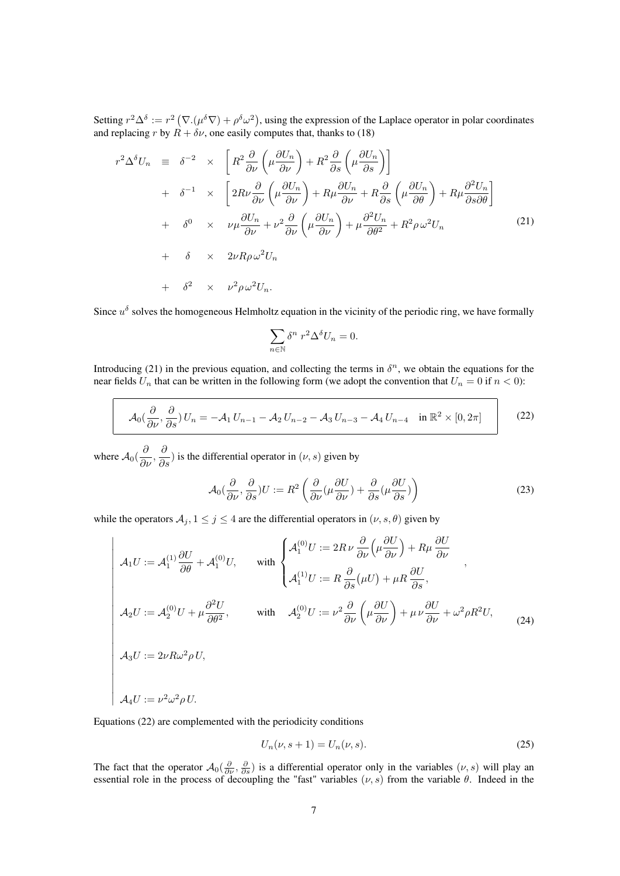Setting  $r^2\Delta^{\delta} := r^2 (\nabla \cdot (\mu^{\delta} \nabla) + \rho^{\delta} \omega^2)$ , using the expression of the Laplace operator in polar coordinates and replacing r by  $R + \delta \nu$ , one easily computes that, thanks to (18)

$$
r^{2} \Delta^{\delta} U_{n} = \delta^{-2} \times \left[ R^{2} \frac{\partial}{\partial \nu} \left( \mu \frac{\partial U_{n}}{\partial \nu} \right) + R^{2} \frac{\partial}{\partial s} \left( \mu \frac{\partial U_{n}}{\partial s} \right) \right]
$$
  
+  $\delta^{-1} \times \left[ 2R\nu \frac{\partial}{\partial \nu} \left( \mu \frac{\partial U_{n}}{\partial \nu} \right) + R\mu \frac{\partial U_{n}}{\partial \nu} + R \frac{\partial}{\partial s} \left( \mu \frac{\partial U_{n}}{\partial \theta} \right) + R\mu \frac{\partial^{2} U_{n}}{\partial s \partial \theta} \right]$   
+  $\delta^{0} \times \nu \mu \frac{\partial U_{n}}{\partial \nu} + \nu^{2} \frac{\partial}{\partial \nu} \left( \mu \frac{\partial U_{n}}{\partial \nu} \right) + \mu \frac{\partial^{2} U_{n}}{\partial \theta^{2}} + R^{2} \rho \omega^{2} U_{n}$   
+  $\delta \times 2\nu R\rho \omega^{2} U_{n}$  (21)  
+  $\delta^{2} \times \nu^{2} \rho \omega^{2} U_{n}$ .

Since  $u^{\delta}$  solves the homogeneous Helmholtz equation in the vicinity of the periodic ring, we have formally

$$
\sum_{n\in\mathbb{N}}\delta^n\ r^2\Delta^\delta U_n=0.
$$

Introducing (21) in the previous equation, and collecting the terms in  $\delta^n$ , we obtain the equations for the near fields  $U_n$  that can be written in the following form (we adopt the convention that  $U_n = 0$  if  $n < 0$ ):

$$
\mathcal{A}_0\left(\frac{\partial}{\partial \nu}, \frac{\partial}{\partial s}\right)U_n = -\mathcal{A}_1 U_{n-1} - \mathcal{A}_2 U_{n-2} - \mathcal{A}_3 U_{n-3} - \mathcal{A}_4 U_{n-4} \quad \text{in } \mathbb{R}^2 \times [0, 2\pi]
$$
 (22)

where  $\mathcal{A}_0(\frac{\partial}{\partial \nu}, \frac{\partial}{\partial s})$  is the differential operator in  $(\nu, s)$  given by

$$
\mathcal{A}_0(\frac{\partial}{\partial \nu}, \frac{\partial}{\partial s}) U := R^2 \left( \frac{\partial}{\partial \nu} (\mu \frac{\partial U}{\partial \nu}) + \frac{\partial}{\partial s} (\mu \frac{\partial U}{\partial s}) \right)
$$
(23)

while the operators  $A_j$ ,  $1 \leq j \leq 4$  are the differential operators in  $(\nu, s, \theta)$  given by

$$
\mathcal{A}_1 U := \mathcal{A}_1^{(1)} \frac{\partial U}{\partial \theta} + \mathcal{A}_1^{(0)} U, \quad \text{with } \begin{cases} \mathcal{A}_1^{(0)} U := 2R \nu \frac{\partial}{\partial \nu} \left( \mu \frac{\partial U}{\partial \nu} \right) + R \mu \frac{\partial U}{\partial \nu} \\ \mathcal{A}_1^{(1)} U := R \frac{\partial}{\partial s} (\mu U) + \mu R \frac{\partial U}{\partial s}, \end{cases}
$$
\n
$$
\mathcal{A}_2 U := \mathcal{A}_2^{(0)} U + \mu \frac{\partial^2 U}{\partial \theta^2}, \quad \text{with } \mathcal{A}_2^{(0)} U := \nu^2 \frac{\partial}{\partial \nu} \left( \mu \frac{\partial U}{\partial \nu} \right) + \mu \nu \frac{\partial U}{\partial \nu} + \omega^2 \rho R^2 U,
$$
\n
$$
\mathcal{A}_3 U := 2\nu R \omega^2 \rho U,
$$
\n
$$
\mathcal{A}_4 U := \nu^2 \omega^2 \rho U.
$$
\n(24)

Equations (22) are complemented with the periodicity conditions

$$
U_n(\nu, s+1) = U_n(\nu, s).
$$
 (25)

The fact that the operator  $\mathcal{A}_0(\frac{\partial}{\partial \nu}, \frac{\partial}{\partial s})$  is a differential operator only in the variables  $(\nu, s)$  will play an essential role in the process of decoupling the "fast" variables  $(\nu, s)$  from the variable  $\theta$ . Indeed in the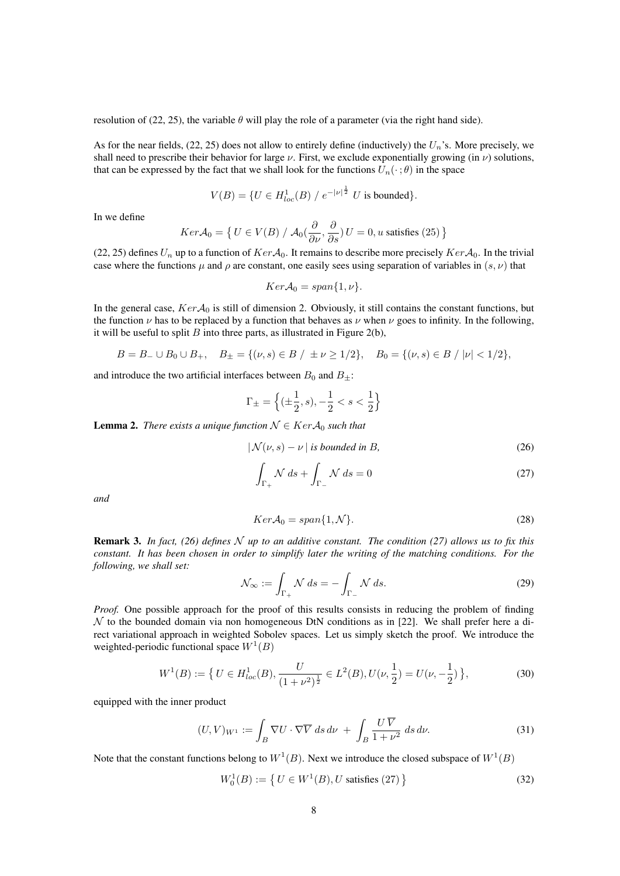resolution of (22, 25), the variable  $\theta$  will play the role of a parameter (via the right hand side).

As for the near fields,  $(22, 25)$  does not allow to entirely define (inductively) the  $U_n$ 's. More precisely, we shall need to prescribe their behavior for large  $\nu$ . First, we exclude exponentially growing (in  $\nu$ ) solutions, that can be expressed by the fact that we shall look for the functions  $U_n(\cdot; \theta)$  in the space

$$
V(B) = \{ U \in H_{loc}^1(B) / e^{-|\nu|^{\frac{1}{2}}} U \text{ is bounded} \}.
$$

In we define

$$
Ker \mathcal{A}_0 = \left\{ U \in V(B) / \mathcal{A}_0(\frac{\partial}{\partial \nu}, \frac{\partial}{\partial s}) U = 0, u \text{ satisfies (25)} \right\}
$$

(22, 25) defines  $U_n$  up to a function of  $Ker\mathcal{A}_0$ . It remains to describe more precisely  $Ker\mathcal{A}_0$ . In the trivial case where the functions  $\mu$  and  $\rho$  are constant, one easily sees using separation of variables in  $(s, \nu)$  that

$$
Ker \mathcal{A}_0 = span\{1, \nu\}.
$$

In the general case,  $Ker\mathcal{A}_0$  is still of dimension 2. Obviously, it still contains the constant functions, but the function  $\nu$  has to be replaced by a function that behaves as  $\nu$  when  $\nu$  goes to infinity. In the following, it will be useful to split  $B$  into three parts, as illustrated in Figure 2(b),

$$
B = B_- \cup B_0 \cup B_+, \quad B_{\pm} = \{(\nu, s) \in B \ / \ \pm \nu \ge 1/2\}, \quad B_0 = \{(\nu, s) \in B \ / \ |\nu| < 1/2\},
$$

and introduce the two artificial interfaces between  $B_0$  and  $B_{\pm}$ :

$$
\Gamma_{\pm} = \left\{ (\pm \frac{1}{2}, s), -\frac{1}{2} < s < \frac{1}{2} \right\}
$$

**Lemma 2.** *There exists a unique function*  $N \in Ker A_0$  *such that* 

$$
|\mathcal{N}(\nu, s) - \nu| \text{ is bounded in } B,
$$
\n(26)

$$
\int_{\Gamma_+} \mathcal{N} \, ds + \int_{\Gamma_-} \mathcal{N} \, ds = 0 \tag{27}
$$

*and*

$$
Ker \mathcal{A}_0 = span\{1, \mathcal{N}\}.
$$
\n<sup>(28)</sup>

Remark 3. *In fact, (26) defines* N *up to an additive constant. The condition (27) allows us to fix this constant. It has been chosen in order to simplify later the writing of the matching conditions. For the following, we shall set:*

$$
\mathcal{N}_{\infty} := \int_{\Gamma_+} \mathcal{N} \, ds = -\int_{\Gamma_-} \mathcal{N} \, ds. \tag{29}
$$

*Proof.* One possible approach for the proof of this results consists in reducing the problem of finding  $\mathcal N$  to the bounded domain via non homogeneous DtN conditions as in [22]. We shall prefer here a direct variational approach in weighted Sobolev spaces. Let us simply sketch the proof. We introduce the weighted-periodic functional space  $W^1(B)$ 

$$
W^{1}(B) := \left\{ U \in H_{loc}^{1}(B), \frac{U}{(1+\nu^{2})^{\frac{1}{2}}} \in L^{2}(B), U(\nu, \frac{1}{2}) = U(\nu, -\frac{1}{2}) \right\},
$$
\n(30)

equipped with the inner product

$$
(U,V)_{W^1} := \int_B \nabla U \cdot \nabla \overline{V} \, ds \, d\nu + \int_B \frac{U \, \overline{V}}{1 + \nu^2} \, ds \, d\nu. \tag{31}
$$

Note that the constant functions belong to  $W^1(B)$ . Next we introduce the closed subspace of  $W^1(B)$ 

$$
W_0^1(B) := \left\{ U \in W^1(B), U \text{ satisfies (27)} \right\}
$$
 (32)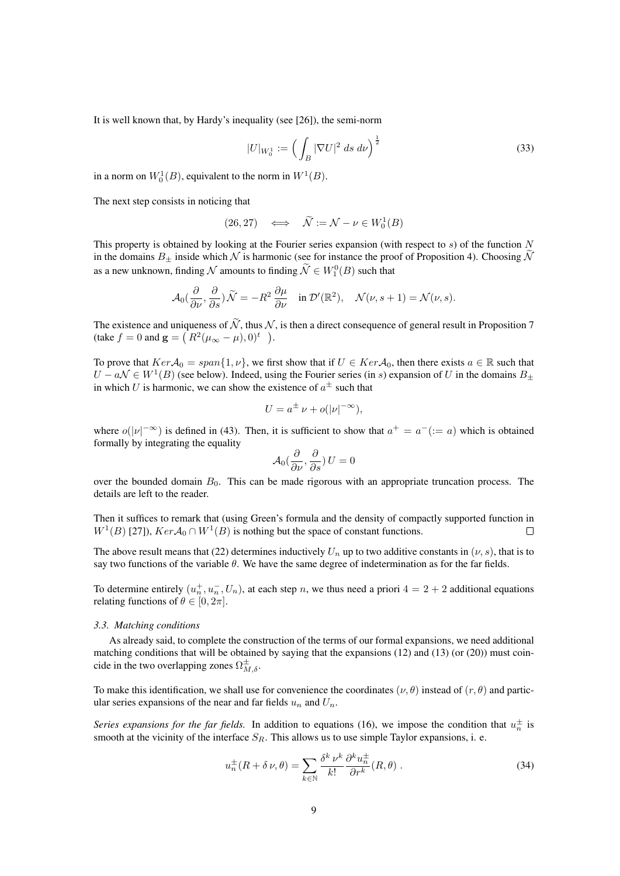It is well known that, by Hardy's inequality (see [26]), the semi-norm

$$
|U|_{W_0^1} := \left(\int_B |\nabla U|^2 \, ds \, d\nu\right)^{\frac{1}{2}} \tag{33}
$$

in a norm on  $W_0^1(B)$ , equivalent to the norm in  $W^1(B)$ .

The next step consists in noticing that

$$
(26, 27) \quad \Longleftrightarrow \quad \widetilde{\mathcal{N}} := \mathcal{N} - \nu \in W_0^1(B)
$$

This property is obtained by looking at the Fourier series expansion (with respect to  $s$ ) of the function  $N$ in the domains  $B_{\pm}$  inside which N is harmonic (see for instance the proof of Proposition 4). Choosing  $\tilde{N}$ as a new unknown, finding  $\mathcal N$  amounts to finding  $\tilde{\mathcal N} \in W_1^0(B)$  such that

$$
\mathcal{A}_0(\frac{\partial}{\partial \nu}, \frac{\partial}{\partial s})\widetilde{\mathcal{N}} = -R^2 \frac{\partial \mu}{\partial \nu} \quad \text{in } \mathcal{D}'(\mathbb{R}^2), \quad \mathcal{N}(\nu, s+1) = \mathcal{N}(\nu, s).
$$

The existence and uniqueness of  $\widetilde{\mathcal{N}}$ , thus  $\mathcal{N}$ , is then a direct consequence of general result in Proposition 7 (take  $f = 0$  and  $g = (R^2(\mu_\infty - \mu), 0)^t$ ).

To prove that  $Ker \mathcal{A}_0 = span\{1, \nu\}$ , we first show that if  $U \in Ker \mathcal{A}_0$ , then there exists  $a \in \mathbb{R}$  such that  $U - a\mathcal{N} \in W^1(B)$  (see below). Indeed, using the Fourier series (in s) expansion of U in the domains  $B_{\pm}$ in which U is harmonic, we can show the existence of  $a^{\pm}$  such that

$$
U = a^{\pm} \nu + o(|\nu|^{-\infty}),
$$

where  $o(|\nu|^{-\infty})$  is defined in (43). Then, it is sufficient to show that  $a^+ = a^- (= a)$  which is obtained formally by integrating the equality

$$
\mathcal{A}_0(\frac{\partial}{\partial \nu}, \frac{\partial}{\partial s}) U = 0
$$

over the bounded domain  $B_0$ . This can be made rigorous with an appropriate truncation process. The details are left to the reader.

Then it suffices to remark that (using Green's formula and the density of compactly supported function in  $W^1(B)$  [27]),  $Ker \mathcal{A}_0 \cap W^1(B)$  is nothing but the space of constant functions.

The above result means that (22) determines inductively  $U_n$  up to two additive constants in  $(\nu, s)$ , that is to say two functions of the variable  $\theta$ . We have the same degree of indetermination as for the far fields.

To determine entirely  $(u_n^+, u_n^-, U_n)$ , at each step n, we thus need a priori  $4 = 2 + 2$  additional equations relating functions of  $\theta \in [0, 2\pi]$ .

#### *3.3. Matching conditions*

As already said, to complete the construction of the terms of our formal expansions, we need additional matching conditions that will be obtained by saying that the expansions (12) and (13) (or (20)) must coincide in the two overlapping zones  $\Omega_{M,\delta}^{\pm}$ .

To make this identification, we shall use for convenience the coordinates ( $\nu, \theta$ ) instead of (r,  $\theta$ ) and particular series expansions of the near and far fields  $u_n$  and  $U_n$ .

*Series expansions for the far fields.* In addition to equations (16), we impose the condition that  $u_n^{\pm}$  is smooth at the vicinity of the interface  $S_R$ . This allows us to use simple Taylor expansions, i. e.

$$
u_n^{\pm}(R+\delta \nu,\theta) = \sum_{k \in \mathbb{N}} \frac{\delta^k \nu^k}{k!} \frac{\partial^k u_n^{\pm}}{\partial r^k}(R,\theta) \,. \tag{34}
$$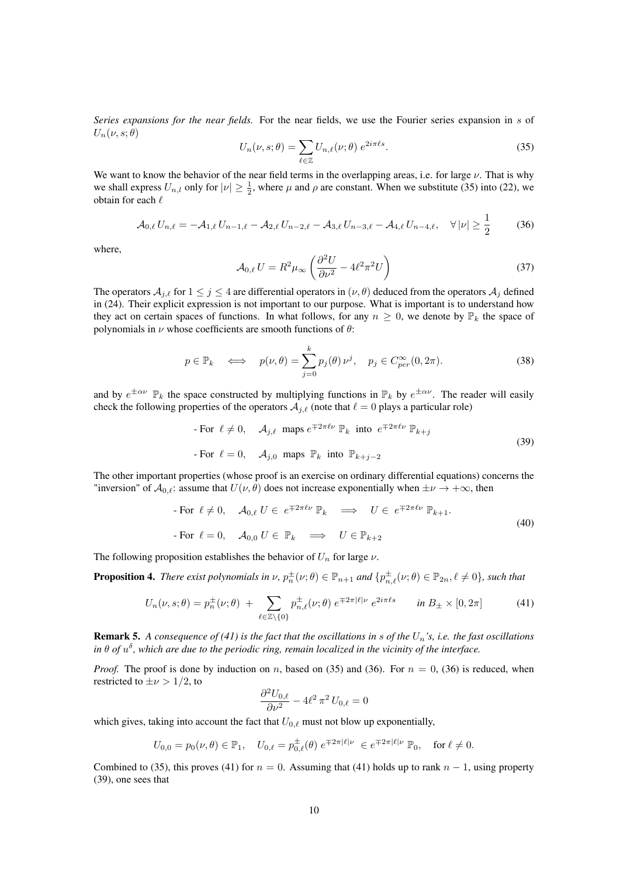*Series expansions for the near fields.* For the near fields, we use the Fourier series expansion in s of  $U_n(\nu, s; \theta)$ 

$$
U_n(\nu, s; \theta) = \sum_{\ell \in \mathbb{Z}} U_{n,\ell}(\nu; \theta) e^{2i\pi \ell s}.
$$
 (35)

We want to know the behavior of the near field terms in the overlapping areas, i.e. for large  $\nu$ . That is why we shall express  $U_{n,l}$  only for  $|\nu| \geq \frac{1}{2}$ , where  $\mu$  and  $\rho$  are constant. When we substitute (35) into (22), we obtain for each  $\ell$ 

$$
\mathcal{A}_{0,\ell} U_{n,\ell} = -\mathcal{A}_{1,\ell} U_{n-1,\ell} - \mathcal{A}_{2,\ell} U_{n-2,\ell} - \mathcal{A}_{3,\ell} U_{n-3,\ell} - \mathcal{A}_{4,\ell} U_{n-4,\ell}, \quad \forall |\nu| \ge \frac{1}{2}
$$
(36)

where,

$$
\mathcal{A}_{0,\ell} U = R^2 \mu_{\infty} \left( \frac{\partial^2 U}{\partial \nu^2} - 4\ell^2 \pi^2 U \right) \tag{37}
$$

The operators  $A_{i,\ell}$  for  $1 \leq j \leq 4$  are differential operators in  $(\nu, \theta)$  deduced from the operators  $A_i$  defined in (24). Their explicit expression is not important to our purpose. What is important is to understand how they act on certain spaces of functions. In what follows, for any  $n \geq 0$ , we denote by  $\mathbb{P}_k$  the space of polynomials in  $\nu$  whose coefficients are smooth functions of  $\theta$ :

$$
p \in \mathbb{P}_k \quad \Longleftrightarrow \quad p(\nu, \theta) = \sum_{j=0}^k p_j(\theta) \, \nu^j, \quad p_j \in C_{per}^{\infty}(0, 2\pi). \tag{38}
$$

and by  $e^{\pm \alpha \nu}$   $\mathbb{P}_k$  the space constructed by multiplying functions in  $\mathbb{P}_k$  by  $e^{\pm \alpha \nu}$ . The reader will easily check the following properties of the operators  $A_{i,\ell}$  (note that  $\ell = 0$  plays a particular role)

For 
$$
\ell \neq 0
$$
,  $\mathcal{A}_{j,\ell}$  maps  $e^{\mp 2\pi \ell \nu} \mathbb{P}_k$  into  $e^{\mp 2\pi \ell \nu} \mathbb{P}_{k+j}$   
\n- For  $\ell = 0$ ,  $\mathcal{A}_{j,0}$  maps  $\mathbb{P}_k$  into  $\mathbb{P}_{k+j-2}$  (39)

The other important properties (whose proof is an exercise on ordinary differential equations) concerns the "inversion" of  $\mathcal{A}_{0,\ell}$ : assume that  $U(\nu, \theta)$  does not increase exponentially when  $\pm \nu \to +\infty$ , then

- For 
$$
\ell \neq 0
$$
,  $A_{0,\ell} U \in e^{\mp 2\pi \ell \nu} \mathbb{P}_k \implies U \in e^{\mp 2\pi \ell \nu} \mathbb{P}_{k+1}$ .  
\n- For  $\ell = 0$ ,  $A_{0,0} U \in \mathbb{P}_k \implies U \in \mathbb{P}_{k+2}$  (40)

The following proposition establishes the behavior of  $U_n$  for large  $\nu$ .

**Proposition 4.** *There exist polynomials in*  $\nu$ *,*  $p_n^{\pm}(\nu;\theta) \in \mathbb{P}_{n+1}$  *and*  $\{p_{n,\ell}^{\pm}(\nu;\theta) \in \mathbb{P}_{2n}, \ell \neq 0\}$ *, such that* 

$$
U_n(\nu, s; \theta) = p_n^{\pm}(\nu; \theta) + \sum_{\ell \in \mathbb{Z} \setminus \{0\}} p_{n,\ell}^{\pm}(\nu; \theta) e^{\mp 2\pi |\ell| \nu} e^{2i\pi \ell s} \quad in \ B_{\pm} \times [0, 2\pi]
$$
 (41)

**Remark 5.** A consequence of (41) is the fact that the oscillations in s of the  $U_n$ 's, i.e. the fast oscillations in  $\theta$  of  $u^{\delta}$ , which are due to the periodic ring, remain localized in the vicinity of the interface.

*Proof.* The proof is done by induction on n, based on (35) and (36). For  $n = 0$ , (36) is reduced, when restricted to  $\pm \nu > 1/2$ , to

$$
\frac{\partial^2 U_{0,\ell}}{\partial \nu^2} - 4\ell^2 \pi^2 U_{0,\ell} = 0
$$

which gives, taking into account the fact that  $U_{0,\ell}$  must not blow up exponentially,

$$
U_{0,0} = p_0(\nu,\theta) \in \mathbb{P}_1, \quad U_{0,\ell} = p_{0,\ell}^{\pm}(\theta) e^{\mp 2\pi |\ell|\nu} \in e^{\mp 2\pi |\ell|\nu} \mathbb{P}_0, \quad \text{for } \ell \neq 0.
$$

Combined to (35), this proves (41) for  $n = 0$ . Assuming that (41) holds up to rank  $n - 1$ , using property (39), one sees that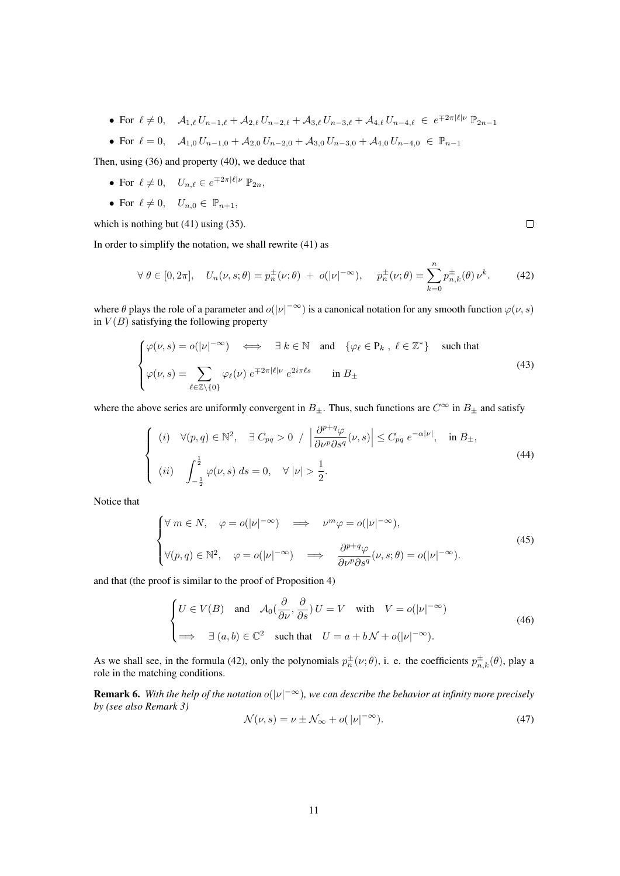- For  $\ell \neq 0$ ,  $A_{1,\ell} U_{n-1,\ell} + A_{2,\ell} U_{n-2,\ell} + A_{3,\ell} U_{n-3,\ell} + A_{4,\ell} U_{n-4,\ell} \in e^{\mp 2\pi |\ell| \nu} \mathbb{P}_{2n-1}$
- For  $\ell = 0$ ,  $A_{1,0} U_{n-1,0} + A_{2,0} U_{n-2,0} + A_{3,0} U_{n-3,0} + A_{4,0} U_{n-4,0} \in \mathbb{P}_{n-1}$

Then, using (36) and property (40), we deduce that

- For  $\ell \neq 0$ ,  $U_{n,\ell} \in e^{\mp 2\pi |\ell| \nu} \mathbb{P}_{2n}$ ,
- For  $\ell \neq 0$ ,  $U_{n,0} \in \mathbb{P}_{n+1}$ ,

which is nothing but (41) using (35).

In order to simplify the notation, we shall rewrite (41) as

$$
\forall \ \theta \in [0, 2\pi], \quad U_n(\nu, s; \theta) = p_n^{\pm}(\nu; \theta) + o(|\nu|^{-\infty}), \quad p_n^{\pm}(\nu; \theta) = \sum_{k=0}^n p_{n,k}^{\pm}(\theta) \nu^k. \tag{42}
$$

where  $\theta$  plays the role of a parameter and  $o(|\nu|^{-\infty})$  is a canonical notation for any smooth function  $\varphi(\nu, s)$ in  $V(B)$  satisfying the following property

$$
\begin{cases}\n\varphi(\nu,s) = o(|\nu|^{-\infty}) & \Longleftrightarrow \exists \, k \in \mathbb{N} \quad \text{and} \quad \{\varphi_\ell \in P_k \, , \, \ell \in \mathbb{Z}^*\} \quad \text{such that} \\
\varphi(\nu,s) = \sum_{\ell \in \mathbb{Z} \setminus \{0\}} \varphi_\ell(\nu) \, e^{\mp 2\pi |\ell| \nu} \, e^{2i\pi \ell s} & \text{in } B_\pm\n\end{cases}\n\tag{43}
$$

where the above series are uniformly convergent in  $B_{\pm}$ . Thus, such functions are  $C^{\infty}$  in  $B_{\pm}$  and satisfy

$$
\begin{cases}\n(i) & \forall (p,q) \in \mathbb{N}^2, \quad \exists C_{pq} > 0 \quad / \quad \left| \frac{\partial^{p+q} \varphi}{\partial \nu^p \partial s^q}(\nu, s) \right| \le C_{pq} e^{-\alpha |\nu|}, \quad \text{in } B_{\pm}, \\
(ii) & \int_{-\frac{1}{2}}^{\frac{1}{2}} \varphi(\nu, s) \, ds = 0, \quad \forall |\nu| > \frac{1}{2}.\n\end{cases}
$$
\n(44)

Notice that

$$
\begin{cases} \forall m \in N, \quad \varphi = o(|\nu|^{-\infty}) \quad \Longrightarrow \quad \nu^m \varphi = o(|\nu|^{-\infty}), \\ \forall (p, q) \in \mathbb{N}^2, \quad \varphi = o(|\nu|^{-\infty}) \quad \Longrightarrow \quad \frac{\partial^{p+q} \varphi}{\partial \nu^p \partial s^q}(\nu, s; \theta) = o(|\nu|^{-\infty}). \end{cases} \tag{45}
$$

and that (the proof is similar to the proof of Proposition 4)

$$
\begin{cases}\nU \in V(B) \quad \text{and} \quad \mathcal{A}_0(\frac{\partial}{\partial \nu}, \frac{\partial}{\partial s}) U = V \quad \text{with} \quad V = o(|\nu|^{-\infty}) \\
\implies \quad \exists (a, b) \in \mathbb{C}^2 \quad \text{such that} \quad U = a + b\mathcal{N} + o(|\nu|^{-\infty}).\n\end{cases} \tag{46}
$$

As we shall see, in the formula (42), only the polynomials  $p_n^{\pm}(\nu;\theta)$ , i. e. the coefficients  $p_{n,k}^{\pm}(\theta)$ , play a role in the matching conditions.

**Remark 6.** With the help of the notation  $o(|v|^{-\infty})$ , we can describe the behavior at infinity more precisely *by (see also Remark 3)*

$$
\mathcal{N}(\nu, s) = \nu \pm \mathcal{N}_{\infty} + o(|\nu|^{-\infty}).\tag{47}
$$

 $\Box$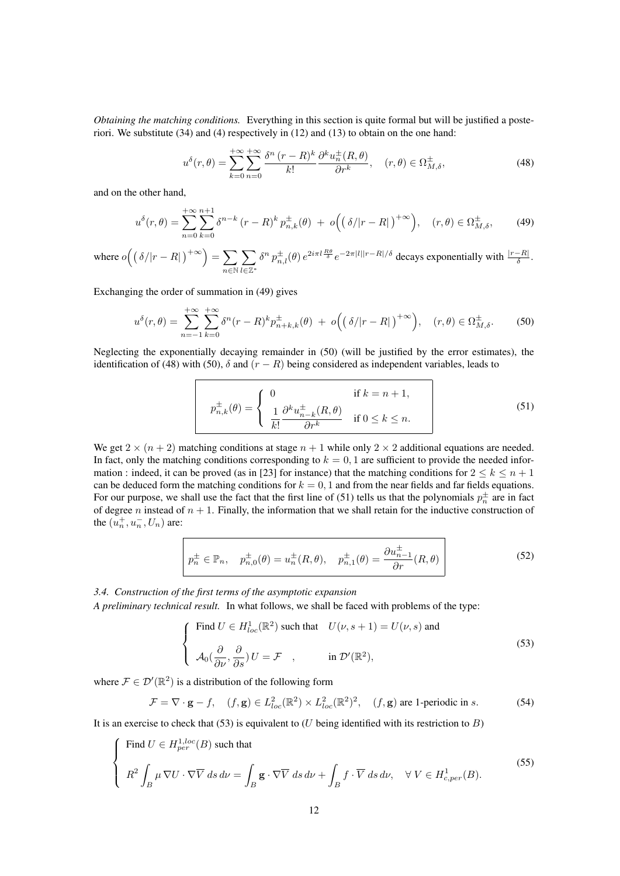*Obtaining the matching conditions.* Everything in this section is quite formal but will be justified a posteriori. We substitute (34) and (4) respectively in (12) and (13) to obtain on the one hand:

$$
u^{\delta}(r,\theta) = \sum_{k=0}^{+\infty} \sum_{n=0}^{+\infty} \frac{\delta^n (r-R)^k}{k!} \frac{\partial^k u_n^{\pm}(R,\theta)}{\partial r^k}, \quad (r,\theta) \in \Omega_{M,\delta}^{\pm}, \tag{48}
$$

and on the other hand,

$$
u^{\delta}(r,\theta) = \sum_{n=0}^{+\infty} \sum_{k=0}^{n+1} \delta^{n-k} (r-R)^k p_{n,k}^{\pm}(\theta) + o\Big(\big(\delta/|r-R|\big)^{+\infty}\Big), \quad (r,\theta) \in \Omega_{M,\delta}^{\pm},\tag{49}
$$

where 
$$
o\left(\left(\delta/|r-R|\right)^{+\infty}\right) = \sum_{n\in\mathbb{N}}\sum_{l\in\mathbb{Z}^*}\delta^n p_{n,l}^{\pm}(\theta)\,e^{2i\pi l\frac{R\theta}{\delta}}e^{-2\pi|l||r-R|/\delta}\,\text{decays exponentially with }\frac{|r-R|}{\delta}.
$$

Exchanging the order of summation in (49) gives

$$
u^{\delta}(r,\theta) = \sum_{n=-1}^{+\infty} \sum_{k=0}^{+\infty} \delta^n (r - R)^k p_{n+k,k}^{\pm}(\theta) + o\Big(\Big(\delta/|r - R|\Big)^{+\infty}\Big), \quad (r,\theta) \in \Omega_{M,\delta}^{\pm}.\tag{50}
$$

Neglecting the exponentially decaying remainder in (50) (will be justified by the error estimates), the identification of (48) with (50),  $\delta$  and (r – R) being considered as independent variables, leads to

$$
p_{n,k}^{\pm}(\theta) = \begin{cases} 0 & \text{if } k = n+1, \\ \frac{1}{k!} \frac{\partial^k u_{n-k}^{\pm}(R,\theta)}{\partial r^k} & \text{if } 0 \le k \le n. \end{cases}
$$
(51)

We get  $2 \times (n+2)$  matching conditions at stage  $n+1$  while only  $2 \times 2$  additional equations are needed. In fact, only the matching conditions corresponding to  $k = 0, 1$  are sufficient to provide the needed information : indeed, it can be proved (as in [23] for instance) that the matching conditions for  $2 \le k \le n + 1$ can be deduced form the matching conditions for  $k = 0, 1$  and from the near fields and far fields equations. For our purpose, we shall use the fact that the first line of (51) tells us that the polynomials  $p_n^{\pm}$  are in fact of degree n instead of  $n + 1$ . Finally, the information that we shall retain for the inductive construction of the  $(u_n^+, u_n^-, U_n)$  are:

$$
p_n^{\pm} \in \mathbb{P}_n, \quad p_{n,0}^{\pm}(\theta) = u_n^{\pm}(R,\theta), \quad p_{n,1}^{\pm}(\theta) = \frac{\partial u_{n-1}^{\pm}}{\partial r}(R,\theta)
$$
 (52)

*3.4. Construction of the first terms of the asymptotic expansion*

*A preliminary technical result.* In what follows, we shall be faced with problems of the type:

$$
\begin{cases}\n\text{Find } U \in H_{loc}^1(\mathbb{R}^2) \text{ such that } & U(\nu, s+1) = U(\nu, s) \text{ and} \\
\mathcal{A}_0(\frac{\partial}{\partial \nu}, \frac{\partial}{\partial s}) U = \mathcal{F} \quad , & \text{in } \mathcal{D}'(\mathbb{R}^2),\n\end{cases}\n\tag{53}
$$

where  $\mathcal{F} \in \mathcal{D}'(\mathbb{R}^2)$  is a distribution of the following form

$$
\mathcal{F} = \nabla \cdot \mathbf{g} - f, \quad (f, \mathbf{g}) \in L^2_{loc}(\mathbb{R}^2) \times L^2_{loc}(\mathbb{R}^2)^2, \quad (f, \mathbf{g}) \text{ are 1-periodic in } s. \tag{54}
$$

It is an exercise to check that (53) is equivalent to (U being identified with its restriction to B)

$$
\begin{cases}\n\text{Find } U \in H_{per}^{1,loc}(B) \text{ such that} \\
R^2 \int_B \mu \nabla U \cdot \nabla \overline{V} \, ds \, d\nu = \int_B \mathbf{g} \cdot \nabla \overline{V} \, ds \, d\nu + \int_B f \cdot \overline{V} \, ds \, d\nu, \quad \forall \, V \in H_{c,per}^1(B).\n\end{cases} \tag{55}
$$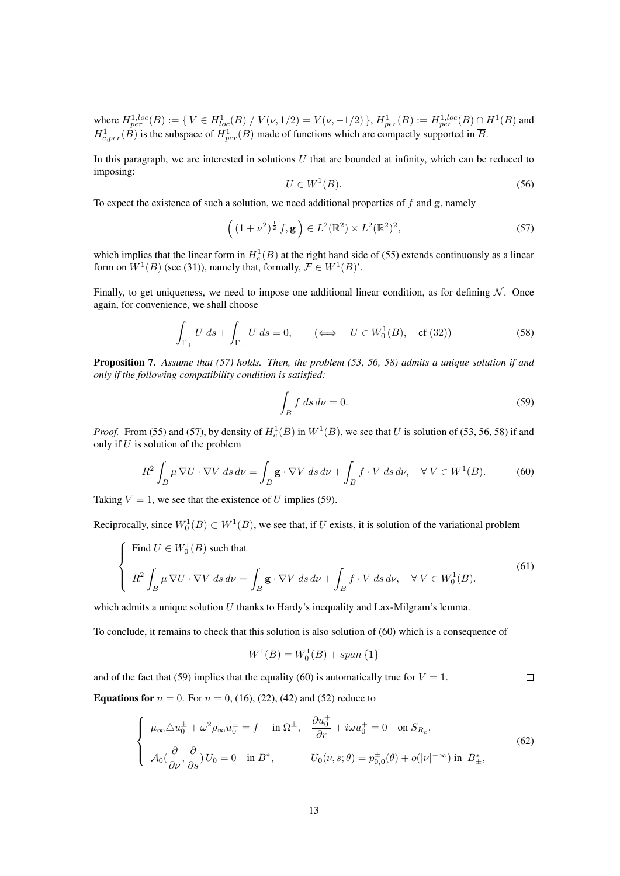where  $H_{per}^{1,loc}(B) := \{ V \in H_{loc}^1(B) / V(\nu, 1/2) = V(\nu, -1/2) \}, H_{per}^1(B) := H_{per}^{1,loc}(B) \cap H^1(B)$  and  $H_{c,per}^1(B)$  is the subspace of  $H_{per}^1(B)$  made of functions which are compactly supported in  $\overline{B}$ .

In this paragraph, we are interested in solutions  $U$  that are bounded at infinity, which can be reduced to imposing:

$$
U \in W^1(B). \tag{56}
$$

To expect the existence of such a solution, we need additional properties of  $f$  and  $g$ , namely

$$
((1+\nu^2)^{\frac{1}{2}}f, \mathbf{g}) \in L^2(\mathbb{R}^2) \times L^2(\mathbb{R}^2)^2,
$$
 (57)

which implies that the linear form in  $H_c^1(B)$  at the right hand side of (55) extends continuously as a linear form on  $W^1(B)$  (see (31)), namely that, formally,  $\mathcal{F} \in W^1(B)$ '.

Finally, to get uniqueness, we need to impose one additional linear condition, as for defining  $N$ . Once again, for convenience, we shall choose

$$
\int_{\Gamma_+} U ds + \int_{\Gamma_-} U ds = 0, \qquad (\Longleftrightarrow U \in W_0^1(B), \quad \text{cf (32)})
$$
\n(58)

Proposition 7. *Assume that (57) holds. Then, the problem (53, 56, 58) admits a unique solution if and only if the following compatibility condition is satisfied:*

$$
\int_{B} f \, ds \, d\nu = 0. \tag{59}
$$

*Proof.* From (55) and (57), by density of  $H_c^1(B)$  in  $W^1(B)$ , we see that U is solution of (53, 56, 58) if and only if  $U$  is solution of the problem

$$
R^2 \int_B \mu \nabla U \cdot \nabla \overline{V} \, ds \, d\nu = \int_B \mathbf{g} \cdot \nabla \overline{V} \, ds \, d\nu + \int_B f \cdot \overline{V} \, ds \, d\nu, \quad \forall \ V \in W^1(B). \tag{60}
$$

Taking  $V = 1$ , we see that the existence of U implies (59).

Reciprocally, since  $W_0^1(B) \subset W^1(B)$ , we see that, if U exists, it is solution of the variational problem

$$
\begin{cases}\n\text{Find } U \in W_0^1(B) \text{ such that} \\
R^2 \int_B \mu \nabla U \cdot \nabla \overline{V} \, ds \, d\nu = \int_B \mathbf{g} \cdot \nabla \overline{V} \, ds \, d\nu + \int_B f \cdot \overline{V} \, ds \, d\nu, \quad \forall \ V \in W_0^1(B).\n\end{cases} \tag{61}
$$

which admits a unique solution  $U$  thanks to Hardy's inequality and Lax-Milgram's lemma.

To conclude, it remains to check that this solution is also solution of (60) which is a consequence of

$$
W^{1}(B) = W_{0}^{1}(B) + span \{1\}
$$

and of the fact that (59) implies that the equality (60) is automatically true for  $V = 1$ .  $\Box$ **Equations for**  $n = 0$ . For  $n = 0$ , (16), (22), (42) and (52) reduce to

$$
\begin{cases}\n\mu_{\infty} \triangle u_0^{\pm} + \omega^2 \rho_{\infty} u_0^{\pm} = f & \text{in } \Omega^{\pm}, \quad \frac{\partial u_0^{\pm}}{\partial r} + i \omega u_0^{\pm} = 0 & \text{on } S_{R_e}, \\
\mathcal{A}_0(\frac{\partial}{\partial \nu}, \frac{\partial}{\partial s}) U_0 = 0 & \text{in } B^*, \quad U_0(\nu, s; \theta) = p_{0,0}^{\pm}(\theta) + o(|\nu|^{-\infty}) \text{ in } B^*_{\pm},\n\end{cases}
$$
\n(62)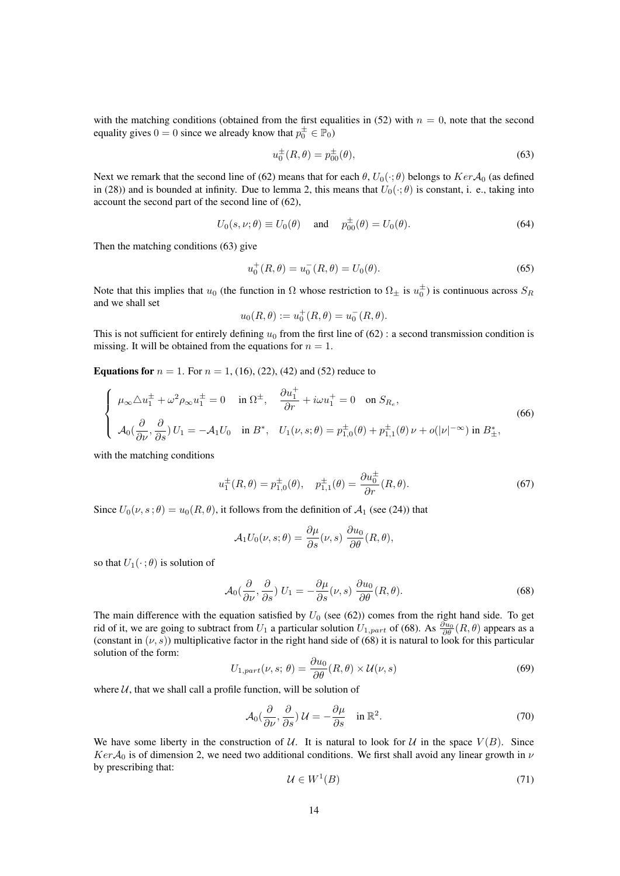with the matching conditions (obtained from the first equalities in  $(52)$  with  $n = 0$ , note that the second equality gives  $0 = 0$  since we already know that  $p_0^{\pm} \in \mathbb{P}_0$ )

$$
u_0^{\pm}(R,\theta) = p_{00}^{\pm}(\theta),
$$
\n(63)

Next we remark that the second line of (62) means that for each  $\theta$ ,  $U_0(\cdot;\theta)$  belongs to  $Ker\mathcal{A}_0$  (as defined in (28)) and is bounded at infinity. Due to lemma 2, this means that  $U_0(\cdot;\theta)$  is constant, i. e., taking into account the second part of the second line of (62),

$$
U_0(s,\nu;\theta) \equiv U_0(\theta) \quad \text{and} \quad p_{00}^{\pm}(\theta) = U_0(\theta). \tag{64}
$$

Then the matching conditions (63) give

$$
u_0^+(R,\theta) = u_0^-(R,\theta) = U_0(\theta). \tag{65}
$$

Note that this implies that  $u_0$  (the function in  $\Omega$  whose restriction to  $\Omega_{\pm}$  is  $u_0^{\pm}$ ) is continuous across  $S_R$ and we shall set

$$
u_0(R, \theta) := u_0^+(R, \theta) = u_0^-(R, \theta).
$$

This is not sufficient for entirely defining  $u_0$  from the first line of (62) : a second transmission condition is missing. It will be obtained from the equations for  $n = 1$ .

**Equations for**  $n = 1$ . For  $n = 1$ , (16), (22), (42) and (52) reduce to

$$
\begin{cases}\n\mu_{\infty} \triangle u_1^{\pm} + \omega^2 \rho_{\infty} u_1^{\pm} = 0 & \text{in } \Omega^{\pm}, \quad \frac{\partial u_1^{\pm}}{\partial r} + i\omega u_1^{\pm} = 0 & \text{on } S_{R_e}, \\
\mathcal{A}_0(\frac{\partial}{\partial \nu}, \frac{\partial}{\partial s}) U_1 = -\mathcal{A}_1 U_0 & \text{in } B^*, \quad U_1(\nu, s; \theta) = p_{1,0}^{\pm}(\theta) + p_{1,1}^{\pm}(\theta) \nu + o(|\nu|^{-\infty}) \text{ in } B^*_{\pm},\n\end{cases}
$$
\n(66)

with the matching conditions

$$
u_1^{\pm}(R,\theta) = p_{1,0}^{\pm}(\theta), \quad p_{1,1}^{\pm}(\theta) = \frac{\partial u_0^{\pm}}{\partial r}(R,\theta). \tag{67}
$$

Since  $U_0(\nu, s; \theta) = u_0(R, \theta)$ , it follows from the definition of  $\mathcal{A}_1$  (see (24)) that

$$
\mathcal{A}_1 U_0(\nu, s; \theta) = \frac{\partial \mu}{\partial s}(\nu, s) \frac{\partial u_0}{\partial \theta}(R, \theta),
$$

so that  $U_1(\cdot; \theta)$  is solution of

$$
\mathcal{A}_0(\frac{\partial}{\partial \nu}, \frac{\partial}{\partial s}) U_1 = -\frac{\partial \mu}{\partial s}(\nu, s) \frac{\partial u_0}{\partial \theta}(R, \theta).
$$
 (68)

The main difference with the equation satisfied by  $U_0$  (see (62)) comes from the right hand side. To get rid of it, we are going to subtract from  $U_1$  a particular solution  $U_{1,part}$  of (68). As  $\frac{\partial u_0}{\partial \theta}(R,\theta)$  appears as a (constant in  $(\nu, s)$ ) multiplicative factor in the right hand side of (68) it is natural to look for this particular solution of the form:

$$
U_{1,part}(\nu, s; \theta) = \frac{\partial u_0}{\partial \theta}(R, \theta) \times \mathcal{U}(\nu, s)
$$
\n(69)

where  $U$ , that we shall call a profile function, will be solution of

$$
\mathcal{A}_0(\frac{\partial}{\partial \nu}, \frac{\partial}{\partial s}) \mathcal{U} = -\frac{\partial \mu}{\partial s} \quad \text{in } \mathbb{R}^2.
$$
 (70)

We have some liberty in the construction of U. It is natural to look for U in the space  $V(B)$ . Since  $Ker\mathcal{A}_0$  is of dimension 2, we need two additional conditions. We first shall avoid any linear growth in  $\nu$ by prescribing that:

$$
\mathcal{U} \in W^1(B) \tag{71}
$$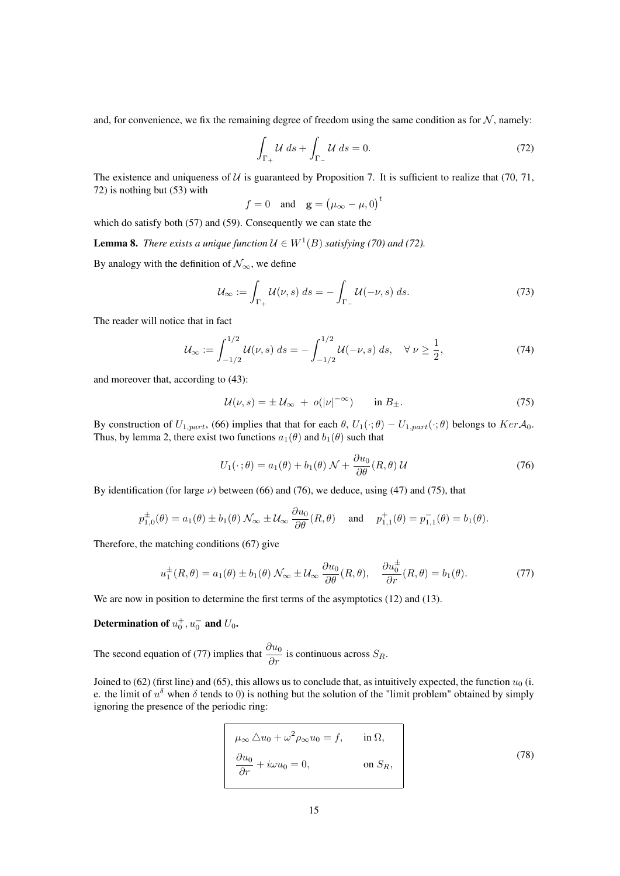and, for convenience, we fix the remaining degree of freedom using the same condition as for  $N$ , namely:

$$
\int_{\Gamma_+} \mathcal{U} \, ds + \int_{\Gamma_-} \mathcal{U} \, ds = 0. \tag{72}
$$

The existence and uniqueness of  $U$  is guaranteed by Proposition 7. It is sufficient to realize that (70, 71, 72) is nothing but (53) with

$$
f = 0
$$
 and  $\mathbf{g} = (\mu_{\infty} - \mu, 0)^t$ 

which do satisfy both (57) and (59). Consequently we can state the

**Lemma 8.** *There exists a unique function*  $U \in W^1(B)$  *satisfying (70) and (72).* 

By analogy with the definition of  $\mathcal{N}_{\infty}$ , we define

$$
\mathcal{U}_{\infty} := \int_{\Gamma_+} \mathcal{U}(\nu, s) \, ds = -\int_{\Gamma_-} \mathcal{U}(-\nu, s) \, ds. \tag{73}
$$

The reader will notice that in fact

$$
\mathcal{U}_{\infty} := \int_{-1/2}^{1/2} \mathcal{U}(\nu, s) \, ds = -\int_{-1/2}^{1/2} \mathcal{U}(-\nu, s) \, ds, \quad \forall \, \nu \ge \frac{1}{2},\tag{74}
$$

and moreover that, according to (43):

$$
\mathcal{U}(\nu, s) = \pm \mathcal{U}_{\infty} + o(|\nu|^{-\infty}) \quad \text{in } B_{\pm}.
$$
 (75)

By construction of  $U_{1,part}$ , (66) implies that that for each  $\theta$ ,  $U_1(\cdot;\theta) - U_{1,part}(\cdot;\theta)$  belongs to  $Ker \mathcal{A}_0$ . Thus, by lemma 2, there exist two functions  $a_1(\theta)$  and  $b_1(\theta)$  such that

$$
U_1(\cdot;\theta) = a_1(\theta) + b_1(\theta) \mathcal{N} + \frac{\partial u_0}{\partial \theta}(R,\theta) \mathcal{U}
$$
\n(76)

By identification (for large  $\nu$ ) between (66) and (76), we deduce, using (47) and (75), that

$$
p_{1,0}^{\pm}(\theta) = a_1(\theta) \pm b_1(\theta) \mathcal{N}_{\infty} \pm \mathcal{U}_{\infty} \frac{\partial u_0}{\partial \theta}(R,\theta) \quad \text{and} \quad p_{1,1}^+(\theta) = p_{1,1}^-(\theta) = b_1(\theta).
$$

Therefore, the matching conditions (67) give

$$
u_1^{\pm}(R,\theta) = a_1(\theta) \pm b_1(\theta) \mathcal{N}_{\infty} \pm \mathcal{U}_{\infty} \frac{\partial u_0}{\partial \theta}(R,\theta), \quad \frac{\partial u_0^{\pm}}{\partial r}(R,\theta) = b_1(\theta). \tag{77}
$$

We are now in position to determine the first terms of the asymptotics (12) and (13).

Determination of  $u_0^+, u_0^-$  and  $U_0$ .

The second equation of (77) implies that  $\frac{\partial u_0}{\partial r}$  is continuous across  $S_R$ .

Joined to (62) (first line) and (65), this allows us to conclude that, as intuitively expected, the function  $u_0$  (i. e. the limit of  $u^{\delta}$  when  $\delta$  tends to 0) is nothing but the solution of the "limit problem" obtained by simply ignoring the presence of the periodic ring:

$$
\mu_{\infty} \Delta u_0 + \omega^2 \rho_{\infty} u_0 = f, \quad \text{in } \Omega,
$$
  
\n
$$
\frac{\partial u_0}{\partial r} + i\omega u_0 = 0, \quad \text{on } S_R,
$$
\n(78)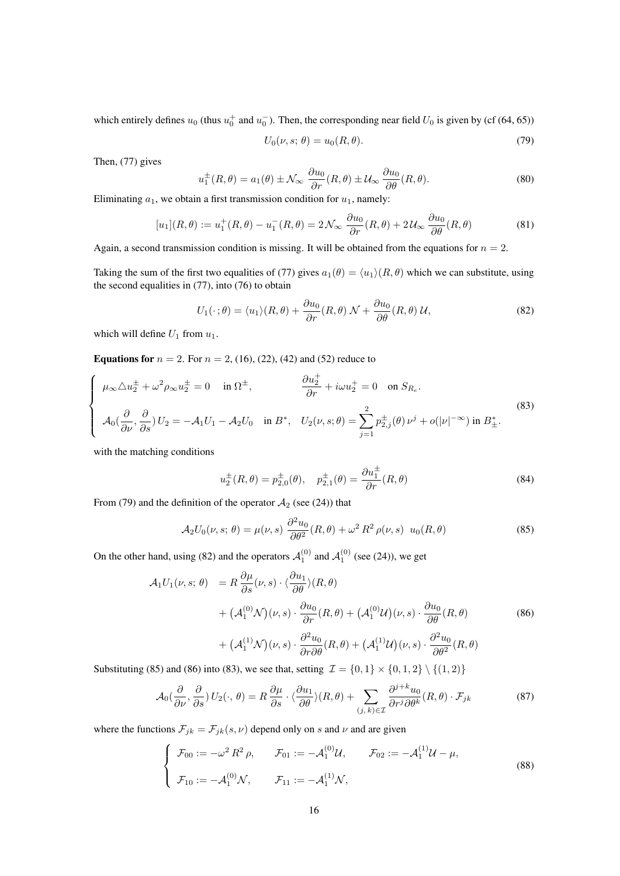which entirely defines  $u_0$  (thus  $u_0^+$  and  $u_0^-$ ). Then, the corresponding near field  $U_0$  is given by (cf (64, 65))

$$
U_0(\nu, s; \theta) = u_0(R, \theta). \tag{79}
$$

Then, (77) gives

$$
u_1^{\pm}(R,\theta) = a_1(\theta) \pm \mathcal{N}_{\infty} \frac{\partial u_0}{\partial r}(R,\theta) \pm \mathcal{U}_{\infty} \frac{\partial u_0}{\partial \theta}(R,\theta).
$$
 (80)

Eliminating  $a_1$ , we obtain a first transmission condition for  $u_1$ , namely:

$$
[u_1](R,\theta) := u_1^+(R,\theta) - u_1^-(R,\theta) = 2\mathcal{N}_\infty \frac{\partial u_0}{\partial r}(R,\theta) + 2\mathcal{U}_\infty \frac{\partial u_0}{\partial \theta}(R,\theta)
$$
(81)

Again, a second transmission condition is missing. It will be obtained from the equations for  $n = 2$ .

Taking the sum of the first two equalities of (77) gives  $a_1(\theta) = \langle u_1 \rangle(R, \theta)$  which we can substitute, using the second equalities in (77), into (76) to obtain

$$
U_1(\cdot;\theta) = \langle u_1 \rangle (R,\theta) + \frac{\partial u_0}{\partial r} (R,\theta) \mathcal{N} + \frac{\partial u_0}{\partial \theta} (R,\theta) \mathcal{U},\tag{82}
$$

which will define  $U_1$  from  $u_1$ .

**Equations for**  $n = 2$ . For  $n = 2$ , (16), (22), (42) and (52) reduce to

$$
\begin{cases}\n\mu_{\infty} \Delta u_2^{\pm} + \omega^2 \rho_{\infty} u_2^{\pm} = 0 & \text{in } \Omega^{\pm}, & \frac{\partial u_2^{\pm}}{\partial r} + i \omega u_2^{\pm} = 0 & \text{on } S_{R_e}.\n\end{cases}
$$
\n
$$
\mathcal{A}_0(\frac{\partial}{\partial \nu}, \frac{\partial}{\partial s}) U_2 = -\mathcal{A}_1 U_1 - \mathcal{A}_2 U_0 & \text{in } B^*, \quad U_2(\nu, s; \theta) = \sum_{j=1}^2 p_{2,j}^{\pm}(\theta) \nu^j + o(|\nu|^{-\infty}) \text{ in } B^*_{\pm}.\n\tag{83}
$$

with the matching conditions

$$
u_2^{\pm}(R,\theta) = p_{2,0}^{\pm}(\theta), \quad p_{2,1}^{\pm}(\theta) = \frac{\partial u_1^{\pm}}{\partial r}(R,\theta)
$$
\n(84)

From (79) and the definition of the operator  $A_2$  (see (24)) that

$$
\mathcal{A}_2 U_0(\nu, s; \theta) = \mu(\nu, s) \frac{\partial^2 u_0}{\partial \theta^2} (R, \theta) + \omega^2 R^2 \rho(\nu, s) u_0(R, \theta)
$$
\n(85)

On the other hand, using (82) and the operators  $A_1^{(0)}$  and  $A_1^{(0)}$  (see (24)), we get

$$
\mathcal{A}_1 U_1(\nu, s; \theta) = R \frac{\partial \mu}{\partial s}(\nu, s) \cdot \langle \frac{\partial u_1}{\partial \theta} \rangle (R, \theta)
$$
  
+ 
$$
(\mathcal{A}_1^{(0)} \mathcal{N})(\nu, s) \cdot \frac{\partial u_0}{\partial r} (R, \theta) + (\mathcal{A}_1^{(0)} \mathcal{U})(\nu, s) \cdot \frac{\partial u_0}{\partial \theta} (R, \theta)
$$
  
+ 
$$
(\mathcal{A}_1^{(1)} \mathcal{N})(\nu, s) \cdot \frac{\partial^2 u_0}{\partial r \partial \theta} (R, \theta) + (\mathcal{A}_1^{(1)} \mathcal{U})(\nu, s) \cdot \frac{\partial^2 u_0}{\partial \theta^2} (R, \theta)
$$
 (86)

Substituting (85) and (86) into (83), we see that, setting  $\mathcal{I} = \{0, 1\} \times \{0, 1, 2\} \setminus \{(1, 2)\}$ 

$$
\mathcal{A}_0(\frac{\partial}{\partial \nu}, \frac{\partial}{\partial s}) U_2(\cdot, \theta) = R \frac{\partial \mu}{\partial s} \cdot \langle \frac{\partial u_1}{\partial \theta} \rangle (R, \theta) + \sum_{(j, k) \in \mathcal{I}} \frac{\partial^{j+k} u_0}{\partial r^j \partial \theta^k} (R, \theta) \cdot \mathcal{F}_{jk}
$$
(87)

where the functions  $\mathcal{F}_{jk} = \mathcal{F}_{jk}(s, \nu)$  depend only on s and  $\nu$  and are given

$$
\begin{cases}\n\mathcal{F}_{00} := -\omega^2 R^2 \rho, & \mathcal{F}_{01} := -\mathcal{A}_1^{(0)} \mathcal{U}, & \mathcal{F}_{02} := -\mathcal{A}_1^{(1)} \mathcal{U} - \mu, \\
\mathcal{F}_{10} := -\mathcal{A}_1^{(0)} \mathcal{N}, & \mathcal{F}_{11} := -\mathcal{A}_1^{(1)} \mathcal{N},\n\end{cases}
$$
\n(88)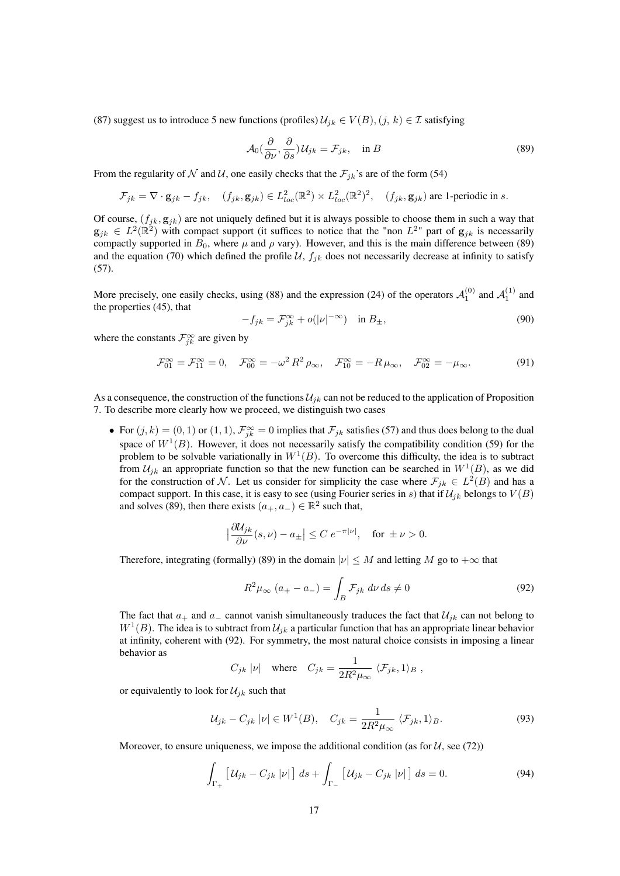(87) suggest us to introduce 5 new functions (profiles)  $\mathcal{U}_{ik} \in V(B), (j, k) \in \mathcal{I}$  satisfying

$$
\mathcal{A}_0(\frac{\partial}{\partial \nu}, \frac{\partial}{\partial s})\mathcal{U}_{jk} = \mathcal{F}_{jk}, \quad \text{in } B
$$
 (89)

From the regularity of N and U, one easily checks that the  $\mathcal{F}_{ik}$ 's are of the form (54)

$$
\mathcal{F}_{jk} = \nabla \cdot \mathbf{g}_{jk} - f_{jk}, \quad (f_{jk}, \mathbf{g}_{jk}) \in L^2_{loc}(\mathbb{R}^2) \times L^2_{loc}(\mathbb{R}^2)^2, \quad (f_{jk}, \mathbf{g}_{jk}) \text{ are 1-periodic in } s.
$$

Of course,  $(f_{jk}, g_{jk})$  are not uniquely defined but it is always possible to choose them in such a way that  $g_{jk} \in L^2(\mathbb{R}^2)$  with compact support (it suffices to notice that the "non  $L^{2}$ " part of  $g_{jk}$  is necessarily compactly supported in  $B_0$ , where  $\mu$  and  $\rho$  vary). However, and this is the main difference between (89) and the equation (70) which defined the profile  $U$ ,  $f_{jk}$  does not necessarily decrease at infinity to satisfy (57).

More precisely, one easily checks, using (88) and the expression (24) of the operators  $A_1^{(0)}$  and  $A_1^{(1)}$  and the properties (45), that

$$
-f_{jk} = \mathcal{F}_{jk}^{\infty} + o(|\nu|^{-\infty}) \quad \text{in } B_{\pm}, \tag{90}
$$

where the constants  $\mathcal{F}_{jk}^{\infty}$  are given by

$$
\mathcal{F}_{01}^{\infty} = \mathcal{F}_{11}^{\infty} = 0, \quad \mathcal{F}_{00}^{\infty} = -\omega^2 R^2 \rho_{\infty}, \quad \mathcal{F}_{10}^{\infty} = -R \mu_{\infty}, \quad \mathcal{F}_{02}^{\infty} = -\mu_{\infty}.
$$
 (91)

As a consequence, the construction of the functions  $\mathcal{U}_{jk}$  can not be reduced to the application of Proposition 7. To describe more clearly how we proceed, we distinguish two cases

• For  $(j, k) = (0, 1)$  or  $(1, 1)$ ,  $\mathcal{F}_{jk}^{\infty} = 0$  implies that  $\mathcal{F}_{jk}$  satisfies (57) and thus does belong to the dual space of  $W^1(B)$ . However, it does not necessarily satisfy the compatibility condition (59) for the problem to be solvable variationally in  $W<sup>1</sup>(B)$ . To overcome this difficulty, the idea is to subtract from  $\mathcal{U}_{jk}$  an appropriate function so that the new function can be searched in  $W^1(B)$ , as we did for the construction of N. Let us consider for simplicity the case where  $\mathcal{F}_{jk} \in L^2(B)$  and has a compact support. In this case, it is easy to see (using Fourier series in s) that if  $\mathcal{U}_{jk}$  belongs to  $V(B)$ and solves (89), then there exists  $(a_+, a_-) \in \mathbb{R}^2$  such that,

$$
\left|\frac{\partial \mathcal{U}_{jk}}{\partial \nu}(s,\nu) - a_{\pm}\right| \le C \ e^{-\pi|\nu|}, \quad \text{for } \pm \nu > 0.
$$

Therefore, integrating (formally) (89) in the domain  $|\nu| \leq M$  and letting M go to  $+\infty$  that

$$
R^2 \mu_\infty \left( a_+ - a_- \right) = \int_B \mathcal{F}_{jk} \, d\nu \, ds \neq 0 \tag{92}
$$

The fact that  $a_+$  and  $a_-$  cannot vanish simultaneously traduces the fact that  $\mathcal{U}_{ik}$  can not belong to  $W^1(B)$ . The idea is to subtract from  $\mathcal{U}_{jk}$  a particular function that has an appropriate linear behavior at infinity, coherent with (92). For symmetry, the most natural choice consists in imposing a linear behavior as

$$
C_{jk} |\nu| \quad \text{where} \quad C_{jk} = \frac{1}{2R^2 \mu_{\infty}} \langle \mathcal{F}_{jk}, 1 \rangle_B ,
$$

or equivalently to look for  $\mathcal{U}_{ik}$  such that

$$
\mathcal{U}_{jk} - C_{jk} |\nu| \in W^1(B), \quad C_{jk} = \frac{1}{2R^2 \mu_\infty} \langle \mathcal{F}_{jk}, 1 \rangle_B. \tag{93}
$$

Moreover, to ensure uniqueness, we impose the additional condition (as for  $U$ , see (72))

$$
\int_{\Gamma_{+}} \left[ \mathcal{U}_{jk} - C_{jk} | \nu | \right] ds + \int_{\Gamma_{-}} \left[ \mathcal{U}_{jk} - C_{jk} | \nu | \right] ds = 0. \tag{94}
$$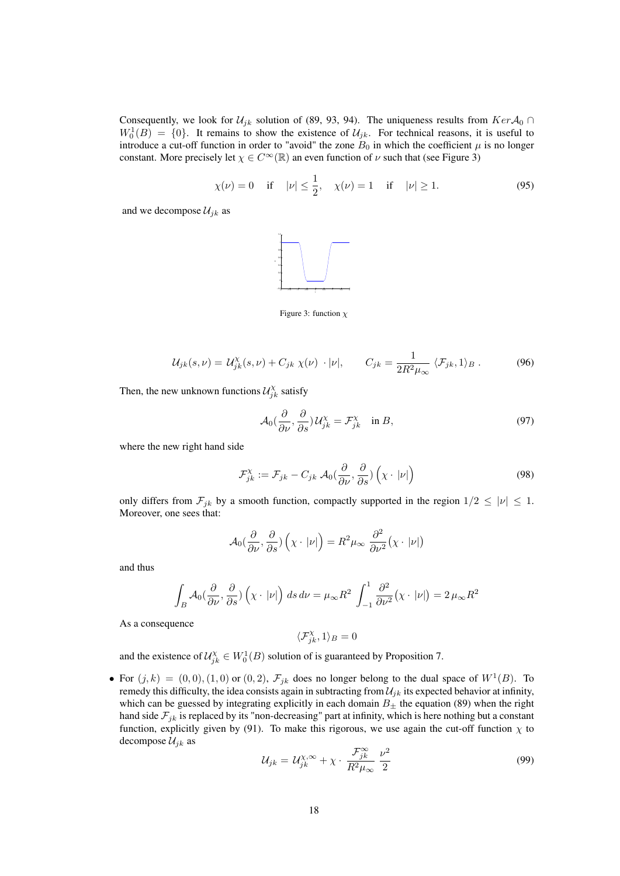Consequently, we look for  $\mathcal{U}_{jk}$  solution of (89, 93, 94). The uniqueness results from  $Ker\mathcal{A}_0 \cap$  $W_0^1(B) = \{0\}$ . It remains to show the existence of  $\mathcal{U}_{jk}$ . For technical reasons, it is useful to introduce a cut-off function in order to "avoid" the zone  $B_0$  in which the coefficient  $\mu$  is no longer constant. More precisely let  $\chi \in C^{\infty}(\mathbb{R})$  an even function of  $\nu$  such that (see Figure 3)

$$
\chi(\nu) = 0
$$
 if  $|\nu| \le \frac{1}{2}$ ,  $\chi(\nu) = 1$  if  $|\nu| \ge 1$ . (95)

and we decompose  $\mathcal{U}_{jk}$  as



Figure 3: function  $\chi$ 

$$
\mathcal{U}_{jk}(s,\nu) = \mathcal{U}_{jk}^{\chi}(s,\nu) + C_{jk} \chi(\nu) \cdot |\nu|, \qquad C_{jk} = \frac{1}{2R^2 \mu_{\infty}} \langle \mathcal{F}_{jk}, 1 \rangle_B. \tag{96}
$$

Then, the new unknown functions  $\mathcal{U}_{jk}^{\chi}$  satisfy

$$
\mathcal{A}_0(\frac{\partial}{\partial \nu}, \frac{\partial}{\partial s}) \mathcal{U}_{jk}^{\chi} = \mathcal{F}_{jk}^{\chi} \quad \text{in } B,
$$
 (97)

where the new right hand side

$$
\mathcal{F}_{jk}^{\chi} := \mathcal{F}_{jk} - C_{jk} \mathcal{A}_0(\frac{\partial}{\partial \nu}, \frac{\partial}{\partial s}) \left( \chi \cdot |\nu| \right)
$$
(98)

only differs from  $\mathcal{F}_{jk}$  by a smooth function, compactly supported in the region  $1/2 \leq |\nu| \leq 1$ . Moreover, one sees that:

$$
\mathcal{A}_0(\frac{\partial}{\partial \nu}, \frac{\partial}{\partial s})\left(\chi \cdot |\nu|\right) = R^2 \mu_\infty \frac{\partial^2}{\partial \nu^2} \left(\chi \cdot |\nu|\right)
$$

and thus

$$
\int_B \mathcal{A}_0(\frac{\partial}{\partial \nu}, \frac{\partial}{\partial s}) \left( \chi \cdot |\nu| \right) ds d\nu = \mu_\infty R^2 \int_{-1}^1 \frac{\partial^2}{\partial \nu^2} \left( \chi \cdot |\nu| \right) = 2 \mu_\infty R^2
$$

As a consequence

$$
\langle \mathcal{F}_{jk}^{\chi},1\rangle_B=0
$$

and the existence of  $\mathcal{U}_{jk}^{\chi} \in W_0^1(B)$  solution of is guaranteed by Proposition 7.

• For  $(j,k) = (0,0), (1,0)$  or  $(0,2)$ ,  $\mathcal{F}_{jk}$  does no longer belong to the dual space of  $W^1(B)$ . To remedy this difficulty, the idea consists again in subtracting from  $\mathcal{U}_{ik}$  its expected behavior at infinity, which can be guessed by integrating explicitly in each domain  $B_{\pm}$  the equation (89) when the right hand side  $\mathcal{F}_{ik}$  is replaced by its "non-decreasing" part at infinity, which is here nothing but a constant function, explicitly given by (91). To make this rigorous, we use again the cut-off function  $\chi$  to decompose  $\mathcal{U}_{jk}$  as

$$
\mathcal{U}_{jk} = \mathcal{U}_{jk}^{\chi,\infty} + \chi \cdot \frac{\mathcal{F}_{jk}^{\infty}}{R^2 \mu_{\infty}} \frac{\nu^2}{2} \tag{99}
$$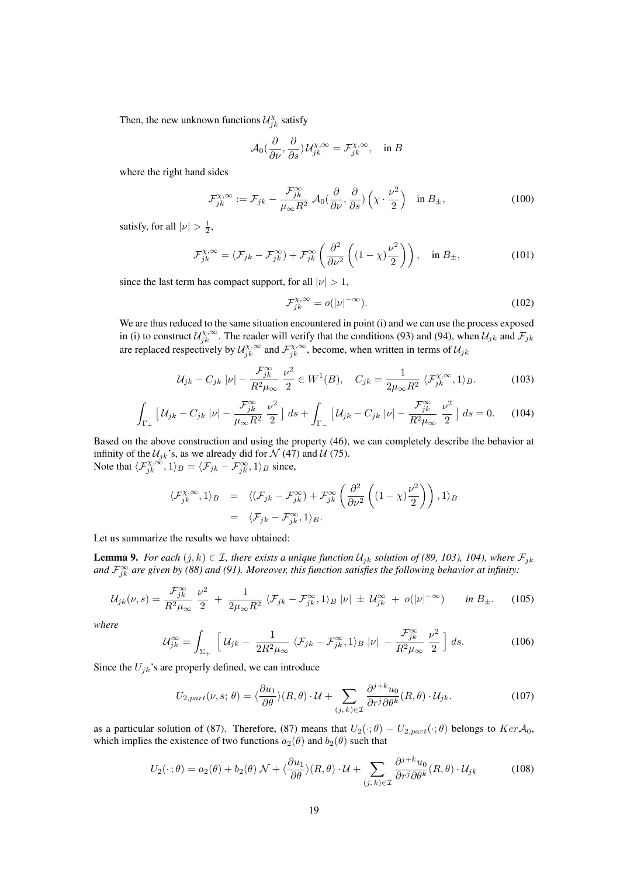Then, the new unknown functions  $\mathcal{U}_{jk}^{\chi}$  satisfy

$$
\mathcal{A}_0(\frac{\partial}{\partial \nu}, \frac{\partial}{\partial s}) \mathcal{U}_{jk}^{\chi, \infty} = \mathcal{F}_{jk}^{\chi, \infty}, \text{ in } B
$$

where the right hand sides

$$
\mathcal{F}_{jk}^{\chi,\infty} := \mathcal{F}_{jk} - \frac{\mathcal{F}_{jk}^{\infty}}{\mu_{\infty} R^2} \mathcal{A}_0(\frac{\partial}{\partial \nu}, \frac{\partial}{\partial s}) \left(\chi \cdot \frac{\nu^2}{2}\right) \quad \text{in } B_{\pm}, \tag{100}
$$

satisfy, for all  $|\nu| > \frac{1}{2}$ ,

$$
\mathcal{F}_{jk}^{\chi,\infty} = (\mathcal{F}_{jk} - \mathcal{F}_{jk}^{\infty}) + \mathcal{F}_{jk}^{\infty} \left( \frac{\partial^2}{\partial \nu^2} \left( (1 - \chi) \frac{\nu^2}{2} \right) \right), \quad \text{in } B_{\pm}, \tag{101}
$$

since the last term has compact support, for all  $|\nu| > 1$ ,

$$
\mathcal{F}_{jk}^{\chi,\infty} = o(|\nu|^{-\infty}).\tag{102}
$$

We are thus reduced to the same situation encountered in point (i) and we can use the process exposed in (i) to construct  $\mathcal{U}_{jk}^{\chi,\infty}$ . The reader will verify that the conditions (93) and (94), when  $\mathcal{U}_{jk}$  and  $\mathcal{F}_{jk}$ are replaced respectively by  $\mathcal{U}_{jk}^{\chi,\infty}$  and  $\mathcal{F}_{jk}^{\chi,\infty}$ , become, when written in terms of  $\mathcal{U}_{jk}$ 

$$
\mathcal{U}_{jk} - C_{jk} |\nu| - \frac{\mathcal{F}_{jk}^{\infty}}{R^2 \mu_{\infty}} \frac{\nu^2}{2} \in W^1(B), \quad C_{jk} = \frac{1}{2\mu_{\infty} R^2} \langle \mathcal{F}_{jk}^{\chi, \infty}, 1 \rangle_B. \tag{103}
$$

$$
\int_{\Gamma_+} \left[ \mathcal{U}_{jk} - C_{jk} \left| \nu \right| - \frac{\mathcal{F}_{jk}^{\infty}}{\mu_{\infty} R^2} \frac{\nu^2}{2} \right] ds + \int_{\Gamma_-} \left[ \mathcal{U}_{jk} - C_{jk} \left| \nu \right| - \frac{\mathcal{F}_{jk}^{\infty}}{R^2 \mu_{\infty}} \frac{\nu^2}{2} \right] ds = 0. \tag{104}
$$

Based on the above construction and using the property (46), we can completely describe the behavior at infinity of the  $\mathcal{U}_{jk}$ 's, as we already did for  $\mathcal{N}(47)$  and  $\mathcal{U}(75)$ . Note that  $\langle \mathcal{F}_{jk}^{\chi, \infty}, 1 \rangle_B = \langle \mathcal{F}_{jk} - \mathcal{F}_{jk}^{\infty}, 1 \rangle_B$  since,

$$
\langle \mathcal{F}_{jk}^{\chi,\infty}, 1 \rangle_B = \langle (\mathcal{F}_{jk} - \mathcal{F}_{jk}^{\infty}) + \mathcal{F}_{jk}^{\infty} \left( \frac{\partial^2}{\partial \nu^2} \left( (1 - \chi) \frac{\nu^2}{2} \right) \right), 1 \rangle_B
$$
  
=  $\langle \mathcal{F}_{jk} - \mathcal{F}_{jk}^{\infty}, 1 \rangle_B.$ 

Let us summarize the results we have obtained:

**Lemma 9.** *For each*  $(j, k) \in \mathcal{I}$ , there exists a unique function  $\mathcal{U}_{jk}$  solution of (89, 103), 104), where  $\mathcal{F}_{jk}$ and  $\mathcal{F}^\infty_{jk}$  are given by (88) and (91). Moreover, this function satisfies the following behavior at infinity:

$$
\mathcal{U}_{jk}(\nu,s) = \frac{\mathcal{F}_{jk}^{\infty}}{R^2 \mu_{\infty}} \frac{\nu^2}{2} + \frac{1}{2\mu_{\infty}R^2} \langle \mathcal{F}_{jk} - \mathcal{F}_{jk}^{\infty}, 1 \rangle_B |\nu| \pm \mathcal{U}_{jk}^{\infty} + o(|\nu|^{-\infty}) \quad \text{in } B_{\pm}.
$$
 (105)

*where*

$$
\mathcal{U}_{jk}^{\infty} = \int_{\Sigma_{+}} \left[ \mathcal{U}_{jk} - \frac{1}{2R^{2}\mu_{\infty}} \left\langle \mathcal{F}_{jk} - \mathcal{F}_{jk}^{\infty}, 1 \right\rangle_{B} |\nu| - \frac{\mathcal{F}_{jk}^{\infty}}{R^{2}\mu_{\infty}} \frac{\nu^{2}}{2} \right] ds. \tag{106}
$$

Since the  $U_{jk}$ 's are properly defined, we can introduce

$$
U_{2,part}(\nu, s; \theta) = \langle \frac{\partial u_1}{\partial \theta} \rangle (R, \theta) \cdot \mathcal{U} + \sum_{(j,k) \in \mathcal{I}} \frac{\partial^{j+k} u_0}{\partial r^j \partial \theta^k} (R, \theta) \cdot \mathcal{U}_{jk}.
$$
 (107)

as a particular solution of (87). Therefore, (87) means that  $U_2(\cdot; \theta) - U_{2,part}(\cdot; \theta)$  belongs to  $Ker \mathcal{A}_0$ , which implies the existence of two functions  $a_2(\theta)$  and  $b_2(\theta)$  such that

$$
U_2(\cdot;\theta) = a_2(\theta) + b_2(\theta) \mathcal{N} + \langle \frac{\partial u_1}{\partial \theta} \rangle (R,\theta) \cdot \mathcal{U} + \sum_{(j,k)\in\mathcal{I}} \frac{\partial^{j+k} u_0}{\partial r^j \partial \theta^k} (R,\theta) \cdot \mathcal{U}_{jk}
$$
(108)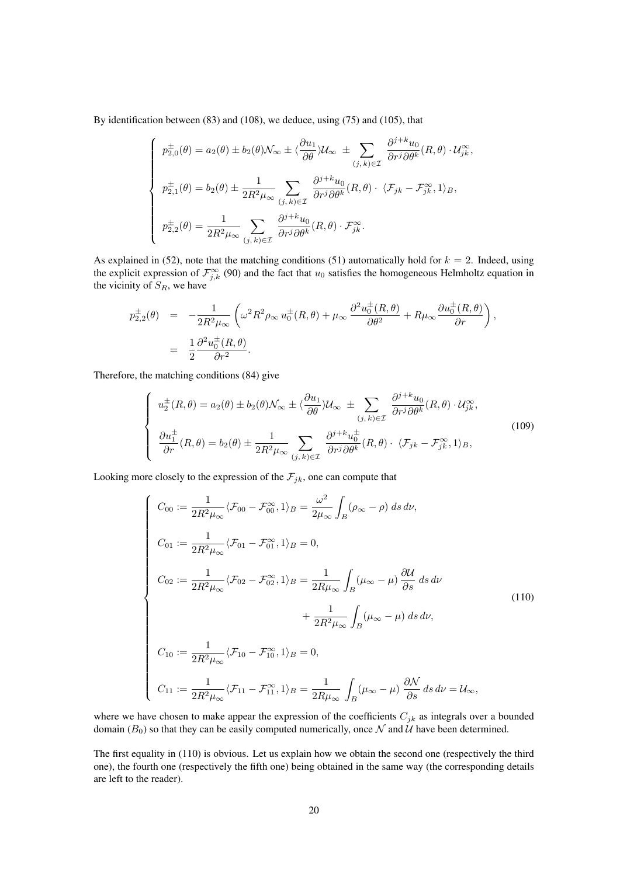By identification between (83) and (108), we deduce, using (75) and (105), that

$$
\begin{cases}\n p_{2,0}^{\pm}(\theta) = a_2(\theta) \pm b_2(\theta) \mathcal{N}_{\infty} \pm \langle \frac{\partial u_1}{\partial \theta} \rangle \mathcal{U}_{\infty} \pm \sum_{(j,k) \in \mathcal{I}} \frac{\partial^{j+k} u_0}{\partial r^j \partial \theta^k} (R, \theta) \cdot \mathcal{U}_{jk}^{\infty}, \\
 p_{2,1}^{\pm}(\theta) = b_2(\theta) \pm \frac{1}{2R^2 \mu_{\infty}} \sum_{(j,k) \in \mathcal{I}} \frac{\partial^{j+k} u_0}{\partial r^j \partial \theta^k} (R, \theta) \cdot \langle \mathcal{F}_{jk} - \mathcal{F}_{jk}^{\infty}, 1 \rangle_B, \\
 p_{2,2}^{\pm}(\theta) = \frac{1}{2R^2 \mu_{\infty}} \sum_{(j,k) \in \mathcal{I}} \frac{\partial^{j+k} u_0}{\partial r^j \partial \theta^k} (R, \theta) \cdot \mathcal{F}_{jk}^{\infty}.\n\end{cases}
$$

As explained in (52), note that the matching conditions (51) automatically hold for  $k = 2$ . Indeed, using the explicit expression of  $\mathcal{F}_{j,k}^{\infty}$  (90) and the fact that  $u_0$  satisfies the homogeneous Helmholtz equation in the vicinity of  $S_R$ , we have

$$
p_{2,2}^{\pm}(\theta) = -\frac{1}{2R^2\mu_{\infty}} \left( \omega^2 R^2 \rho_{\infty} u_0^{\pm}(R,\theta) + \mu_{\infty} \frac{\partial^2 u_0^{\pm}(R,\theta)}{\partial \theta^2} + R\mu_{\infty} \frac{\partial u_0^{\pm}(R,\theta)}{\partial r} \right),
$$
  
= 
$$
\frac{1}{2} \frac{\partial^2 u_0^{\pm}(R,\theta)}{\partial r^2}.
$$

Therefore, the matching conditions (84) give

$$
\begin{cases}\n u_2^{\pm}(R,\theta) = a_2(\theta) \pm b_2(\theta)\mathcal{N}_{\infty} \pm \langle \frac{\partial u_1}{\partial \theta} \rangle \mathcal{U}_{\infty} \pm \sum_{(j,\,k)\in\mathcal{I}} \frac{\partial^{j+k} u_0}{\partial r^j \partial \theta^k}(R,\theta) \cdot \mathcal{U}_{jk}^{\infty}, \\
 \frac{\partial u_1^{\pm}}{\partial r}(R,\theta) = b_2(\theta) \pm \frac{1}{2R^2\mu_{\infty}} \sum_{(j,\,k)\in\mathcal{I}} \frac{\partial^{j+k} u_0^{\pm}}{\partial r^j \partial \theta^k}(R,\theta) \cdot \langle \mathcal{F}_{jk} - \mathcal{F}_{jk}^{\infty}, 1 \rangle_B,\n\end{cases}\n\tag{109}
$$

Looking more closely to the expression of the  $\mathcal{F}_{jk}$ , one can compute that

$$
\begin{cases}\nC_{00} := \frac{1}{2R^2\mu_{\infty}} \langle \mathcal{F}_{00} - \mathcal{F}_{00}^{\infty}, 1 \rangle_B = \frac{\omega^2}{2\mu_{\infty}} \int_B (\rho_{\infty} - \rho) ds d\nu, \\
C_{01} := \frac{1}{2R^2\mu_{\infty}} \langle \mathcal{F}_{01} - \mathcal{F}_{01}^{\infty}, 1 \rangle_B = 0, \\
C_{02} := \frac{1}{2R^2\mu_{\infty}} \langle \mathcal{F}_{02} - \mathcal{F}_{02}^{\infty}, 1 \rangle_B = \frac{1}{2R\mu_{\infty}} \int_B (\mu_{\infty} - \mu) \frac{\partial \mathcal{U}}{\partial s} ds d\nu \\
+ \frac{1}{2R^2\mu_{\infty}} \int_B (\mu_{\infty} - \mu) ds d\nu, \\
C_{10} := \frac{1}{2R^2\mu_{\infty}} \langle \mathcal{F}_{10} - \mathcal{F}_{10}^{\infty}, 1 \rangle_B = 0, \\
C_{11} := \frac{1}{2R^2\mu_{\infty}} \langle \mathcal{F}_{11} - \mathcal{F}_{11}^{\infty}, 1 \rangle_B = \frac{1}{2R\mu_{\infty}} \int_B (\mu_{\infty} - \mu) \frac{\partial \mathcal{N}}{\partial s} ds d\nu = \mathcal{U}_{\infty},\n\end{cases}
$$
\n(110)

where we have chosen to make appear the expression of the coefficients  $C_{jk}$  as integrals over a bounded domain ( $B_0$ ) so that they can be easily computed numerically, once  $\mathcal N$  and  $\mathcal U$  have been determined.

The first equality in (110) is obvious. Let us explain how we obtain the second one (respectively the third one), the fourth one (respectively the fifth one) being obtained in the same way (the corresponding details are left to the reader).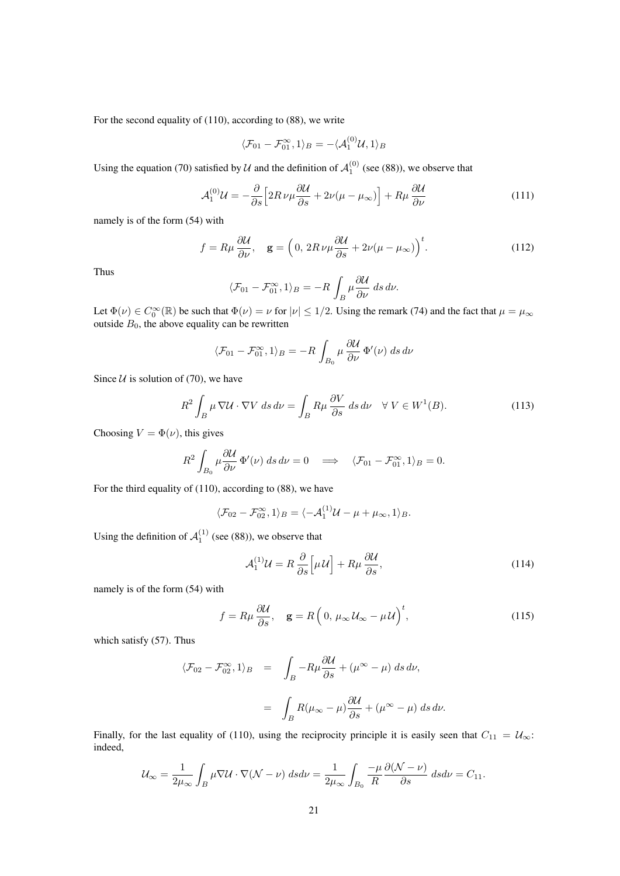For the second equality of (110), according to (88), we write

$$
\langle \mathcal{F}_{01} - \mathcal{F}_{01}^{\infty}, 1 \rangle_B = -\langle \mathcal{A}_1^{(0)} \mathcal{U}, 1 \rangle_B
$$

Using the equation (70) satisfied by U and the definition of  $A_1^{(0)}$  (see (88)), we observe that

$$
\mathcal{A}_1^{(0)}\mathcal{U} = -\frac{\partial}{\partial s} \Big[ 2R \nu \mu \frac{\partial \mathcal{U}}{\partial s} + 2\nu (\mu - \mu_\infty) \Big] + R\mu \frac{\partial \mathcal{U}}{\partial \nu} \tag{111}
$$

namely is of the form (54) with

$$
f = R\mu \frac{\partial \mathcal{U}}{\partial \nu}, \quad \mathbf{g} = \left(0, 2R\nu\mu \frac{\partial \mathcal{U}}{\partial s} + 2\nu(\mu - \mu_{\infty})\right)^t.
$$
 (112)

Thus

$$
\langle \mathcal{F}_{01} - \mathcal{F}_{01}^{\infty}, 1 \rangle_B = -R \int_B \mu \frac{\partial \mathcal{U}}{\partial \nu} ds d\nu.
$$

Let  $\Phi(\nu) \in C_0^{\infty}(\mathbb{R})$  be such that  $\Phi(\nu) = \nu$  for  $|\nu| \leq 1/2$ . Using the remark (74) and the fact that  $\mu = \mu_{\infty}$ outside  $B_0$ , the above equality can be rewritten

$$
\langle \mathcal{F}_{01} - \mathcal{F}_{01}^{\infty}, 1 \rangle_B = -R \int_{B_0} \mu \frac{\partial \mathcal{U}}{\partial \nu} \Phi'(\nu) ds d\nu
$$

Since  $U$  is solution of (70), we have

$$
R^2 \int_B \mu \nabla \mathcal{U} \cdot \nabla V \, ds \, d\nu = \int_B R\mu \, \frac{\partial V}{\partial s} \, ds \, d\nu \quad \forall \ V \in W^1(B). \tag{113}
$$

Choosing  $V = \Phi(\nu)$ , this gives

$$
R^2 \int_{B_0} \mu \frac{\partial \mathcal{U}}{\partial \nu} \, \Phi'(\nu) \, ds \, d\nu = 0 \quad \Longrightarrow \quad \langle \mathcal{F}_{01} - \mathcal{F}_{01}^{\infty}, 1 \rangle_B = 0.
$$

For the third equality of (110), according to (88), we have

$$
\langle \mathcal{F}_{02} - \mathcal{F}_{02}^{\infty}, 1 \rangle_B = \langle -\mathcal{A}_1^{(1)} \mathcal{U} - \mu + \mu_{\infty}, 1 \rangle_B.
$$

Using the definition of  $A_1^{(1)}$  (see (88)), we observe that

$$
\mathcal{A}_1^{(1)}\mathcal{U} = R \frac{\partial}{\partial s} \Big[ \mu \mathcal{U} \Big] + R \mu \frac{\partial \mathcal{U}}{\partial s},\tag{114}
$$

namely is of the form (54) with

$$
f = R\mu \frac{\partial \mathcal{U}}{\partial s}, \quad \mathbf{g} = R\left(0, \mu_{\infty} \mathcal{U}_{\infty} - \mu \mathcal{U}\right)^{t}, \tag{115}
$$

which satisfy (57). Thus

$$
\langle \mathcal{F}_{02} - \mathcal{F}_{02}^{\infty}, 1 \rangle_B = \int_B -R\mu \frac{\partial \mathcal{U}}{\partial s} + (\mu^{\infty} - \mu) ds d\nu,
$$
  

$$
= \int_B R(\mu_{\infty} - \mu) \frac{\partial \mathcal{U}}{\partial s} + (\mu^{\infty} - \mu) ds d\nu.
$$

Finally, for the last equality of (110), using the reciprocity principle it is easily seen that  $C_{11} = U_{\infty}$ : indeed,

$$
\mathcal{U}_{\infty} = \frac{1}{2\mu_{\infty}} \int_{B} \mu \nabla \mathcal{U} \cdot \nabla (\mathcal{N} - \nu) \, ds d\nu = \frac{1}{2\mu_{\infty}} \int_{B_0} \frac{-\mu}{R} \frac{\partial (\mathcal{N} - \nu)}{\partial s} \, ds d\nu = C_{11}.
$$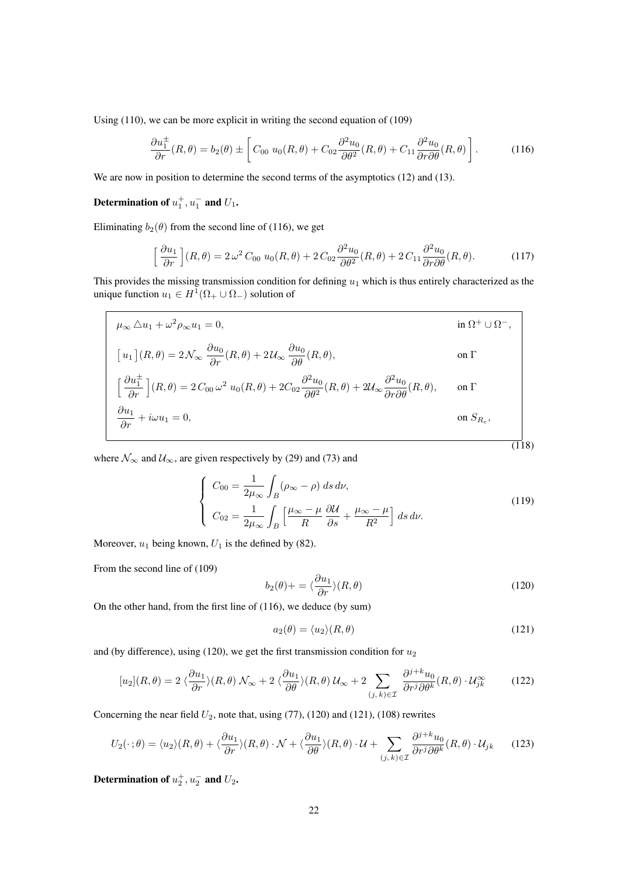Using (110), we can be more explicit in writing the second equation of (109)

$$
\frac{\partial u_1^{\pm}}{\partial r}(R,\theta) = b_2(\theta) \pm \left[ C_{00} u_0(R,\theta) + C_{02} \frac{\partial^2 u_0}{\partial \theta^2}(R,\theta) + C_{11} \frac{\partial^2 u_0}{\partial r \partial \theta}(R,\theta) \right].
$$
 (116)

We are now in position to determine the second terms of the asymptotics (12) and (13).

## Determination of  $u_1^+, u_1^-$  and  $U_1$ .

Eliminating  $b_2(\theta)$  from the second line of (116), we get

$$
\left[\frac{\partial u_1}{\partial r}\right](R,\theta) = 2\,\omega^2\,C_{00}\,u_0(R,\theta) + 2\,C_{02}\frac{\partial^2 u_0}{\partial \theta^2}(R,\theta) + 2\,C_{11}\frac{\partial^2 u_0}{\partial r\partial \theta}(R,\theta). \tag{117}
$$

This provides the missing transmission condition for defining  $u_1$  which is thus entirely characterized as the unique function  $u_1 \in H^1(\Omega_+ \cup \Omega_-)$  solution of

$$
\mu_{\infty} \Delta u_1 + \omega^2 \rho_{\infty} u_1 = 0, \qquad \text{in } \Omega^+ \cup \Omega^-,
$$
\n
$$
\left[ u_1 \right](R, \theta) = 2 \mathcal{N}_{\infty} \frac{\partial u_0}{\partial r}(R, \theta) + 2 \mathcal{U}_{\infty} \frac{\partial u_0}{\partial \theta}(R, \theta), \qquad \text{on } \Gamma
$$
\n
$$
\left[ \frac{\partial u_1^{\pm}}{\partial r} \right](R, \theta) = 2 C_{00} \omega^2 u_0(R, \theta) + 2 C_{02} \frac{\partial^2 u_0}{\partial \theta^2}(R, \theta) + 2 \mathcal{U}_{\infty} \frac{\partial^2 u_0}{\partial r \partial \theta}(R, \theta), \qquad \text{on } \Gamma
$$
\n
$$
\frac{\partial u_1}{\partial r} + i \omega u_1 = 0, \qquad \text{on } S_{R_e},
$$
\n(118)

where  $\mathcal{N}_{\infty}$  and  $\mathcal{U}_{\infty}$ , are given respectively by (29) and (73) and

$$
\begin{cases}\nC_{00} = \frac{1}{2\mu_{\infty}} \int_{B} (\rho_{\infty} - \rho) ds d\nu, \\
C_{02} = \frac{1}{2\mu_{\infty}} \int_{B} \left[ \frac{\mu_{\infty} - \mu}{R} \frac{\partial \mathcal{U}}{\partial s} + \frac{\mu_{\infty} - \mu}{R^2} \right] ds d\nu.\n\end{cases}
$$
\n(119)

Moreover,  $u_1$  being known,  $U_1$  is the defined by (82).

From the second line of (109)

$$
b_2(\theta) + \frac{\partial u_1}{\partial r}(R, \theta) \tag{120}
$$

On the other hand, from the first line of (116), we deduce (by sum)

$$
a_2(\theta) = \langle u_2 \rangle (R, \theta) \tag{121}
$$

and (by difference), using (120), we get the first transmission condition for  $u_2$ 

$$
[u_2](R,\theta) = 2 \langle \frac{\partial u_1}{\partial r} \rangle (R,\theta) \mathcal{N}_{\infty} + 2 \langle \frac{\partial u_1}{\partial \theta} \rangle (R,\theta) \mathcal{U}_{\infty} + 2 \sum_{(j,k) \in \mathcal{I}} \frac{\partial^{j+k} u_0}{\partial r^j \partial \theta^k} (R,\theta) \cdot \mathcal{U}_{jk}^{\infty} \tag{122}
$$

Concerning the near field  $U_2$ , note that, using (77), (120) and (121), (108) rewrites

$$
U_2(\cdot;\theta) = \langle u_2 \rangle (R,\theta) + \langle \frac{\partial u_1}{\partial r} \rangle (R,\theta) \cdot \mathcal{N} + \langle \frac{\partial u_1}{\partial \theta} \rangle (R,\theta) \cdot \mathcal{U} + \sum_{(j,k) \in \mathcal{I}} \frac{\partial^{j+k} u_0}{\partial r^j \partial \theta^k} (R,\theta) \cdot \mathcal{U}_{jk}
$$
(123)

Determination of  $u_2^+, u_2^-$  and  $U_2$ .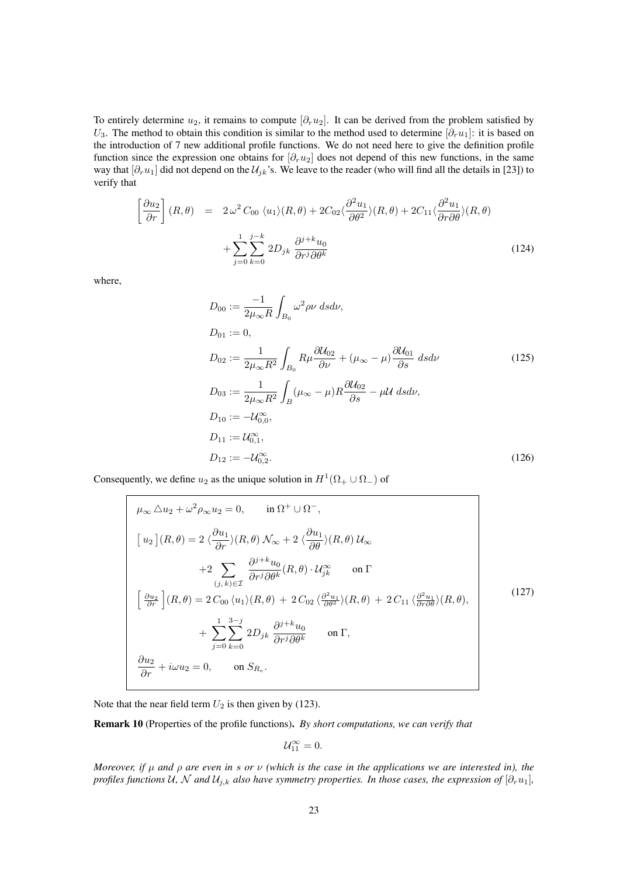To entirely determine  $u_2$ , it remains to compute  $[\partial_r u_2]$ . It can be derived from the problem satisfied by U<sub>3</sub>. The method to obtain this condition is similar to the method used to determine  $[\partial_r u_1]$ : it is based on the introduction of 7 new additional profile functions. We do not need here to give the definition profile function since the expression one obtains for  $[\partial_r u_2]$  does not depend of this new functions, in the same way that  $[\partial_r u_1]$  did not depend on the  $\mathcal{U}_{jk}$ 's. We leave to the reader (who will find all the details in [23]) to verify that

$$
\left[\frac{\partial u_2}{\partial r}\right](R,\theta) = 2\omega^2 C_{00} \langle u_1 \rangle (R,\theta) + 2C_{02} \langle \frac{\partial^2 u_1}{\partial \theta^2} \rangle (R,\theta) + 2C_{11} \langle \frac{\partial^2 u_1}{\partial r \partial \theta} \rangle (R,\theta) + \sum_{j=0}^1 \sum_{k=0}^{j-k} 2D_{jk} \frac{\partial^{j+k} u_0}{\partial r^j \partial \theta^k}
$$
\n(124)

where,

$$
D_{00} := \frac{-1}{2\mu_{\infty}R} \int_{B_0} \omega^2 \rho \nu \, ds \, dv,
$$
  
\n
$$
D_{01} := 0,
$$
  
\n
$$
D_{02} := \frac{1}{2\mu_{\infty}R^2} \int_{B_0} R\mu \frac{\partial \mathcal{U}_{02}}{\partial \nu} + (\mu_{\infty} - \mu) \frac{\partial \mathcal{U}_{01}}{\partial s} \, ds \, dv
$$
  
\n
$$
D_{03} := \frac{1}{2\mu_{\infty}R^2} \int_{B} (\mu_{\infty} - \mu)R \frac{\partial \mathcal{U}_{02}}{\partial s} - \mu \mathcal{U} \, ds \, dv,
$$
  
\n
$$
D_{10} := -\mathcal{U}_{0,0}^{\infty},
$$
  
\n
$$
D_{11} := \mathcal{U}_{0,1}^{\infty},
$$
  
\n
$$
D_{12} := -\mathcal{U}_{0,2}^{\infty}.
$$
\n(126)

Consequently, we define  $u_2$  as the unique solution in  $H^1(\Omega_+ \cup \Omega_-)$  of

$$
\mu_{\infty} \Delta u_2 + \omega^2 \rho_{\infty} u_2 = 0, \quad \text{in } \Omega^+ \cup \Omega^-,
$$
\n
$$
\left[ u_2 \right](R, \theta) = 2 \left\langle \frac{\partial u_1}{\partial r} \right\rangle (R, \theta) \mathcal{N}_{\infty} + 2 \left\langle \frac{\partial u_1}{\partial \theta} \right\rangle (R, \theta) \mathcal{U}_{\infty}
$$
\n
$$
+ 2 \sum_{(j,k)\in\mathcal{I}} \frac{\partial^{j+k} u_0}{\partial r^j \partial \theta^k} (R, \theta) \cdot \mathcal{U}_{jk}^{\infty} \quad \text{on } \Gamma
$$
\n
$$
\left[ \frac{\partial u_2}{\partial r} \right](R, \theta) = 2 C_{00} \langle u_1 \rangle (R, \theta) + 2 C_{02} \left\langle \frac{\partial^2 u_1}{\partial \theta^2} \right\rangle (R, \theta) + 2 C_{11} \left\langle \frac{\partial^2 u_1}{\partial r \partial \theta} \right\rangle (R, \theta),
$$
\n
$$
+ \sum_{j=0}^1 \sum_{k=0}^{3-j} 2D_{jk} \frac{\partial^{j+k} u_0}{\partial r^j \partial \theta^k} \quad \text{on } \Gamma,
$$
\n
$$
\frac{\partial u_2}{\partial r} + i \omega u_2 = 0, \quad \text{on } S_{R_e}.
$$
\n(127)

Note that the near field term  $U_2$  is then given by (123).

Remark 10 (Properties of the profile functions). *By short computations, we can verify that*

$$
\mathcal{U}_{11}^{\infty}=0.
$$

*Moreover, if* µ *and* ρ *are even in* s *or* ν *(which is the case in the applications we are interested in), the profiles functions*  $U$ *, N and*  $U_{j,k}$  *also have symmetry properties. In those cases, the expression of*  $[\partial_r u_1]$ *,*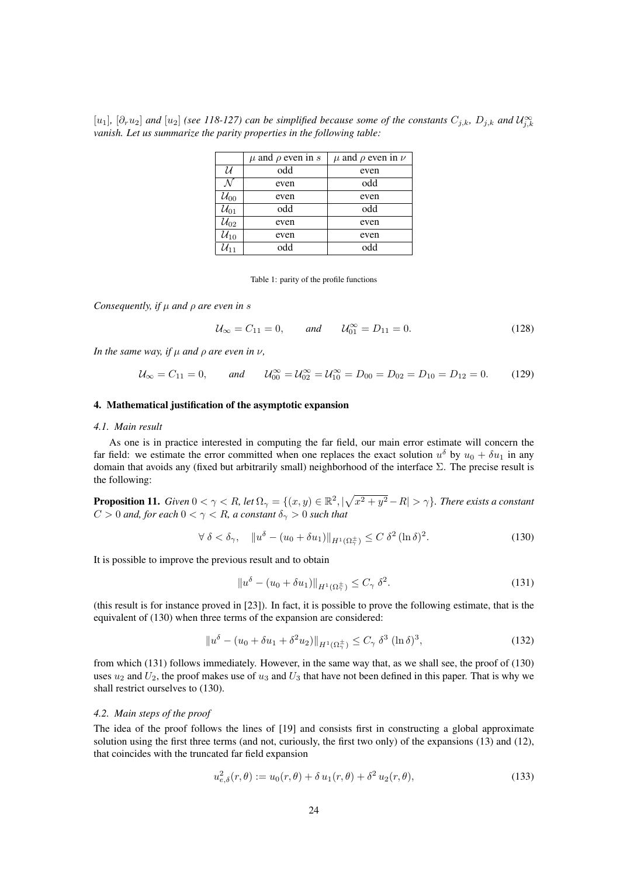$[u_1]$ ,  $[\partial_r u_2]$  and  $[u_2]$  *(see 118-127) can be simplified because some of the constants*  $C_{j,k}$ ,  $D_{j,k}$  and  $\mathcal{U}_{j,k}^{\infty}$ *vanish. Let us summarize the parity properties in the following table:*

|                               | $\mu$ and $\rho$ even in s | $\mu$ and $\rho$ even in $\nu$ |
|-------------------------------|----------------------------|--------------------------------|
| U                             | odd                        | even                           |
| N                             | even                       | odd                            |
| $\mathcal{U}_{00}$            | even                       | even                           |
| $\overline{\mathcal{U}_{01}}$ | odd                        | odd                            |
| $\overline{\mathcal{U}_{02}}$ | even                       | even                           |
| $\overline{\mathcal{U}_{10}}$ | even                       | even                           |
| $\mathcal{U}_{11}$            | odd                        | odd                            |

Table 1: parity of the profile functions

*Consequently, if* µ *and* ρ *are even in* s

$$
\mathcal{U}_{\infty} = C_{11} = 0, \qquad \text{and} \qquad \mathcal{U}_{01}^{\infty} = D_{11} = 0. \tag{128}
$$

*In the same way, if*  $\mu$  *and*  $\rho$  *are even in*  $\nu$ *,* 

$$
\mathcal{U}_{\infty} = C_{11} = 0, \qquad \text{and} \qquad \mathcal{U}_{00}^{\infty} = \mathcal{U}_{02}^{\infty} = \mathcal{U}_{10}^{\infty} = D_{00} = D_{02} = D_{10} = D_{12} = 0. \tag{129}
$$

#### 4. Mathematical justification of the asymptotic expansion

#### *4.1. Main result*

As one is in practice interested in computing the far field, our main error estimate will concern the far field: we estimate the error committed when one replaces the exact solution  $u^{\delta}$  by  $u_0 + \delta u_1$  in any domain that avoids any (fixed but arbitrarily small) neighborhood of the interface Σ. The precise result is the following:

**Proposition 11.** *Given*  $0 < \gamma < R$ *, let*  $\Omega_{\gamma} = \{(x, y) \in \mathbb{R}^2, |\sqrt{x^2 + y^2} - R| > \gamma\}$ *. There exists a constant*  $C > 0$  and, for each  $0 < \gamma < R$ , a constant  $\delta_{\gamma} > 0$  such that

$$
\forall \delta < \delta_{\gamma}, \quad \|u^{\delta} - (u_0 + \delta u_1)\|_{H^1(\Omega^{\pm}_{\gamma})} \le C \delta^2 (\ln \delta)^2. \tag{130}
$$

It is possible to improve the previous result and to obtain

$$
||u^{\delta} - (u_0 + \delta u_1)||_{H^1(\Omega^{\pm}_\gamma)} \le C_\gamma \delta^2.
$$
 (131)

(this result is for instance proved in [23]). In fact, it is possible to prove the following estimate, that is the equivalent of (130) when three terms of the expansion are considered:

$$
||u^{\delta} - (u_0 + \delta u_1 + \delta^2 u_2)||_{H^1(\Omega^{\pm}_\gamma)} \le C_\gamma \delta^3 (\ln \delta)^3,
$$
\n(132)

from which (131) follows immediately. However, in the same way that, as we shall see, the proof of (130) uses  $u_2$  and  $U_2$ , the proof makes use of  $u_3$  and  $U_3$  that have not been defined in this paper. That is why we shall restrict ourselves to (130).

#### *4.2. Main steps of the proof*

The idea of the proof follows the lines of [19] and consists first in constructing a global approximate solution using the first three terms (and not, curiously, the first two only) of the expansions (13) and (12), that coincides with the truncated far field expansion

$$
u_{e,\delta}^2(r,\theta) := u_0(r,\theta) + \delta u_1(r,\theta) + \delta^2 u_2(r,\theta),\tag{133}
$$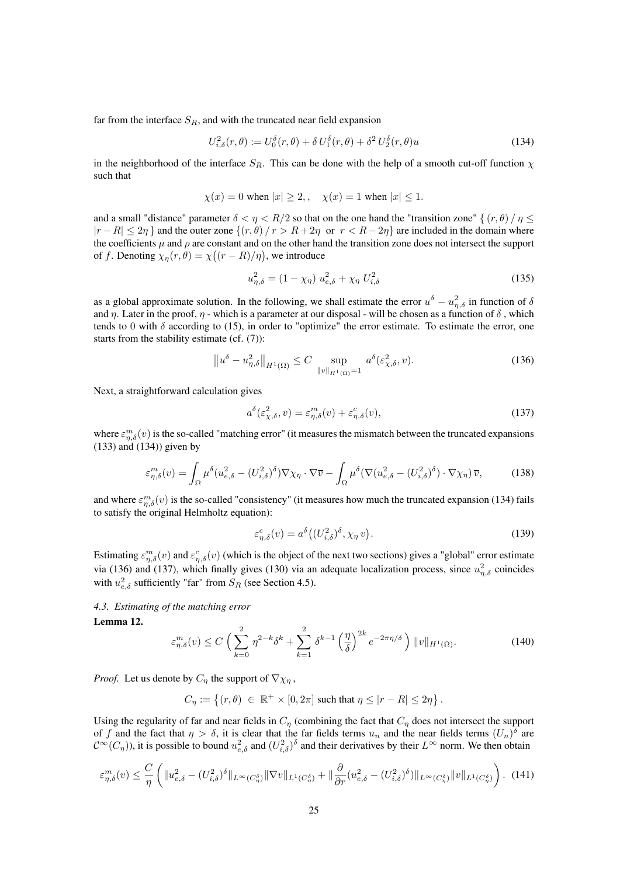far from the interface  $S_R$ , and with the truncated near field expansion

$$
U_{i,\delta}^2(r,\theta) := U_0^{\delta}(r,\theta) + \delta U_1^{\delta}(r,\theta) + \delta^2 U_2^{\delta}(r,\theta)u
$$
\n(134)

in the neighborhood of the interface  $S_R$ . This can be done with the help of a smooth cut-off function  $\chi$ such that

$$
\chi(x) = 0 \text{ when } |x| \ge 2, \quad \chi(x) = 1 \text{ when } |x| \le 1.
$$

and a small "distance" parameter δ < η < R/2 so that on the one hand the "transition zone" { (r, θ) / η ≤  $|r - R| \leq 2\eta$  } and the outer zone  $\{(r, \theta)/r > R + 2\eta \text{ or } r < R - 2\eta\}$  are included in the domain where the coefficients  $\mu$  and  $\rho$  are constant and on the other hand the transition zone does not intersect the support of f. Denoting  $\chi_{\eta}(r,\theta) = \chi((r - R)/\eta)$ , we introduce

$$
u_{\eta,\delta}^2 = (1 - \chi_{\eta}) u_{e,\delta}^2 + \chi_{\eta} U_{i,\delta}^2
$$
 (135)

as a global approximate solution. In the following, we shall estimate the error  $u^{\delta} - u_{\eta,\delta}^2$  in function of  $\delta$ and  $\eta$ . Later in the proof,  $\eta$  - which is a parameter at our disposal - will be chosen as a function of  $\delta$ , which tends to 0 with  $\delta$  according to (15), in order to "optimize" the error estimate. To estimate the error, one starts from the stability estimate (cf. (7)):

$$
\left\|u^{\delta} - u_{\eta,\delta}^{2}\right\|_{H^{1}(\Omega)} \leq C \sup_{\|v\|_{H^{1}(\Omega)} = 1} a^{\delta}(\varepsilon_{\chi,\delta}^{2}, v).
$$
 (136)

Next, a straightforward calculation gives

$$
a^{\delta}(\varepsilon_{\chi,\delta}^{2},v) = \varepsilon_{\eta,\delta}^{m}(v) + \varepsilon_{\eta,\delta}^{c}(v),
$$
\n(137)

where  $\varepsilon_{\eta,\delta}^m(v)$  is the so-called "matching error" (it measures the mismatch between the truncated expansions (133) and (134)) given by

$$
\varepsilon_{\eta,\delta}^m(v) = \int_{\Omega} \mu^{\delta}(u_{e,\delta}^2 - (U_{i,\delta}^2)^{\delta}) \nabla \chi_{\eta} \cdot \nabla \overline{v} - \int_{\Omega} \mu^{\delta}(\nabla (u_{e,\delta}^2 - (U_{i,\delta}^2)^{\delta}) \cdot \nabla \chi_{\eta}) \,\overline{v},\tag{138}
$$

and where  $\varepsilon_{\eta,\delta}^m(v)$  is the so-called "consistency" (it measures how much the truncated expansion (134) fails to satisfy the original Helmholtz equation):

$$
\varepsilon_{\eta,\delta}^c(v) = a^\delta \big( (U_{i,\delta}^2)^\delta, \chi_\eta v \big). \tag{139}
$$

Estimating  $\varepsilon_{\eta,\delta}^m(v)$  and  $\varepsilon_{\eta,\delta}^c(v)$  (which is the object of the next two sections) gives a "global" error estimate via (136) and (137), which finally gives (130) via an adequate localization process, since  $u_{\eta,\delta}^2$  coincides with  $u_{e,\delta}^2$  sufficiently "far" from  $S_R$  (see Section 4.5).

# *4.3. Estimating of the matching error*

Lemma 12.

$$
\varepsilon_{\eta,\delta}^m(v) \le C \left( \sum_{k=0}^2 \eta^{2-k} \delta^k + \sum_{k=1}^2 \delta^{k-1} \left( \frac{\eta}{\delta} \right)^{2k} e^{-2\pi \eta/\delta} \right) \|v\|_{H^1(\Omega)}.
$$
 (140)

*Proof.* Let us denote by  $C_n$  the support of  $\nabla \chi_n$ ,

$$
C_\eta:=\left\{(r,\theta)\;\in\;\mathbb{R}^+\times[0,2\pi]\;\textrm{such that}\;\eta\leq|r-R|\leq2\eta\right\}.
$$

Using the regularity of far and near fields in  $C_\eta$  (combining the fact that  $C_\eta$  does not intersect the support of f and the fact that  $\eta > \delta$ , it is clear that the far fields terms  $u_n$  and the near fields terms  $(U_n)^\delta$  are  $\mathcal{C}^{\infty}(C_{\eta})$ ), it is possible to bound  $u_{e,\delta}^2$  and  $(U_{i,\delta}^2)^{\delta}$  and their derivatives by their  $L^{\infty}$  norm. We then obtain

$$
\varepsilon_{\eta,\delta}^m(v) \leq \frac{C}{\eta} \left( \|u_{e,\delta}^2 - (U_{i,\delta}^2)^\delta\|_{L^\infty(C_\eta^\delta)} \|\nabla v\|_{L^1(C_\eta^\delta)} + \|\frac{\partial}{\partial r} (u_{e,\delta}^2 - (U_{i,\delta}^2)^\delta) \|_{L^\infty(C_\eta^\delta)} \|v\|_{L^1(C_\eta^\delta)} \right). \tag{141}
$$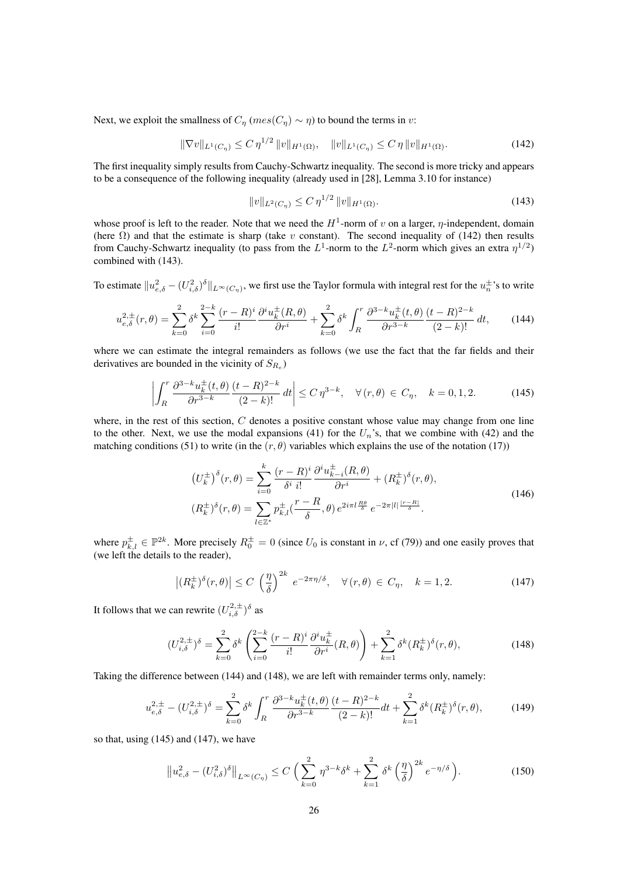Next, we exploit the smallness of  $C_n$  ( $mes(C_n) \sim \eta$ ) to bound the terms in v:

$$
\|\nabla v\|_{L^1(C_\eta)} \le C \,\eta^{1/2} \, \|v\|_{H^1(\Omega)}, \quad \|v\|_{L^1(C_\eta)} \le C \,\eta \, \|v\|_{H^1(\Omega)}.
$$
\n(142)

The first inequality simply results from Cauchy-Schwartz inequality. The second is more tricky and appears to be a consequence of the following inequality (already used in [28], Lemma 3.10 for instance)

$$
||v||_{L^{2}(C_{\eta})} \leq C \eta^{1/2} ||v||_{H^{1}(\Omega)}.
$$
\n(143)

whose proof is left to the reader. Note that we need the  $H^1$ -norm of v on a larger,  $\eta$ -independent, domain (here  $\Omega$ ) and that the estimate is sharp (take v constant). The second inequality of (142) then results from Cauchy-Schwartz inequality (to pass from the  $L^1$ -norm to the  $L^2$ -norm which gives an extra  $\eta^{1/2}$ ) combined with (143).

To estimate  $||u_{e,\delta}^2 - (U_{i,\delta}^2)^{\delta}||_{L^{\infty}(C_{\eta})}$ , we first use the Taylor formula with integral rest for the  $u_n^{\pm}$ 's to write

$$
u_{e,\delta}^{2,\pm}(r,\theta) = \sum_{k=0}^{2} \delta^k \sum_{i=0}^{2-k} \frac{(r-R)^i}{i!} \frac{\partial^i u_k^{\pm}(R,\theta)}{\partial r^i} + \sum_{k=0}^{2} \delta^k \int_R^r \frac{\partial^{3-k} u_k^{\pm}(t,\theta)}{\partial r^{3-k}} \frac{(t-R)^{2-k}}{(2-k)!} dt,
$$
 (144)

where we can estimate the integral remainders as follows (we use the fact that the far fields and their derivatives are bounded in the vicinity of  $S_{R_e}$ )

$$
\left| \int_{R}^{r} \frac{\partial^{3-k} u_k^{\pm}(t,\theta)}{\partial r^{3-k}} \frac{(t-R)^{2-k}}{(2-k)!} dt \right| \le C \eta^{3-k}, \quad \forall (r,\theta) \in C_{\eta}, \quad k = 0, 1, 2. \tag{145}
$$

where, in the rest of this section,  $C$  denotes a positive constant whose value may change from one line to the other. Next, we use the modal expansions (41) for the  $U_n$ 's, that we combine with (42) and the matching conditions (51) to write (in the  $(r, \theta)$  variables which explains the use of the notation (17))

$$
(U_k^{\pm})^{\delta}(r,\theta) = \sum_{i=0}^{k} \frac{(r-R)^i}{\delta^i} \frac{\partial^i u_{k-i}^{\pm}(R,\theta)}{\partial r^i} + (R_k^{\pm})^{\delta}(r,\theta),
$$
  

$$
(R_k^{\pm})^{\delta}(r,\theta) = \sum_{l \in \mathbb{Z}^*} p_{k,l}^{\pm} \left(\frac{r-R}{\delta}, \theta\right) e^{2i\pi l \frac{R\theta}{\delta}} e^{-2\pi |l|^{\frac{|r-R|}{\delta}}}.
$$
 (146)

where  $p_{k,l}^{\pm} \in \mathbb{P}^{2k}$ . More precisely  $R_0^{\pm} = 0$  (since  $U_0$  is constant in  $\nu$ , cf (79)) and one easily proves that (we left the details to the reader),

$$
\left| (R_k^{\pm})^{\delta}(r,\theta) \right| \le C \left( \frac{\eta}{\delta} \right)^{2k} e^{-2\pi\eta/\delta}, \quad \forall (r,\theta) \in C_{\eta}, \quad k = 1,2. \tag{147}
$$

It follows that we can rewrite  $(U_{i,\delta}^{2,\pm})^{\delta}$  as

$$
(U_{i,\delta}^{2,\pm})^{\delta} = \sum_{k=0}^{2} \delta^{k} \left( \sum_{i=0}^{2-k} \frac{(r-R)^{i}}{i!} \frac{\partial^{i} u_{k}^{\pm}}{\partial r^{i}}(R,\theta) \right) + \sum_{k=1}^{2} \delta^{k} (R_{k}^{\pm})^{\delta}(r,\theta), \tag{148}
$$

Taking the difference between (144) and (148), we are left with remainder terms only, namely:

$$
u_{e,\delta}^{2,\pm} - (U_{i,\delta}^{2,\pm})^{\delta} = \sum_{k=0}^{2} \delta^k \int_R^r \frac{\partial^{3-k} u_k^{\pm}(t,\theta)}{\partial r^{3-k}} \frac{(t-R)^{2-k}}{(2-k)!} dt + \sum_{k=1}^{2} \delta^k (R_k^{\pm})^{\delta}(r,\theta),\tag{149}
$$

so that, using (145) and (147), we have

$$
\left\|u_{e,\delta}^{2} - (U_{i,\delta}^{2})^{\delta}\right\|_{L^{\infty}(C_{\eta})} \leq C\left(\sum_{k=0}^{2} \eta^{3-k} \delta^{k} + \sum_{k=1}^{2} \delta^{k} \left(\frac{\eta}{\delta}\right)^{2k} e^{-\eta/\delta}\right).
$$
 (150)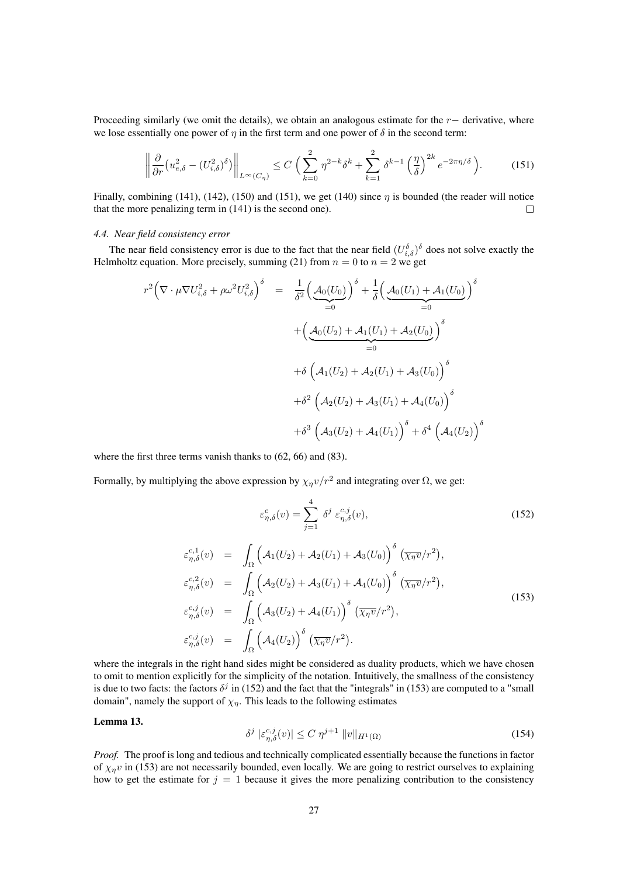Proceeding similarly (we omit the details), we obtain an analogous estimate for the  $r-$  derivative, where we lose essentially one power of  $\eta$  in the first term and one power of  $\delta$  in the second term:

$$
\left\| \frac{\partial}{\partial r} \left( u_{e,\delta}^2 - (U_{i,\delta}^2)^\delta \right) \right\|_{L^\infty(C_\eta)} \le C \left( \sum_{k=0}^2 \eta^{2-k} \delta^k + \sum_{k=1}^2 \delta^{k-1} \left( \frac{\eta}{\delta} \right)^{2k} e^{-2\pi \eta/\delta} \right). \tag{151}
$$

Finally, combining (141), (142), (150) and (151), we get (140) since  $\eta$  is bounded (the reader will notice that the more penalizing term in (141) is the second one).  $\Box$ 

## *4.4. Near field consistency error*

The near field consistency error is due to the fact that the near field  $(U_{i,\delta}^{\delta})^{\delta}$  does not solve exactly the Helmholtz equation. More precisely, summing (21) from  $n = 0$  to  $n = 2$  we get

$$
r^{2} \left(\nabla \cdot \mu \nabla U_{i,\delta}^{2} + \rho \omega^{2} U_{i,\delta}^{2}\right)^{\delta} = \frac{1}{\delta^{2}} \left(\underbrace{\mathcal{A}_{0}(U_{0})}_{=0}\right)^{\delta} + \frac{1}{\delta} \left(\underbrace{\mathcal{A}_{0}(U_{1}) + \mathcal{A}_{1}(U_{0})}_{=0}\right)^{\delta}
$$
  
+ 
$$
\left(\underbrace{\mathcal{A}_{0}(U_{2}) + \mathcal{A}_{1}(U_{1}) + \mathcal{A}_{2}(U_{0})}_{=0}\right)^{\delta}
$$
  
+ 
$$
\delta \left(\mathcal{A}_{1}(U_{2}) + \mathcal{A}_{2}(U_{1}) + \mathcal{A}_{3}(U_{0})\right)^{\delta}
$$
  
+ 
$$
\delta^{2} \left(\mathcal{A}_{2}(U_{2}) + \mathcal{A}_{3}(U_{1}) + \mathcal{A}_{4}(U_{0})\right)^{\delta}
$$
  
+ 
$$
\delta^{3} \left(\mathcal{A}_{3}(U_{2}) + \mathcal{A}_{4}(U_{1})\right)^{\delta} + \delta^{4} \left(\mathcal{A}_{4}(U_{2})\right)^{\delta}
$$

where the first three terms vanish thanks to (62, 66) and (83).

Formally, by multiplying the above expression by  $\chi_{\eta} v/r^2$  and integrating over  $\Omega$ , we get:

$$
\varepsilon_{\eta,\delta}^{c}(v) = \sum_{j=1}^{4} \delta^{j} \varepsilon_{\eta,\delta}^{c,j}(v),
$$
\n
$$
\varepsilon_{\eta,\delta}^{c,1}(v) = \int_{\Omega} \left( \mathcal{A}_{1}(U_{2}) + \mathcal{A}_{2}(U_{1}) + \mathcal{A}_{3}(U_{0}) \right)^{\delta} \left( \overline{\chi_{\eta}v}/r^{2} \right),
$$
\n
$$
\varepsilon_{\eta,\delta}^{c,2}(v) = \int_{\Omega} \left( \mathcal{A}_{2}(U_{2}) + \mathcal{A}_{3}(U_{1}) + \mathcal{A}_{4}(U_{0}) \right)^{\delta} \left( \overline{\chi_{\eta}v}/r^{2} \right),
$$
\n
$$
\varepsilon_{\eta,\delta}^{c,j}(v) = \int_{\Omega} \left( \mathcal{A}_{3}(U_{2}) + \mathcal{A}_{4}(U_{1}) \right)^{\delta} \left( \overline{\chi_{\eta}v}/r^{2} \right),
$$
\n
$$
\varepsilon_{\eta,\delta}^{c,j}(v) = \int_{\Omega} \left( \mathcal{A}_{4}(U_{2}) \right)^{\delta} \left( \overline{\chi_{\eta}v}/r^{2} \right).
$$
\n(153)

where the integrals in the right hand sides might be considered as duality products, which we have chosen to omit to mention explicitly for the simplicity of the notation. Intuitively, the smallness of the consistency is due to two facts: the factors  $\delta^j$  in (152) and the fact that the "integrals" in (153) are computed to a "small domain", namely the support of  $\chi_n$ . This leads to the following estimates

#### Lemma 13.

$$
\delta^j \left| \varepsilon_{\eta,\delta}^{c,j}(v) \right| \le C \eta^{j+1} \, \|v\|_{H^1(\Omega)} \tag{154}
$$

*Proof.* The proof is long and tedious and technically complicated essentially because the functions in factor of  $\chi_n v$  in (153) are not necessarily bounded, even locally. We are going to restrict ourselves to explaining how to get the estimate for  $j = 1$  because it gives the more penalizing contribution to the consistency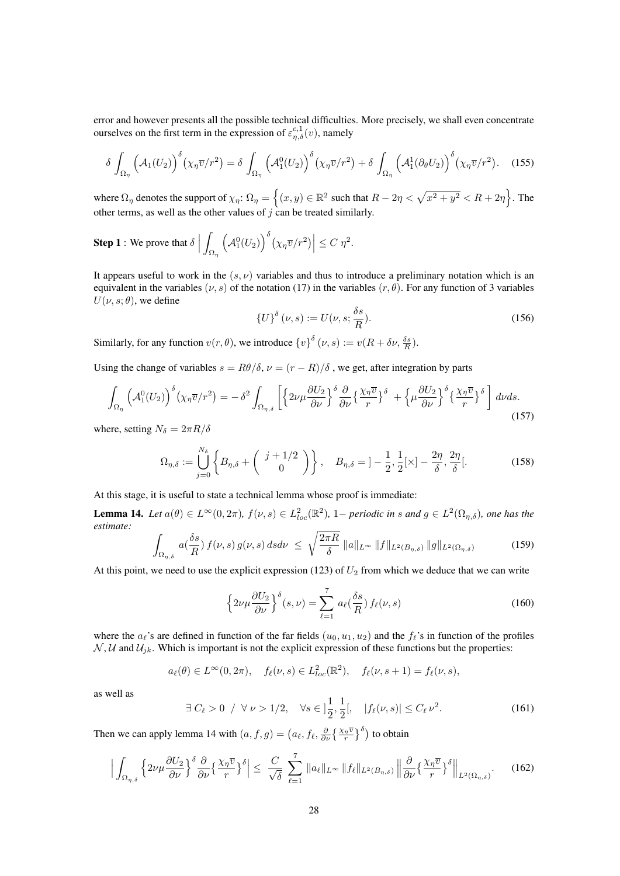error and however presents all the possible technical difficulties. More precisely, we shall even concentrate ourselves on the first term in the expression of  $\varepsilon_{\eta,\delta}^{c,1}(v)$ , namely

$$
\delta \int_{\Omega_{\eta}} \left( \mathcal{A}_1(U_2) \right)^{\delta} \left( \chi_{\eta} \overline{v}/r^2 \right) = \delta \int_{\Omega_{\eta}} \left( \mathcal{A}_1^0(U_2) \right)^{\delta} \left( \chi_{\eta} \overline{v}/r^2 \right) + \delta \int_{\Omega_{\eta}} \left( \mathcal{A}_1^1(\partial_{\theta} U_2) \right)^{\delta} \left( \chi_{\eta} \overline{v}/r^2 \right). \tag{155}
$$

where  $\Omega_\eta$  denotes the support of  $\chi_\eta\colon \Omega_\eta=\left\{(x,y)\in\mathbb{R}^2 \hbox{ such that } R-2\eta<\sqrt{x^2+y^2}< R+2\eta\right\}.$  The other terms, as well as the other values of  $j$  can be treated similarly.

**Step 1**: We prove that 
$$
\delta \left| \int_{\Omega_{\eta}} \left( \mathcal{A}_1^0(U_2) \right)^{\delta} (\chi_{\eta} \overline{v}/r^2) \right| \leq C \eta^2
$$
.

It appears useful to work in the  $(s, \nu)$  variables and thus to introduce a preliminary notation which is an equivalent in the variables ( $\nu$ , s) of the notation (17) in the variables (r,  $\theta$ ). For any function of 3 variables  $U(\nu, s; \theta)$ , we define

$$
\{U\}^{\delta}(\nu,s) := U(\nu,s;\frac{\delta s}{R}).\tag{156}
$$

Similarly, for any function  $v(r, \theta)$ , we introduce  $\{v\}^{\delta}(\nu, s) := v(R + \delta \nu, \frac{\delta s}{R})$ .

Using the change of variables  $s = R\theta/\delta$ ,  $\nu = (r - R)/\delta$ , we get, after integration by parts

$$
\int_{\Omega_{\eta}} \left( \mathcal{A}_1^0(U_2) \right)^{\delta} (\chi_{\eta} \overline{v}/r^2) = -\delta^2 \int_{\Omega_{\eta,\delta}} \left[ \left\{ 2\nu \mu \frac{\partial U_2}{\partial \nu} \right\}^{\delta} \frac{\partial}{\partial \nu} \left\{ \frac{\chi_{\eta} \overline{v}}{r} \right\}^{\delta} + \left\{ \mu \frac{\partial U_2}{\partial \nu} \right\}^{\delta} \left\{ \frac{\chi_{\eta} \overline{v}}{r} \right\}^{\delta} \right] dv ds. \tag{157}
$$

where, setting  $N_{\delta} = 2\pi R/\delta$ 

$$
\Omega_{\eta,\delta} := \bigcup_{j=0}^{N_{\delta}} \left\{ B_{\eta,\delta} + \begin{pmatrix} j+1/2\\ 0 \end{pmatrix} \right\}, \quad B_{\eta,\delta} = \left[ -\frac{1}{2}, \frac{1}{2} [\times] - \frac{2\eta}{\delta}, \frac{2\eta}{\delta} \right].
$$
 (158)

At this stage, it is useful to state a technical lemma whose proof is immediate:

**Lemma 14.** Let  $a(\theta) \in L^{\infty}(0, 2\pi)$ ,  $f(\nu, s) \in L^2_{loc}(\mathbb{R}^2)$ , 1– *periodic in* s and  $g \in L^2(\Omega_{\eta, \delta})$ , one has the *estimate:*

$$
\int_{\Omega_{\eta,\delta}} a(\frac{\delta s}{R}) f(\nu, s) g(\nu, s) ds d\nu \le \sqrt{\frac{2\pi R}{\delta}} \|a\|_{L^{\infty}} \|f\|_{L^{2}(B_{\eta,\delta})} \|g\|_{L^{2}(\Omega_{\eta,\delta})}
$$
(159)

At this point, we need to use the explicit expression (123) of  $U_2$  from which we deduce that we can write

$$
\left\{2\nu\mu\frac{\partial U_2}{\partial\nu}\right\}^\delta(s,\nu) = \sum_{\ell=1}^7 a_\ell(\frac{\delta s}{R}) f_\ell(\nu,s)
$$
\n(160)

where the  $a_\ell$ 's are defined in function of the far fields  $(u_0, u_1, u_2)$  and the  $f_\ell$ 's in function of the profiles  $\mathcal{N}, \mathcal{U}$  and  $\mathcal{U}_{jk}$ . Which is important is not the explicit expression of these functions but the properties:

$$
a_{\ell}(\theta) \in L^{\infty}(0, 2\pi), \quad f_{\ell}(\nu, s) \in L^{2}_{loc}(\mathbb{R}^{2}), \quad f_{\ell}(\nu, s+1) = f_{\ell}(\nu, s),
$$

as well as

$$
\exists C_{\ell} > 0 \ / \ \forall \nu > 1/2, \ \forall s \in ]\frac{1}{2}, \frac{1}{2}[, \ |f_{\ell}(\nu, s)| \le C_{\ell} \nu^{2}.
$$
 (161)

Then we can apply lemma 14 with  $(a, f, g) = (a_\ell, f_\ell, \frac{\partial}{\partial \nu} {\frac{x_n^{\overline{v}}}{r}})$  to obtain

$$
\Big| \int_{\Omega_{\eta,\delta}} \Big\{ 2\nu\mu \frac{\partial U_2}{\partial \nu} \Big\}^{\delta} \frac{\partial}{\partial \nu} \Big\{ \frac{\chi_{\eta} \overline{v}}{r} \Big\}^{\delta} \Big| \leq \frac{C}{\sqrt{\delta}} \sum_{\ell=1}^{7} \|a_{\ell}\|_{L^{\infty}} \|f_{\ell}\|_{L^{2}(B_{\eta,\delta})} \Big\| \frac{\partial}{\partial \nu} \Big\{ \frac{\chi_{\eta} \overline{v}}{r} \Big\}^{\delta} \Big\|_{L^{2}(\Omega_{\eta,\delta})} . \tag{162}
$$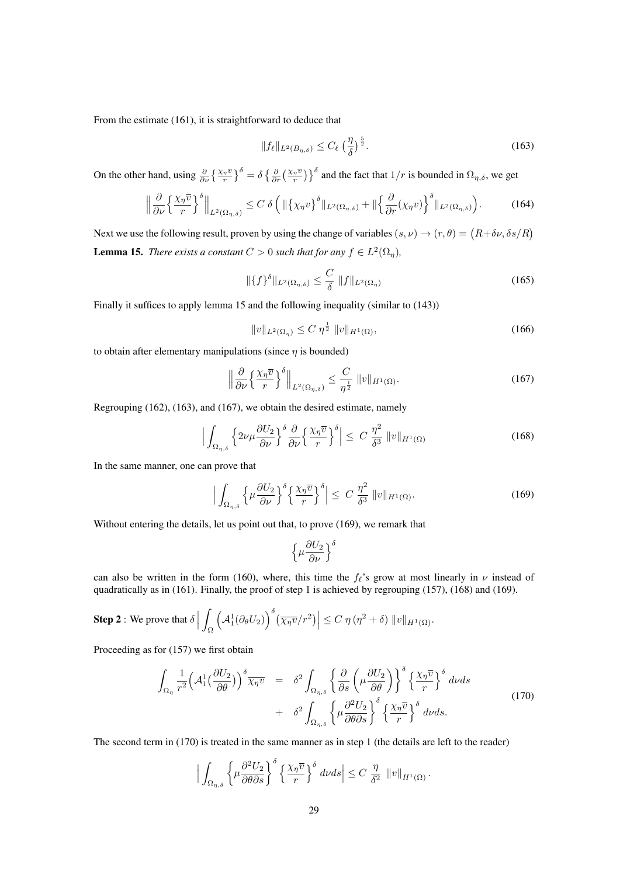From the estimate (161), it is straightforward to deduce that

$$
||f_{\ell}||_{L^{2}(B_{\eta,\delta})} \leq C_{\ell} \left(\frac{\eta}{\delta}\right)^{\frac{5}{2}}.
$$
\n(163)

On the other hand, using  $\frac{\partial}{\partial \nu} \left\{ \frac{X \eta \overline{v}}{r} \right\}^{\delta} = \delta \left\{ \frac{\partial}{\partial r} \left( \frac{X \eta \overline{v}}{r} \right) \right\}^{\delta}$  and the fact that  $1/r$  is bounded in  $\Omega_{\eta,\delta}$ , we get

$$
\left\|\frac{\partial}{\partial\nu}\left\{\frac{\chi_{\eta}\overline{v}}{r}\right\}^{\delta}\right\|_{L^{2}(\Omega_{\eta,\delta})} \leq C \,\delta\left(\left\|\left\{\chi_{\eta}v\right\}^{\delta}\right\|_{L^{2}(\Omega_{\eta,\delta})} + \left\|\left\{\frac{\partial}{\partial r}(\chi_{\eta}v)\right\}^{\delta}\right\|_{L^{2}(\Omega_{\eta,\delta})}\right). \tag{164}
$$

Next we use the following result, proven by using the change of variables  $(s, \nu) \to (r, \theta) = (R + \delta \nu, \delta s/R)$ **Lemma 15.** *There exists a constant*  $C > 0$  *such that for any*  $f \in L^2(\Omega_\eta)$ *,* 

$$
\|\{f\}^{\delta}\|_{L^2(\Omega_{\eta,\delta})} \le \frac{C}{\delta} \|f\|_{L^2(\Omega_{\eta})}
$$
\n(165)

Finally it suffices to apply lemma 15 and the following inequality (similar to (143))

$$
||v||_{L^{2}(\Omega_{\eta})} \leq C \eta^{\frac{1}{2}} ||v||_{H^{1}(\Omega)},
$$
\n(166)

to obtain after elementary manipulations (since  $\eta$  is bounded)

$$
\left\|\frac{\partial}{\partial\nu}\left\{\frac{\chi_{\eta}\overline{v}}{r}\right\}^{\delta}\right\|_{L^{2}(\Omega_{\eta,\delta})} \leq \frac{C}{\eta^{\frac{1}{2}}} \left\|v\right\|_{H^{1}(\Omega)}.
$$
\n(167)

Regrouping (162), (163), and (167), we obtain the desired estimate, namely

$$
\Big| \int_{\Omega_{\eta,\delta}} \Big\{ 2\nu\mu \frac{\partial U_2}{\partial \nu} \Big\}^{\delta} \frac{\partial}{\partial \nu} \Big\{ \frac{\chi_{\eta} \overline{v}}{r} \Big\}^{\delta} \Big| \leq C \frac{\eta^2}{\delta^3} \, \|v\|_{H^1(\Omega)} \tag{168}
$$

In the same manner, one can prove that

$$
\left| \int_{\Omega_{\eta,\delta}} \left\{ \mu \frac{\partial U_2}{\partial \nu} \right\}^{\delta} \left\{ \frac{\chi_{\eta} \overline{v}}{r} \right\}^{\delta} \right| \leq C \frac{\eta^2}{\delta^3} \, \|v\|_{H^1(\Omega)}.
$$
 (169)

Without entering the details, let us point out that, to prove (169), we remark that

$$
\left\{\mu\frac{\partial U_2}{\partial\nu}\right\}^\delta
$$

can also be written in the form (160), where, this time the  $f_{\ell}$ 's grow at most linearly in  $\nu$  instead of quadratically as in (161). Finally, the proof of step 1 is achieved by regrouping (157), (168) and (169).

**Step 2**: We prove that 
$$
\delta \Big| \int_{\Omega} \Big( A_1^1(\partial_{\theta} U_2) \Big)^{\delta} \left( \overline{\chi_{\eta} v}/r^2 \right) \Big| \leq C \eta \left( \eta^2 + \delta \right) ||v||_{H^1(\Omega)}
$$
.

Proceeding as for (157) we first obtain

$$
\int_{\Omega_{\eta}} \frac{1}{r^2} \left( \mathcal{A}_1^1 \left( \frac{\partial U_2}{\partial \theta} \right) \right)^{\delta} \overline{\chi_{\eta} v} = \delta^2 \int_{\Omega_{\eta,\delta}} \left\{ \frac{\partial}{\partial s} \left( \mu \frac{\partial U_2}{\partial \theta} \right) \right\}^{\delta} \left\{ \frac{\chi_{\eta} \overline{v}}{r} \right\}^{\delta} d\nu ds
$$
\n
$$
+ \delta^2 \int_{\Omega_{\eta,\delta}} \left\{ \mu \frac{\partial^2 U_2}{\partial \theta \partial s} \right\}^{\delta} \left\{ \frac{\chi_{\eta} \overline{v}}{r} \right\}^{\delta} d\nu ds. \tag{170}
$$

The second term in (170) is treated in the same manner as in step 1 (the details are left to the reader)

$$
\Big|\int_{\Omega_{\eta,\delta}}\left\{\mu\frac{\partial^2 U_2}{\partial\theta\partial s}\right\}^{\delta}\left\{\frac{\chi_{\eta}\overline{v}}{r}\right\}^{\delta}d\nu ds\Big|\leq C\,\frac{\eta}{\delta^2}\,\|v\|_{H^1(\Omega)}.
$$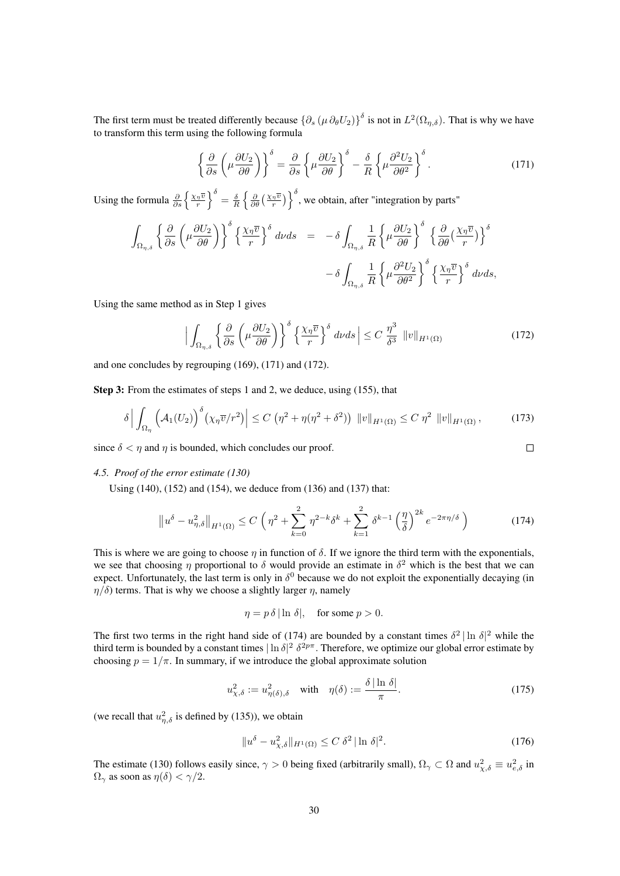The first term must be treated differently because  $\{\partial_s(\mu \partial_\theta U_2)\}^{\delta}$  is not in  $L^2(\Omega_{\eta,\delta})$ . That is why we have to transform this term using the following formula

$$
\left\{\frac{\partial}{\partial s}\left(\mu \frac{\partial U_2}{\partial \theta}\right)\right\}^\delta = \frac{\partial}{\partial s}\left\{\mu \frac{\partial U_2}{\partial \theta}\right\}^\delta - \frac{\delta}{R}\left\{\mu \frac{\partial^2 U_2}{\partial \theta^2}\right\}^\delta. \tag{171}
$$

Using the formula  $\frac{\partial}{\partial s} \left\{ \frac{\chi_{\eta} \overline{v}}{r} \right\}$  $\left(\frac{n\bar{v}}{r}\right)^{\delta} = \frac{\delta}{R} \left\{ \frac{\partial}{\partial \theta} \left(\frac{Xn\bar{v}}{r}\right) \right\}^{\delta}$ , we obtain, after "integration by parts"

$$
\int_{\Omega_{\eta,\delta}} \left\{ \frac{\partial}{\partial s} \left( \mu \frac{\partial U_2}{\partial \theta} \right) \right\}^{\delta} \left\{ \frac{\chi_{\eta} \overline{v}}{r} \right\}^{\delta} d\nu ds = -\delta \int_{\Omega_{\eta,\delta}} \frac{1}{R} \left\{ \mu \frac{\partial U_2}{\partial \theta} \right\}^{\delta} \left\{ \frac{\partial}{\partial \theta} \left( \frac{\chi_{\eta} \overline{v}}{r} \right) \right\}^{\delta} - \delta \int_{\Omega_{\eta,\delta}} \frac{1}{R} \left\{ \mu \frac{\partial^2 U_2}{\partial \theta^2} \right\}^{\delta} \left\{ \frac{\chi_{\eta} \overline{v}}{r} \right\}^{\delta} d\nu ds,
$$

Using the same method as in Step 1 gives

$$
\left| \int_{\Omega_{\eta,\delta}} \left\{ \frac{\partial}{\partial s} \left( \mu \frac{\partial U_2}{\partial \theta} \right) \right\}^{\delta} \left\{ \frac{\chi_{\eta} \overline{v}}{r} \right\}^{\delta} d\nu ds \right| \leq C \frac{\eta^3}{\delta^3} \|v\|_{H^1(\Omega)} \tag{172}
$$

 $\Box$ 

and one concludes by regrouping (169), (171) and (172).

Step 3: From the estimates of steps 1 and 2, we deduce, using (155), that

$$
\delta \left| \int_{\Omega_{\eta}} \left( \mathcal{A}_1(U_2) \right)^{\delta} \left( \chi_{\eta} \overline{v}/r^2 \right) \right| \le C \left( \eta^2 + \eta (\eta^2 + \delta^2) \right) \, \|v\|_{H^1(\Omega)} \le C \, \eta^2 \, \|v\|_{H^1(\Omega)}, \tag{173}
$$

since  $\delta < \eta$  and  $\eta$  is bounded, which concludes our proof.

## *4.5. Proof of the error estimate (130)*

Using (140), (152) and (154), we deduce from (136) and (137) that:

$$
\left\|u^{\delta}-u_{\eta,\delta}^{2}\right\|_{H^{1}(\Omega)} \leq C\left(\eta^{2} + \sum_{k=0}^{2} \eta^{2-k} \delta^{k} + \sum_{k=1}^{2} \delta^{k-1} \left(\frac{\eta}{\delta}\right)^{2k} e^{-2\pi\eta/\delta}\right) \tag{174}
$$

This is where we are going to choose  $\eta$  in function of  $\delta$ . If we ignore the third term with the exponentials, we see that choosing  $\eta$  proportional to  $\delta$  would provide an estimate in  $\delta^2$  which is the best that we can expect. Unfortunately, the last term is only in  $\delta^0$  because we do not exploit the exponentially decaying (in  $\eta/\delta$ ) terms. That is why we choose a slightly larger  $\eta$ , namely

$$
\eta = p \,\delta \,|\ln \, \delta|, \quad \text{for some } p > 0.
$$

The first two terms in the right hand side of (174) are bounded by a constant times  $\delta^2 |\ln \delta|^2$  while the third term is bounded by a constant times  $|\ln \delta|^2 \delta^{2p\pi}$ . Therefore, we optimize our global error estimate by choosing  $p = 1/\pi$ . In summary, if we introduce the global approximate solution

$$
u_{\chi,\delta}^2 := u_{\eta(\delta),\delta}^2 \quad \text{with} \quad \eta(\delta) := \frac{\delta |\ln \delta|}{\pi}.\tag{175}
$$

(we recall that  $u_{\eta,\delta}^2$  is defined by (135)), we obtain

$$
||u^{\delta} - u_{\chi,\delta}^2||_{H^1(\Omega)} \le C \delta^2 |\ln \delta|^2. \tag{176}
$$

The estimate (130) follows easily since,  $\gamma > 0$  being fixed (arbitrarily small),  $\Omega_{\gamma} \subset \Omega$  and  $u_{\chi,\delta}^2 \equiv u_{e,\delta}^2$  in  $\Omega_{\gamma}$  as soon as  $\eta(\delta) < \gamma/2$ .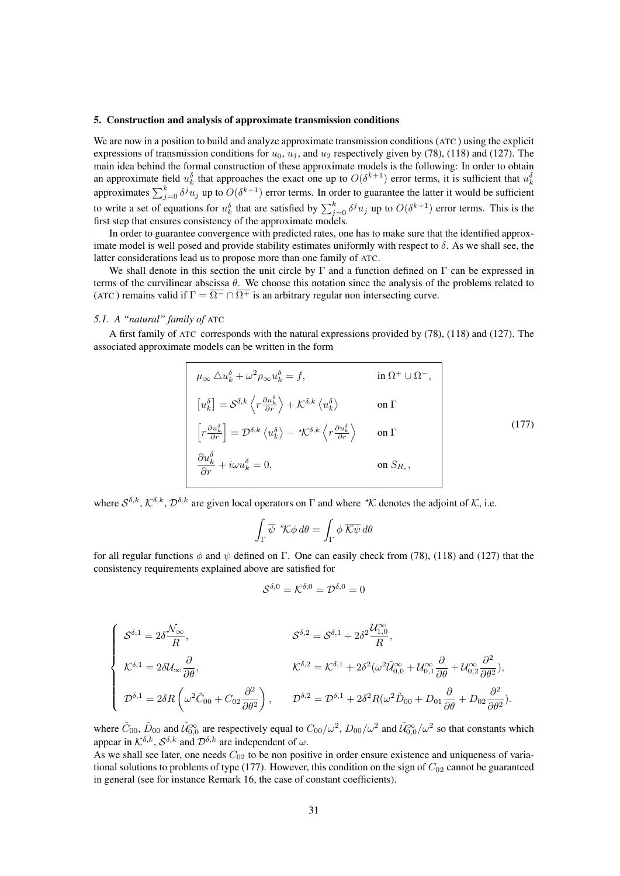#### 5. Construction and analysis of approximate transmission conditions

We are now in a position to build and analyze approximate transmission conditions (ATC ) using the explicit expressions of transmission conditions for  $u_0$ ,  $u_1$ , and  $u_2$  respectively given by (78), (118) and (127). The main idea behind the formal construction of these approximate models is the following: In order to obtain an approximate field  $u_k^{\delta}$  that approaches the exact one up to  $O(\delta^{k+1})$  error terms, it is sufficient that  $u_k^{\delta}$  approximates  $\sum_{j=0}^{k} \delta^{j} u_j$  up to  $O(\delta^{k+1})$  error terms. In order to guarantee the latter it w to write a set of equations for  $u_k^{\delta}$  that are satisfied by  $\sum_{j=0}^k \delta^j u_j$  up to  $O(\delta^{k+1})$  error terms. This is the first step that ensures consistency of the approximate models.

In order to guarantee convergence with predicted rates, one has to make sure that the identified approximate model is well posed and provide stability estimates uniformly with respect to  $\delta$ . As we shall see, the latter considerations lead us to propose more than one family of ATC.

We shall denote in this section the unit circle by  $\Gamma$  and a function defined on  $\Gamma$  can be expressed in terms of the curvilinear abscissa  $\theta$ . We choose this notation since the analysis of the problems related to (ATC) remains valid if  $\Gamma = \overline{\Omega^{-}} \cap \overline{\Omega^{+}}$  is an arbitrary regular non intersecting curve.

## *5.1. A "natural" family of* ATC

A first family of ATC corresponds with the natural expressions provided by (78), (118) and (127). The associated approximate models can be written in the form

$$
\mu_{\infty} \Delta u_k^{\delta} + \omega^2 \rho_{\infty} u_k^{\delta} = f, \qquad \text{in } \Omega^+ \cup \Omega^-,
$$
\n
$$
\left[u_k^{\delta}\right] = S^{\delta,k} \left\langle r \frac{\partial u_k^{\delta}}{\partial r} \right\rangle + \mathcal{K}^{\delta,k} \left\langle u_k^{\delta} \right\rangle \qquad \text{on } \Gamma
$$
\n
$$
\left[r \frac{\partial u_k^{\delta}}{\partial r}\right] = \mathcal{D}^{\delta,k} \left\langle u_k^{\delta} \right\rangle - \mathcal{K}^{\delta,k} \left\langle r \frac{\partial u_k^{\delta}}{\partial r} \right\rangle \qquad \text{on } \Gamma
$$
\n
$$
\frac{\partial u_k^{\delta}}{\partial r} + i\omega u_k^{\delta} = 0, \qquad \text{on } S_{R_e}, \qquad (177)
$$

where  $S^{\delta,k}$ ,  $K^{\delta,k}$ ,  $\mathcal{D}^{\delta,k}$  are given local operators on  $\Gamma$  and where  ${}^*\mathcal{K}$  denotes the adjoint of  $\mathcal{K}$ , i.e.

$$
\int_{\Gamma} \overline{\psi} \, ^* \mathcal{K} \phi \, d\theta = \int_{\Gamma} \phi \, \overline{\mathcal{K} \psi} \, d\theta
$$

for all regular functions  $\phi$  and  $\psi$  defined on Γ. One can easily check from (78), (118) and (127) that the consistency requirements explained above are satisfied for

$$
\mathcal{S}^{\delta,0} = \mathcal{K}^{\delta,0} = \mathcal{D}^{\delta,0} = 0
$$

$$
\left\{\begin{array}{ll}\mathcal{S}^{\delta,1}=2\delta\frac{\mathcal{N}_{\infty}}{R}, & \mathcal{S}^{\delta,2}=\mathcal{S}^{\delta,1}+2\delta^2\frac{\mathcal{U}_{1,0}^{\infty}}{R},\\ & \mathcal{K}^{\delta,1}=2\delta\mathcal{U}_{\infty}\frac{\partial}{\partial\theta}, & \mathcal{K}^{\delta,2}=\mathcal{K}^{\delta,1}+2\delta^2(\omega^2\tilde{\mathcal{U}}_{0,0}^{\infty}+\mathcal{U}_{0,1}^{\infty}\frac{\partial}{\partial\theta}+\mathcal{U}_{0,2}^{\infty}\frac{\partial^2}{\partial\theta^2}),\\ & \mathcal{D}^{\delta,1}=2\delta R\left(\omega^2\tilde{C}_{00}+C_{02}\frac{\partial^2}{\partial\theta^2}\right), & \mathcal{D}^{\delta,2}=\mathcal{D}^{\delta,1}+2\delta^2 R(\omega^2\tilde{D}_{00}+D_{01}\frac{\partial}{\partial\theta}+D_{02}\frac{\partial^2}{\partial\theta^2}).\end{array}\right.
$$

where  $\tilde{C}_{00}$ ,  $\tilde{D}_{00}$  and  $\tilde{U}_{0,0}^{\infty}$  are respectively equal to  $C_{00}/\omega^2$ ,  $D_{00}/\omega^2$  and  $\tilde{U}_{0,0}^{\infty}/\omega^2$  so that constants which appear in  $\mathcal{K}^{\delta,k}$ ,  $\mathcal{S}^{\delta,k}$  and  $\mathcal{D}^{\delta,k}$  are independent of  $\omega$ .

As we shall see later, one needs  $C_{02}$  to be non positive in order ensure existence and uniqueness of variational solutions to problems of type (177). However, this condition on the sign of  $C_{02}$  cannot be guaranteed in general (see for instance Remark 16, the case of constant coefficients).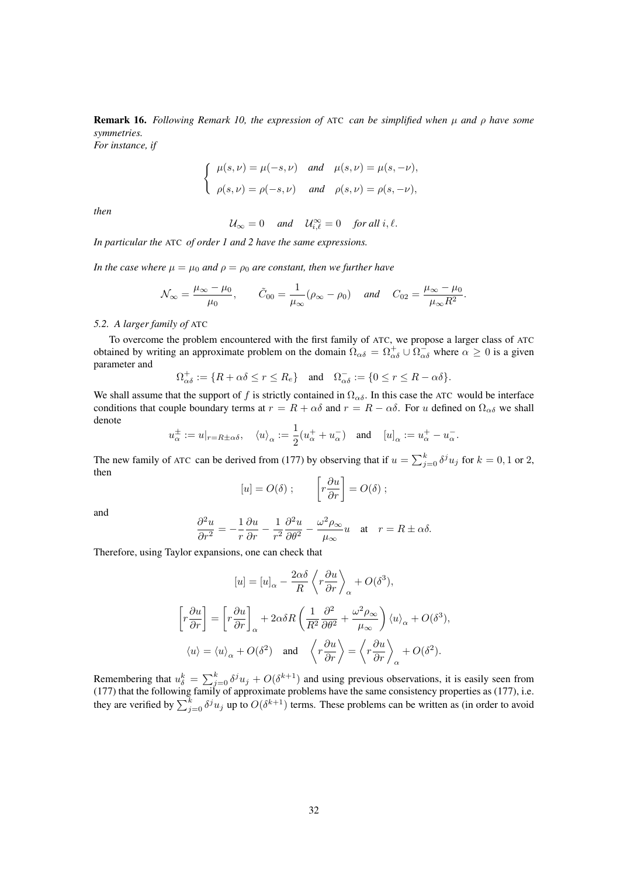Remark 16. *Following Remark 10, the expression of* ATC *can be simplified when* µ *and* ρ *have some symmetries. For instance, if*

$$
\begin{cases}\n\mu(s,\nu) = \mu(-s,\nu) & \text{and} \quad \mu(s,\nu) = \mu(s,-\nu), \\
\rho(s,\nu) = \rho(-s,\nu) & \text{and} \quad \rho(s,\nu) = \rho(s,-\nu),\n\end{cases}
$$

*then*

$$
\mathcal{U}_{\infty} = 0 \quad \text{and} \quad \mathcal{U}_{i,\ell}^{\infty} = 0 \quad \text{for all } i,\ell.
$$

*In particular the* ATC *of order 1 and 2 have the same expressions.*

*In the case where*  $\mu = \mu_0$  *and*  $\rho = \rho_0$  *are constant, then we further have* 

$$
\mathcal{N}_{\infty} = \frac{\mu_{\infty} - \mu_0}{\mu_0}, \qquad \tilde{C}_{00} = \frac{1}{\mu_{\infty}} (\rho_{\infty} - \rho_0) \quad \text{and} \quad C_{02} = \frac{\mu_{\infty} - \mu_0}{\mu_{\infty} R^2}.
$$

## *5.2. A larger family of* ATC

To overcome the problem encountered with the first family of ATC, we propose a larger class of ATC obtained by writing an approximate problem on the domain  $\Omega_{\alpha\delta} = \Omega_{\alpha\delta}^+ \cup \Omega_{\alpha\delta}^-$  where  $\alpha \ge 0$  is a given parameter and

$$
\Omega^+_{\alpha\delta} := \{ R + \alpha\delta \le r \le R_e \} \quad \text{and} \quad \Omega^-_{\alpha\delta} := \{ 0 \le r \le R - \alpha\delta \}.
$$

We shall assume that the support of f is strictly contained in  $\Omega_{\alpha\delta}$ . In this case the ATC would be interface conditions that couple boundary terms at  $r = R + \alpha \delta$  and  $r = R - \alpha \delta$ . For u defined on  $\Omega_{\alpha\delta}$  we shall denote

$$
u_\alpha^\pm:=u|_{r=R\pm\alpha\delta},\quad \langle u\rangle_\alpha:=\frac{1}{2}(u_\alpha^++u_\alpha^-)\quad\text{and}\quad [u]_\alpha:=u_\alpha^+-u_\alpha^-.
$$

The new family of ATC can be derived from (177) by observing that if  $u = \sum_{j=0}^{k} \delta^{j} u_j$  for  $k = 0, 1$  or 2, then

$$
[u] = O(\delta) ; \qquad \left[ r \frac{\partial u}{\partial r} \right] = O(\delta) ;
$$

and

$$
\frac{\partial^2 u}{\partial r^2} = -\frac{1}{r}\frac{\partial u}{\partial r} - \frac{1}{r^2}\frac{\partial^2 u}{\partial \theta^2} - \frac{\omega^2 \rho_{\infty}}{\mu_{\infty}}u \quad \text{at} \quad r = R \pm \alpha \delta.
$$

Therefore, using Taylor expansions, one can check that

$$
[u] = [u]_{\alpha} - \frac{2\alpha\delta}{R} \left\langle r \frac{\partial u}{\partial r} \right\rangle_{\alpha} + O(\delta^3),
$$

$$
\left[ r \frac{\partial u}{\partial r} \right] = \left[ r \frac{\partial u}{\partial r} \right]_{\alpha} + 2\alpha\delta R \left( \frac{1}{R^2} \frac{\partial^2}{\partial \theta^2} + \frac{\omega^2 \rho_{\infty}}{\mu_{\infty}} \right) \langle u \rangle_{\alpha} + O(\delta^3),
$$

$$
\langle u \rangle = \langle u \rangle_{\alpha} + O(\delta^2) \quad \text{and} \quad \left\langle r \frac{\partial u}{\partial r} \right\rangle = \left\langle r \frac{\partial u}{\partial r} \right\rangle_{\alpha} + O(\delta^2).
$$

Remembering that  $u_{\delta}^{k} = \sum_{j=0}^{k} \delta^{j} u_{j} + O(\delta^{k+1})$  and using previous observations, it is easily seen from (177) that the following family of approximate problems have the same consistency properties as (177), i.e. they are verified by  $\sum_{j=0}^{k} \delta^j u_j$  up to  $O(\delta^{k+1})$  terms. These problems can be written as (in order to avoid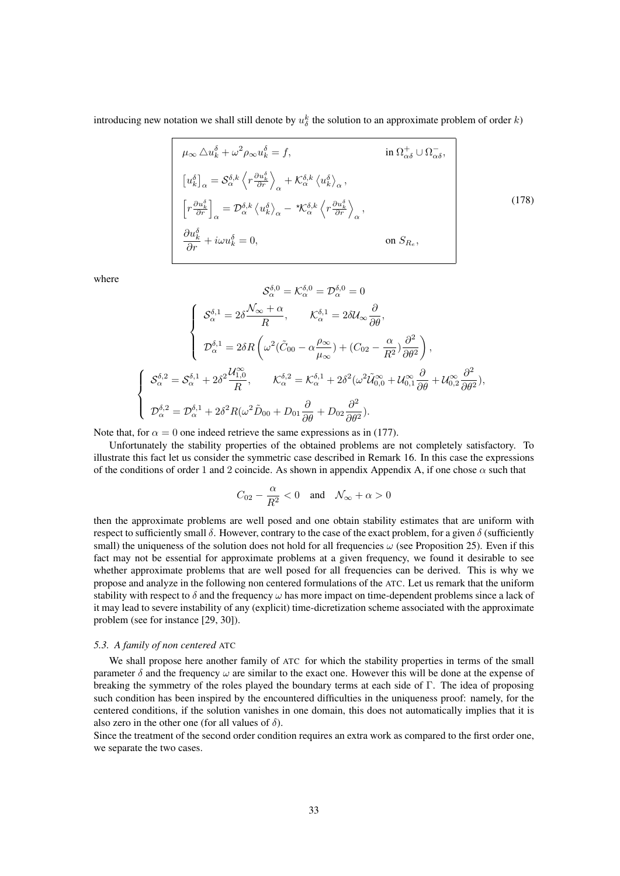introducing new notation we shall still denote by  $u_{\delta}^{k}$  the solution to an approximate problem of order k)

$$
\mu_{\infty} \Delta u_k^{\delta} + \omega^2 \rho_{\infty} u_k^{\delta} = f, \qquad \text{in } \Omega_{\alpha\delta}^+ \cup \Omega_{\alpha\delta}^-,
$$
\n
$$
\left[u_k^{\delta}\right]_{\alpha} = \mathcal{S}_{\alpha}^{\delta,k} \left\langle r \frac{\partial u_k^{\delta}}{\partial r} \right\rangle_{\alpha} + \mathcal{K}_{\alpha}^{\delta,k} \left\langle u_k^{\delta} \right\rangle_{\alpha},
$$
\n
$$
\left[r \frac{\partial u_k^{\delta}}{\partial r}\right]_{\alpha} = \mathcal{D}_{\alpha}^{\delta,k} \left\langle u_k^{\delta} \right\rangle_{\alpha} - \mathcal{K}_{\alpha}^{\delta,k} \left\langle r \frac{\partial u_k^{\delta}}{\partial r} \right\rangle_{\alpha},
$$
\n
$$
\frac{\partial u_k^{\delta}}{\partial r} + i\omega u_k^{\delta} = 0, \qquad \text{on } S_{R_e},
$$
\n(178)

where

$$
\mathcal{S}_{\alpha}^{\delta,0} = \mathcal{K}_{\alpha}^{\delta,0} = \mathcal{D}_{\alpha}^{\delta,0} = 0
$$
\n
$$
\begin{cases}\n\mathcal{S}_{\alpha}^{\delta,1} = 2\delta \frac{\mathcal{N}_{\infty} + \alpha}{R}, & \mathcal{K}_{\alpha}^{\delta,1} = 2\delta \mathcal{U}_{\infty} \frac{\partial}{\partial \theta}, \\
\mathcal{D}_{\alpha}^{\delta,1} = 2\delta R \left( \omega^{2} (\tilde{C}_{00} - \alpha \frac{\rho_{\infty}}{\mu_{\infty}}) + (C_{02} - \frac{\alpha}{R^{2}}) \frac{\partial^{2}}{\partial \theta^{2}} \right), \\
\mathcal{S}_{\alpha}^{\delta,2} = \mathcal{S}_{\alpha}^{\delta,1} + 2\delta^{2} \frac{\mathcal{U}_{1,0}^{\infty}}{R}, & \mathcal{K}_{\alpha}^{\delta,2} = \mathcal{K}_{\alpha}^{\delta,1} + 2\delta^{2} (\omega^{2} \tilde{\mathcal{U}}_{0,0}^{\infty} + \mathcal{U}_{0,1}^{\infty} \frac{\partial}{\partial \theta} + \mathcal{U}_{0,2}^{\infty} \frac{\partial^{2}}{\partial \theta^{2}}), \\
\mathcal{D}_{\alpha}^{\delta,2} = \mathcal{D}_{\alpha}^{\delta,1} + 2\delta^{2} R(\omega^{2} \tilde{D}_{00} + D_{01} \frac{\partial}{\partial \theta} + D_{02} \frac{\partial^{2}}{\partial \theta^{2}}).\n\end{cases}
$$

Note that, for  $\alpha = 0$  one indeed retrieve the same expressions as in (177).

Unfortunately the stability properties of the obtained problems are not completely satisfactory. To illustrate this fact let us consider the symmetric case described in Remark 16. In this case the expressions of the conditions of order 1 and 2 coincide. As shown in appendix Appendix A, if one chose  $\alpha$  such that

$$
C_{02} - \frac{\alpha}{R^2} < 0 \quad \text{and} \quad \mathcal{N}_{\infty} + \alpha > 0
$$

then the approximate problems are well posed and one obtain stability estimates that are uniform with respect to sufficiently small δ. However, contrary to the case of the exact problem, for a given δ (sufficiently small) the uniqueness of the solution does not hold for all frequencies  $\omega$  (see Proposition 25). Even if this fact may not be essential for approximate problems at a given frequency, we found it desirable to see whether approximate problems that are well posed for all frequencies can be derived. This is why we propose and analyze in the following non centered formulations of the ATC. Let us remark that the uniform stability with respect to  $\delta$  and the frequency  $\omega$  has more impact on time-dependent problems since a lack of it may lead to severe instability of any (explicit) time-dicretization scheme associated with the approximate problem (see for instance [29, 30]).

#### *5.3. A family of non centered* ATC

We shall propose here another family of ATC for which the stability properties in terms of the small parameter  $\delta$  and the frequency  $\omega$  are similar to the exact one. However this will be done at the expense of breaking the symmetry of the roles played the boundary terms at each side of Γ. The idea of proposing such condition has been inspired by the encountered difficulties in the uniqueness proof: namely, for the centered conditions, if the solution vanishes in one domain, this does not automatically implies that it is also zero in the other one (for all values of  $\delta$ ).

Since the treatment of the second order condition requires an extra work as compared to the first order one, we separate the two cases.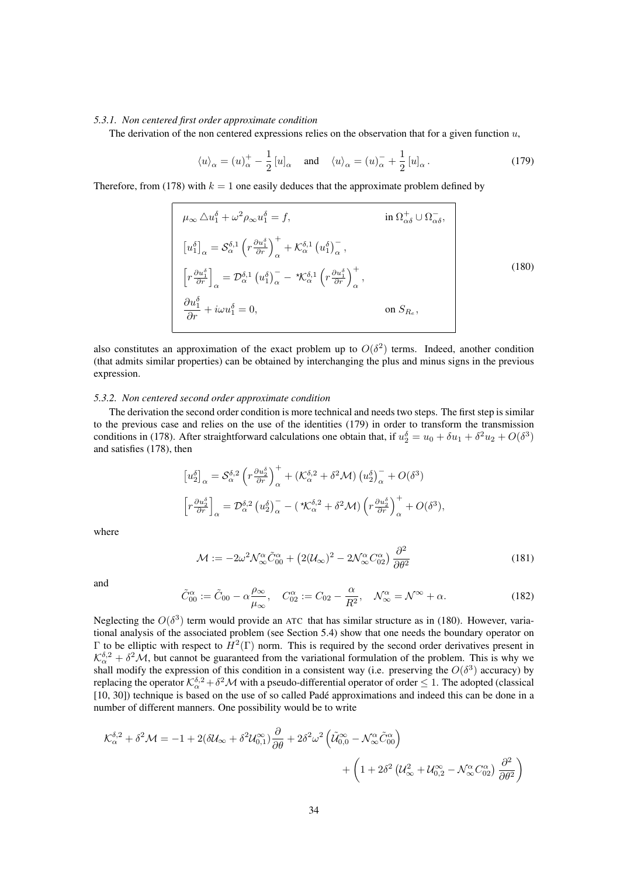## *5.3.1. Non centered first order approximate condition*

The derivation of the non centered expressions relies on the observation that for a given function  $u$ ,

$$
\langle u \rangle_{\alpha} = (u)_{\alpha}^{+} - \frac{1}{2} [u]_{\alpha} \quad \text{and} \quad \langle u \rangle_{\alpha} = (u)_{\alpha}^{-} + \frac{1}{2} [u]_{\alpha}.
$$
 (179)

Therefore, from (178) with  $k = 1$  one easily deduces that the approximate problem defined by

$$
\mu_{\infty} \Delta u_1^{\delta} + \omega^2 \rho_{\infty} u_1^{\delta} = f, \qquad \text{in } \Omega_{\alpha\delta}^+ \cup \Omega_{\alpha\delta}^-,
$$
  
\n
$$
\left[ u_1^{\delta} \right]_{\alpha} = S_{\alpha}^{\delta,1} \left( r \frac{\partial u_1^{\delta}}{\partial r} \right)_{\alpha}^+ + \mathcal{K}_{\alpha}^{\delta,1} \left( u_1^{\delta} \right)_{\alpha}^- ,
$$
  
\n
$$
\left[ r \frac{\partial u_1^{\delta}}{\partial r} \right]_{\alpha} = \mathcal{D}_{\alpha}^{\delta,1} \left( u_1^{\delta} \right)_{\alpha}^- - \mathcal{K}_{\alpha}^{\delta,1} \left( r \frac{\partial u_1^{\delta}}{\partial r} \right)_{\alpha}^+ ,
$$
  
\n
$$
\frac{\partial u_1^{\delta}}{\partial r} + i \omega u_1^{\delta} = 0, \qquad \text{on } S_{R_e},
$$
  
\n(180)

also constitutes an approximation of the exact problem up to  $O(\delta^2)$  terms. Indeed, another condition (that admits similar properties) can be obtained by interchanging the plus and minus signs in the previous expression.

#### *5.3.2. Non centered second order approximate condition*

The derivation the second order condition is more technical and needs two steps. The first step is similar to the previous case and relies on the use of the identities (179) in order to transform the transmission conditions in (178). After straightforward calculations one obtain that, if  $u_2^{\delta} = u_0 + \delta u_1 + \delta^2 u_2 + O(\delta^3)$ and satisfies (178), then

$$
\begin{aligned}\n\left[u_2^{\delta}\right]_{\alpha} &= \mathcal{S}_{\alpha}^{\delta,2} \left(r \frac{\partial u_2^{\delta}}{\partial r}\right)_{\alpha}^{+} + \left(\mathcal{K}_{\alpha}^{\delta,2} + \delta^2 \mathcal{M}\right) \left(u_2^{\delta}\right)_{\alpha}^{-} + O(\delta^3) \\
\left[r \frac{\partial u_2^{\delta}}{\partial r}\right]_{\alpha} &= \mathcal{D}_{\alpha}^{\delta,2} \left(u_2^{\delta}\right)_{\alpha}^{-} - \left(\mathcal{K}_{\alpha}^{\delta,2} + \delta^2 \mathcal{M}\right) \left(r \frac{\partial u_2^{\delta}}{\partial r}\right)_{\alpha}^{+} + O(\delta^3),\n\end{aligned}
$$

where

$$
\mathcal{M} := -2\omega^2 \mathcal{N}_{\infty}^{\alpha} \tilde{C}_{00}^{\alpha} + \left(2(\mathcal{U}_{\infty})^2 - 2\mathcal{N}_{\infty}^{\alpha} C_{02}^{\alpha}\right) \frac{\partial^2}{\partial \theta^2}
$$
(181)

and

$$
\tilde{C}_{00}^{\alpha} := \tilde{C}_{00} - \alpha \frac{\rho_{\infty}}{\mu_{\infty}}, \quad C_{02}^{\alpha} := C_{02} - \frac{\alpha}{R^2}, \quad \mathcal{N}_{\infty}^{\alpha} = \mathcal{N}^{\infty} + \alpha.
$$
\n(182)

Neglecting the  $O(\delta^3)$  term would provide an ATC that has similar structure as in (180). However, variational analysis of the associated problem (see Section 5.4) show that one needs the boundary operator on Γ to be elliptic with respect to  $H^2(Γ)$  norm. This is required by the second order derivatives present in  $K_{\alpha}^{\delta,2} + \delta^2 \mathcal{M}$ , but cannot be guaranteed from the variational formulation of the problem. This is why we shall modify the expression of this condition in a consistent way (i.e. preserving the  $O(\delta^3)$  accuracy) by replacing the operator  $\mathcal{K}^{\delta,2}_\alpha+\delta^2\mathcal{M}$  with a pseudo-differential operator of order  $\leq 1$ . The adopted (classical [10, 30]) technique is based on the use of so called Padé approximations and indeed this can be done in a number of different manners. One possibility would be to write

$$
\mathcal{K}_{\alpha}^{\delta,2} + \delta^2 \mathcal{M} = -1 + 2(\delta \mathcal{U}_{\infty} + \delta^2 \mathcal{U}_{0,1}^{\infty}) \frac{\partial}{\partial \theta} + 2\delta^2 \omega^2 \left( \tilde{\mathcal{U}}_{0,0}^{\infty} - \mathcal{N}_{\infty}^{\alpha} \tilde{C}_{00}^{\alpha} \right) + \left( 1 + 2\delta^2 \left( \mathcal{U}_{\infty}^2 + \mathcal{U}_{0,2}^{\infty} - \mathcal{N}_{\infty}^{\alpha} C_{02}^{\alpha} \right) \frac{\partial^2}{\partial \theta^2} \right)
$$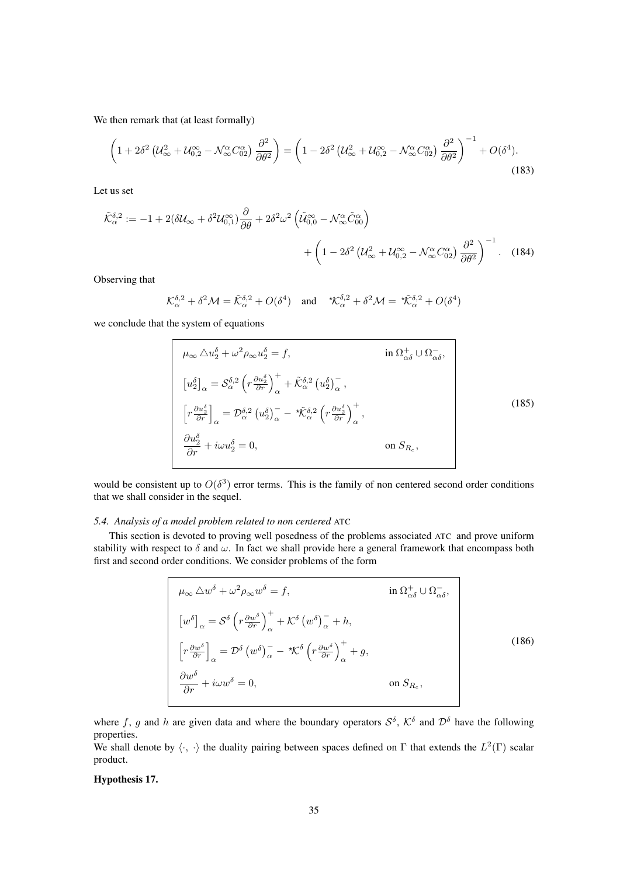We then remark that (at least formally)

$$
\left(1+2\delta^2\left(\mathcal{U}_{\infty}^2+\mathcal{U}_{0,2}^{\infty}-\mathcal{N}_{\infty}^{\alpha}C_{02}^{\alpha}\right)\frac{\partial^2}{\partial\theta^2}\right)=\left(1-2\delta^2\left(\mathcal{U}_{\infty}^2+\mathcal{U}_{0,2}^{\infty}-\mathcal{N}_{\infty}^{\alpha}C_{02}^{\alpha}\right)\frac{\partial^2}{\partial\theta^2}\right)^{-1}+O(\delta^4). \tag{183}
$$

Let us set

$$
\tilde{\mathcal{K}}_{\alpha}^{\delta,2} := -1 + 2(\delta \mathcal{U}_{\infty} + \delta^2 \mathcal{U}_{0,1}^{\infty}) \frac{\partial}{\partial \theta} + 2\delta^2 \omega^2 \left( \tilde{\mathcal{U}}_{0,0}^{\infty} - \mathcal{N}_{\infty}^{\alpha} \tilde{C}_{00}^{\alpha} \right) \n+ \left( 1 - 2\delta^2 \left( \mathcal{U}_{\infty}^2 + \mathcal{U}_{0,2}^{\infty} - \mathcal{N}_{\infty}^{\alpha} C_{02}^{\alpha} \right) \frac{\partial^2}{\partial \theta^2} \right)^{-1} .
$$
\n(184)

Observing that

$$
\mathcal{K}_{\alpha}^{\delta,2} + \delta^2 \mathcal{M} = \tilde{\mathcal{K}}_{\alpha}^{\delta,2} + O(\delta^4) \quad \text{and} \quad {}^{\star}\mathcal{K}_{\alpha}^{\delta,2} + \delta^2 \mathcal{M} = {}^{\star}\tilde{\mathcal{K}}_{\alpha}^{\delta,2} + O(\delta^4)
$$

we conclude that the system of equations

$$
\mu_{\infty} \Delta u_2^{\delta} + \omega^2 \rho_{\infty} u_2^{\delta} = f, \qquad \text{in } \Omega_{\alpha\delta}^+ \cup \Omega_{\alpha\delta}^-,
$$
\n
$$
\left[u_2^{\delta}\right]_{\alpha} = S_{\alpha}^{\delta,2} \left(r \frac{\partial u_2^{\delta}}{\partial r}\right)_{\alpha}^+ + \tilde{\mathcal{K}}_{\alpha}^{\delta,2} \left(u_2^{\delta}\right)_{\alpha}^- ,
$$
\n
$$
\left[r \frac{\partial u_2^{\delta}}{\partial r}\right]_{\alpha} = \mathcal{D}_{\alpha}^{\delta,2} \left(u_2^{\delta}\right)_{\alpha}^- - \tilde{\mathcal{K}}_{\alpha}^{\delta,2} \left(r \frac{\partial u_2^{\delta}}{\partial r}\right)_{\alpha}^+ ,
$$
\n
$$
\frac{\partial u_2^{\delta}}{\partial r} + i\omega u_2^{\delta} = 0, \qquad \text{on } S_{R_{\epsilon}},
$$
\n(185)

would be consistent up to  $O(\delta^3)$  error terms. This is the family of non centered second order conditions that we shall consider in the sequel.

## *5.4. Analysis of a model problem related to non centered* ATC

This section is devoted to proving well posedness of the problems associated ATC and prove uniform stability with respect to  $\delta$  and  $\omega$ . In fact we shall provide here a general framework that encompass both first and second order conditions. We consider problems of the form

$$
\mu_{\infty} \Delta w^{\delta} + \omega^{2} \rho_{\infty} w^{\delta} = f, \qquad \text{in } \Omega_{\alpha\delta}^{+} \cup \Omega_{\alpha\delta}^{-},
$$
\n
$$
\left[w^{\delta}\right]_{\alpha} = \mathcal{S}^{\delta} \left(r \frac{\partial w^{\delta}}{\partial r}\right)_{\alpha}^{+} + \mathcal{K}^{\delta} \left(w^{\delta}\right)_{\alpha}^{-} + h,
$$
\n
$$
\left[r \frac{\partial w^{\delta}}{\partial r}\right]_{\alpha} = \mathcal{D}^{\delta} \left(w^{\delta}\right)_{\alpha}^{-} - \mathcal{K}^{\delta} \left(r \frac{\partial w^{\delta}}{\partial r}\right)_{\alpha}^{+} + g,
$$
\n
$$
\frac{\partial w^{\delta}}{\partial r} + i\omega w^{\delta} = 0, \qquad \text{on } S_{R_{e}},
$$
\n(186)

where f, g and h are given data and where the boundary operators  $S^{\delta}$ ,  $K^{\delta}$  and  $\mathcal{D}^{\delta}$  have the following properties.

We shall denote by  $\langle \cdot, \cdot \rangle$  the duality pairing between spaces defined on  $\Gamma$  that extends the  $L^2(\Gamma)$  scalar product.

## Hypothesis 17.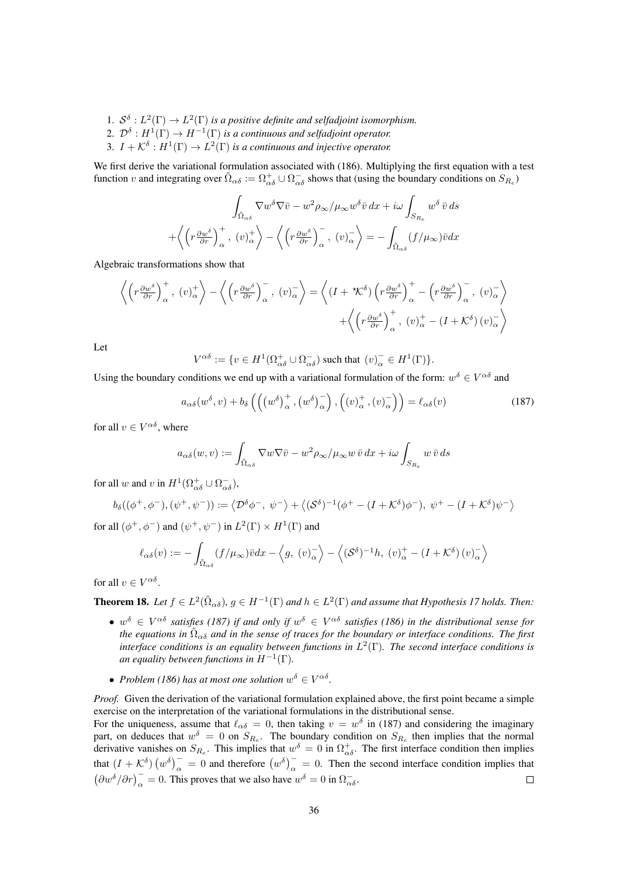- 1.  $S^{\delta}: L^2(\Gamma) \to L^2(\Gamma)$  is a positive definite and selfadjoint isomorphism.
- 2.  $\mathcal{D}^{\delta}: H^1(\Gamma) \to H^{-1}(\Gamma)$  is a continuous and selfadjoint operator.
- 3.  $I + \mathcal{K}^{\delta}: H^1(\Gamma) \to L^2(\Gamma)$  is a continuous and injective operator.

We first derive the variational formulation associated with (186). Multiplying the first equation with a test function v and integrating over  $\tilde{\Omega}_{\alpha\delta} := \Omega_{\alpha\delta}^+ \cup \Omega_{\alpha\delta}^-$  shows that (using the boundary conditions on  $S_{R_e}$ )

$$
\int_{\tilde{\Omega}_{\alpha\delta}} \nabla w^{\delta} \nabla \bar{v} - w^{2} \rho_{\infty} / \mu_{\infty} w^{\delta} \bar{v} \, dx + i\omega \int_{S_{R_{e}}} w^{\delta} \bar{v} \, ds
$$
\n
$$
+ \left\langle \left( r \frac{\partial w^{\delta}}{\partial r} \right)_{\alpha}^{+}, \left( v \right)_{\alpha}^{+} \right\rangle - \left\langle \left( r \frac{\partial w^{\delta}}{\partial r} \right)_{\alpha}^{-}, \left( v \right)_{\alpha}^{-} \right\rangle = - \int_{\tilde{\Omega}_{\alpha\delta}} (f / \mu_{\infty}) \bar{v} dx
$$

Algebraic transformations show that

$$
\left\langle \left(r\frac{\partial w^{\delta}}{\partial r}\right)_{\alpha}^{+},\ (v)_{\alpha}^{+}\right\rangle - \left\langle \left(r\frac{\partial w^{\delta}}{\partial r}\right)_{\alpha}^{-},\ (v)_{\alpha}^{-}\right\rangle = \left\langle \left(I + \sqrt{\hat{N}^{\delta}}\right)\left(r\frac{\partial w^{\delta}}{\partial r}\right)_{\alpha}^{+} - \left(r\frac{\partial w^{\delta}}{\partial r}\right)_{\alpha}^{-},\ (v)_{\alpha}^{-}\right\rangle
$$

$$
+ \left\langle \left(r\frac{\partial w^{\delta}}{\partial r}\right)_{\alpha}^{+},\ (v)_{\alpha}^{+} - \left(I + \hat{K}^{\delta}\right)(v)_{\alpha}^{-}\right\rangle
$$

Let

$$
V^{\alpha\delta} := \{ v \in H^1(\Omega_{\alpha\delta}^+ \cup \Omega_{\alpha\delta}^-) \text{ such that } (v)_{\alpha}^- \in H^1(\Gamma) \}.
$$

Using the boundary conditions we end up with a variational formulation of the form:  $w^{\delta} \in V^{\alpha\delta}$  and

$$
a_{\alpha\delta}(w^{\delta}, v) + b_{\delta}\left(\left(\left(w^{\delta}\right)^{+}_{\alpha}, \left(w^{\delta}\right)^{-}_{\alpha}\right), \left(\left(v\right)^{+}_{\alpha}, \left(v\right)^{-}_{\alpha}\right)\right) = \ell_{\alpha\delta}(v) \tag{187}
$$

for all  $v \in V^{\alpha\delta}$ , where

$$
a_{\alpha\delta}(w,v) := \int_{\tilde{\Omega}_{\alpha\delta}} \nabla w \nabla \bar{v} - w^2 \rho_{\infty} / \mu_{\infty} w \, \bar{v} \, dx + i\omega \int_{S_{R_e}} w \, \bar{v} \, ds
$$

for all w and v in  $H^1(\Omega_{\alpha\delta}^+\cup \Omega_{\alpha\delta}^-)$ ,

$$
b_{\delta}((\phi^+,\phi^-),(\psi^+,\psi^-)):=\left\langle \mathcal{D}^{\delta}\phi^-,\ \psi^-\right\rangle+\left\langle (\mathcal{S}^{\delta})^{-1}(\phi^+-(I+\mathcal{K}^{\delta})\phi^-),\ \psi^+-(I+\mathcal{K}^{\delta})\psi^-\right\rangle
$$

for all  $(\phi^+, \phi^-)$  and  $(\psi^+, \psi^-)$  in  $L^2(\Gamma) \times H^1(\Gamma)$  and

$$
\ell_{\alpha\delta}(v) := -\int_{\tilde{\Omega}_{\alpha\delta}} (f/\mu_{\infty}) \bar{v} dx - \langle g, (v)_{\alpha}^{-} \rangle - \langle (\mathcal{S}^{\delta})^{-1} h, (v)_{\alpha}^{+} - (I + \mathcal{K}^{\delta})(v)_{\alpha}^{-} \rangle
$$

for all  $v \in V^{\alpha\delta}$ .

**Theorem 18.** Let  $f \in L^2(\tilde{\Omega}_{\alpha\delta})$ ,  $g \in H^{-1}(\Gamma)$  and  $h \in L^2(\Gamma)$  and assume that Hypothesis 17 holds. Then:

- $w^{\delta} \in V^{\alpha\delta}$  satisfies (187) if and only if  $w^{\delta} \in V^{\alpha\delta}$  satisfies (186) in the distributional sense for the equations in  $\tilde{\Omega}_{\alpha\delta}$  and in the sense of traces for the boundary or interface conditions. The first *interface conditions is an equality between functions in* L 2 (Γ)*. The second interface conditions is*  $a$ n equality between functions in  $H^{-1}(\Gamma).$
- *Problem (186)* has at most one solution  $w^{\delta} \in V^{\alpha\delta}$ .

*Proof.* Given the derivation of the variational formulation explained above, the first point became a simple exercise on the interpretation of the variational formulations in the distributional sense.

For the uniqueness, assume that  $\ell_{\alpha\delta} = 0$ , then taking  $v = w^\delta$  in (187) and considering the imaginary part, on deduces that  $w^{\delta} = 0$  on  $S_{R_e}$ . The boundary condition on  $S_{R_e}$  then implies that the normal derivative vanishes on  $S_{R_e}$ . This implies that  $w^\delta = 0$  in  $\Omega^+_{\alpha\delta}$ . The first interface condition then implies that  $(I + K^{\delta})(w^{\delta})_{\alpha}^{-} = 0$  and therefore  $(w^{\delta})_{\alpha}^{-} = 0$ . Then the second interface condition implies that  $\left(\frac{\partial w^{\delta}}{\partial r}\right)_{\alpha}^{-} = 0$ . This proves that we also have  $w^{\delta} = 0$  in  $\Omega_{\alpha\delta}^{-}$ .  $\Box$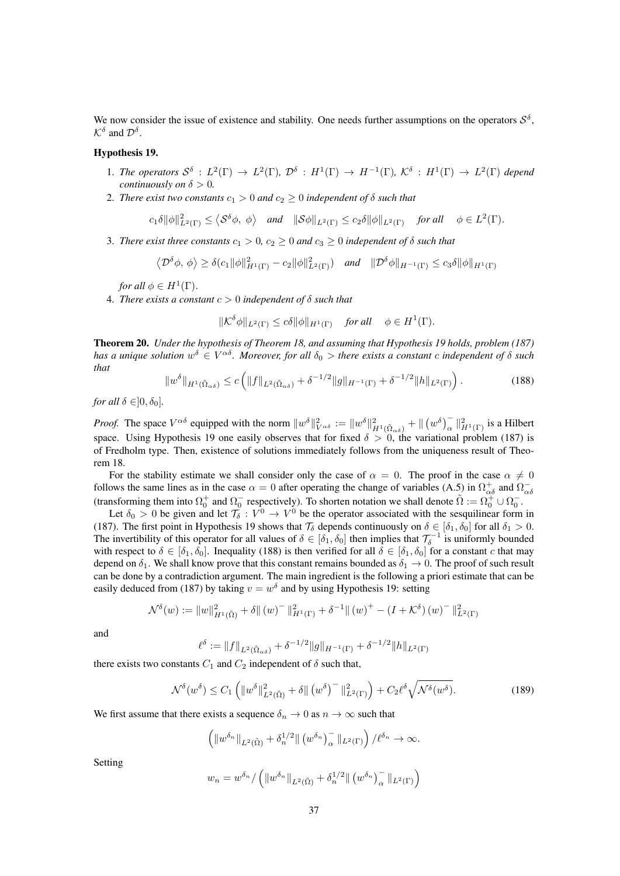We now consider the issue of existence and stability. One needs further assumptions on the operators  $S^{\delta}$ ,  $\mathcal{K}^{\delta}$  and  $\mathcal{D}^{\delta}$ .

## Hypothesis 19.

- 1. *The operators*  $S^{\delta}$  :  $L^2(\Gamma) \to L^2(\Gamma)$ ,  $\mathcal{D}^{\delta}$  :  $H^1(\Gamma) \to H^{-1}(\Gamma)$ ,  $\mathcal{K}^{\delta}$  :  $H^1(\Gamma) \to L^2(\Gamma)$  depend *continuously on*  $\delta > 0$ *.*
- 2. *There exist two constants*  $c_1 > 0$  *and*  $c_2 \geq 0$  *independent of*  $\delta$  *such that*

$$
c_1\delta \|\phi\|_{L^2(\Gamma)}^2 \le \langle \mathcal{S}^\delta \phi, \phi \rangle
$$
 and  $\|\mathcal{S}\phi\|_{L^2(\Gamma)} \le c_2\delta \|\phi\|_{L^2(\Gamma)}$  for all  $\phi \in L^2(\Gamma)$ .

3. *There exist three constants*  $c_1 > 0$ ,  $c_2 \ge 0$  *and*  $c_3 \ge 0$  *independent of*  $\delta$  *such that* 

$$
\langle \mathcal{D}^{\delta}\phi, \phi \rangle \geq \delta(c_1 \|\phi\|_{H^1(\Gamma)}^2 - c_2 \|\phi\|_{L^2(\Gamma)}^2) \quad \text{and} \quad \|\mathcal{D}^{\delta}\phi\|_{H^{-1}(\Gamma)} \leq c_3 \delta \|\phi\|_{H^1(\Gamma)}
$$

*for all*  $\phi \in H^1(\Gamma)$ .

4. *There exists a constant* c > 0 *independent of* δ *such that*

$$
\|\mathcal{K}^{\delta}\phi\|_{L^2(\Gamma)} \le c\delta \|\phi\|_{H^1(\Gamma)} \quad \text{for all} \quad \phi \in H^1(\Gamma).
$$

Theorem 20. *Under the hypothesis of Theorem 18, and assuming that Hypothesis 19 holds, problem (187) has a unique solution* w <sup>δ</sup> <sup>∈</sup> <sup>V</sup> αδ*. Moreover, for all* δ<sup>0</sup> > *there exists a constant* c *independent of* δ *such that*

$$
||w^{\delta}||_{H^{1}(\tilde{\Omega}_{\alpha\delta})} \leq c \left( ||f||_{L^{2}(\tilde{\Omega}_{\alpha\delta})} + \delta^{-1/2} ||g||_{H^{-1}(\Gamma)} + \delta^{-1/2} ||h||_{L^{2}(\Gamma)} \right).
$$
 (188)

*for all*  $\delta \in ]0, \delta_0]$ *.* 

*Proof.* The space  $V^{\alpha\delta}$  equipped with the norm  $||w^{\delta}||_{V^{\alpha\delta}}^2 := ||w^{\delta}||_{H^1(\tilde{\Omega}_{\alpha\delta})}^2 + ||(w^{\delta})_{\alpha}^{-}||_{H^1(\Gamma)}^2$  is a Hilbert space. Using Hypothesis 19 one easily observes that for fixed  $\delta > 0$ , the variational problem (187) is of Fredholm type. Then, existence of solutions immediately follows from the uniqueness result of Theorem 18.

For the stability estimate we shall consider only the case of  $\alpha = 0$ . The proof in the case  $\alpha \neq 0$ follows the same lines as in the case  $\alpha = 0$  after operating the change of variables (A.5) in  $\Omega_{\alpha\delta}^+$  and  $\Omega_{\alpha\delta}^-$  (transforming them into  $\Omega_0^+$  and  $\Omega_0^-$  respectively). To shorten notation we shall denote

Let  $\delta_0 > 0$  be given and let  $\mathcal{T}_{\delta}: V^0 \to V^0$  be the operator associated with the sesquilinear form in (187). The first point in Hypothesis 19 shows that  $\mathcal{T}_{\delta}$  depends continuously on  $\delta \in [\delta_1, \delta_0]$  for all  $\delta_1 > 0$ . The invertibility of this operator for all values of  $\delta \in [\delta_1, \delta_0]$  then implies that  $\mathcal{T}_{\delta}^{-1}$  is uniformly bounded with respect to  $\delta \in [\delta_1, \delta_0]$ . Inequality (188) is then verified for all  $\delta \in [\delta_1, \delta_0]$  for a constant c that may depend on  $\delta_1$ . We shall know prove that this constant remains bounded as  $\delta_1 \to 0$ . The proof of such result can be done by a contradiction argument. The main ingredient is the following a priori estimate that can be easily deduced from (187) by taking  $v = w^{\delta}$  and by using Hypothesis 19: setting

$$
\mathcal{N}^{\delta}(w) := \|w\|_{H^1(\tilde{\Omega})}^2 + \delta \| (w)^- \|_{H^1(\Gamma)}^2 + \delta^{-1} \| (w)^+ - (I + \mathcal{K}^{\delta})(w)^- \|_{L^2(\Gamma)}^2
$$

and

$$
\ell^{\delta} := \|f\|_{L^{2}(\tilde{\Omega}_{\alpha\delta})} + \delta^{-1/2} \|g\|_{H^{-1}(\Gamma)} + \delta^{-1/2} \|h\|_{L^{2}(\Gamma)}
$$

there exists two constants  $C_1$  and  $C_2$  independent of  $\delta$  such that,

$$
\mathcal{N}^{\delta}(w^{\delta}) \le C_1 \left( \|w^{\delta}\|_{L^2(\tilde{\Omega})}^2 + \delta \| (w^{\delta})^{-} \|_{L^2(\Gamma)}^2 \right) + C_2 \ell^{\delta} \sqrt{\mathcal{N}^{\delta}(w^{\delta})}.
$$
 (189)

We first assume that there exists a sequence  $\delta_n \to 0$  as  $n \to \infty$  such that

 $\left(\|w^{\delta_n}\|_{L^2(\tilde{\Omega})}+\delta_n^{1/2}\|\left(w^{\delta_n}\right)_{\alpha}^-\|_{L^2(\Gamma)}\right)/\ell^{\delta_n}\to\infty.$ 

Setting

$$
w_n = w^{\delta_n} / \left( \|w^{\delta_n}\|_{L^2(\tilde{\Omega})} + \delta_n^{1/2} \| (w^{\delta_n})_\alpha^- \|_{L^2(\Gamma)} \right)
$$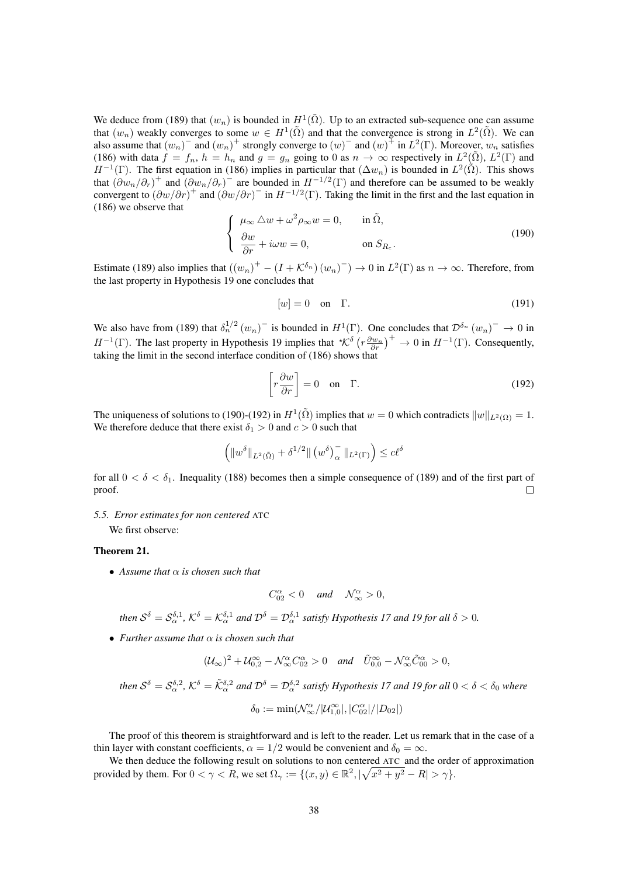We deduce from (189) that  $(w_n)$  is bounded in  $H^1(\tilde{\Omega})$ . Up to an extracted sub-sequence one can assume that  $(w_n)$  weakly converges to some  $w \in H^1(\tilde{\Omega})$  and that the convergence is strong in  $L^2(\tilde{\Omega})$ . We can also assume that  $(w_n)^-$  and  $(w_n)^+$  strongly converge to  $(w)^-$  and  $(w)^+$  in  $L^2(\Gamma)$ . Moreover,  $w_n$  satisfies (186) with data  $f = f_n$ ,  $h = h_n$  and  $g = g_n$  going to 0 as  $n \to \infty$  respectively in  $L^2(\tilde{\Omega})$ ,  $L^2(\Gamma)$  and  $H^{-1}(\Gamma)$ . The first equation in (186) implies in particular that  $(\Delta w_n)$  is bounded in  $L^2(\tilde{\Omega})$ . This shows that  $(\partial w_n/\partial_r)^+$  and  $(\partial w_n/\partial_r)^-$  are bounded in  $H^{-1/2}(\Gamma)$  and therefore can be assumed to be weakly convergent to  $(\partial w/\partial r)^+$  and  $(\partial w/\partial r)^-$  in  $H^{-1/2}(\Gamma)$ . Taking the limit in the first and the last equation in (186) we observe that

$$
\begin{cases}\n\mu_{\infty} \Delta w + \omega^2 \rho_{\infty} w = 0, & \text{in } \tilde{\Omega}, \\
\frac{\partial w}{\partial r} + i\omega w = 0, & \text{on } S_{R_e}.\n\end{cases}
$$
\n(190)

Estimate (189) also implies that  $((w_n)^+ - (I + \mathcal{K}^{\delta_n})(w_n)^-) \to 0$  in  $L^2(\Gamma)$  as  $n \to \infty$ . Therefore, from the last property in Hypothesis 19 one concludes that

$$
[w] = 0 \quad \text{on} \quad \Gamma. \tag{191}
$$

We also have from (189) that  $\delta_n^{1/2}(w_n)$ <sup>-</sup> is bounded in  $H^1(\Gamma)$ . One concludes that  $\mathcal{D}^{\delta_n}(w_n)$ <sup>-</sup>  $\to 0$  in  $H^{-1}(\Gamma)$ . The last property in Hypothesis 19 implies that  $\mathcal{K}^{\delta}(r\frac{\partial w_n}{\partial r})^+ \to 0$  in  $H^{-1}(\Gamma)$ . Consequently, taking the limit in the second interface condition of (186) shows that

$$
\left[r\frac{\partial w}{\partial r}\right] = 0 \quad \text{on} \quad \Gamma. \tag{192}
$$

The uniqueness of solutions to (190)-(192) in  $H^1(\tilde{\Omega})$  implies that  $w = 0$  which contradicts  $||w||_{L^2(\Omega)} = 1$ . We therefore deduce that there exist  $\delta_1 > 0$  and  $c > 0$  such that

$$
\left(\|w^\delta\|_{L^2(\tilde{\Omega})} + \delta^{1/2} \|\left(w^\delta\right)^-_{\alpha}\|_{L^2(\Gamma)}\right) \leq c\ell^\delta
$$

for all  $0 < \delta < \delta_1$ . Inequality (188) becomes then a simple consequence of (189) and of the first part of proof.  $\Box$ 

#### *5.5. Error estimates for non centered* ATC

We first observe:

#### Theorem 21.

• *Assume that* α *is chosen such that*

$$
C_{02}^{\alpha} < 0 \quad \text{and} \quad \mathcal{N}_{\infty}^{\alpha} > 0,
$$

*then*  $S^{\delta} = S^{\delta,1}_{\alpha}$ ,  $K^{\delta} = K^{\delta,1}_{\alpha}$  and  $\mathcal{D}^{\delta} = \mathcal{D}^{\delta,1}_{\alpha}$  satisfy Hypothesis 17 and 19 for all  $\delta > 0$ .

• *Further assume that* α *is chosen such that*

$$
(\mathcal{U}_{\infty})^2 + \mathcal{U}_{0,2}^{\infty} - \mathcal{N}_{\infty}^{\alpha} C_{02}^{\alpha} > 0 \quad \text{and} \quad \tilde{U}_{0,0}^{\infty} - \mathcal{N}_{\infty}^{\alpha} \tilde{C}_{00}^{\alpha} > 0,
$$

*then*  $S^{\delta} = S^{\delta,2}_{\alpha}$ ,  $K^{\delta} = \tilde{\mathcal{K}}^{\delta,2}_{\alpha}$  and  $\mathcal{D}^{\delta} = \mathcal{D}^{\delta,2}_{\alpha}$  satisfy Hypothesis 17 and 19 for all  $0 < \delta < \delta_0$  where

$$
\delta_0 := \min(\mathcal{N}^{\alpha}_{\infty}/|\mathcal{U}^{\infty}_{1,0}|, |C^{\alpha}_{02}|/|D_{02}|)
$$

The proof of this theorem is straightforward and is left to the reader. Let us remark that in the case of a thin layer with constant coefficients,  $\alpha = 1/2$  would be convenient and  $\delta_0 = \infty$ .

We then deduce the following result on solutions to non centered ATC and the order of approximation provided by them. For  $0 < \gamma < R$ , we set  $\Omega_{\gamma} := \{ (x, y) \in \mathbb{R}^2, |\sqrt{x^2 + y^2} - R| > \gamma \}.$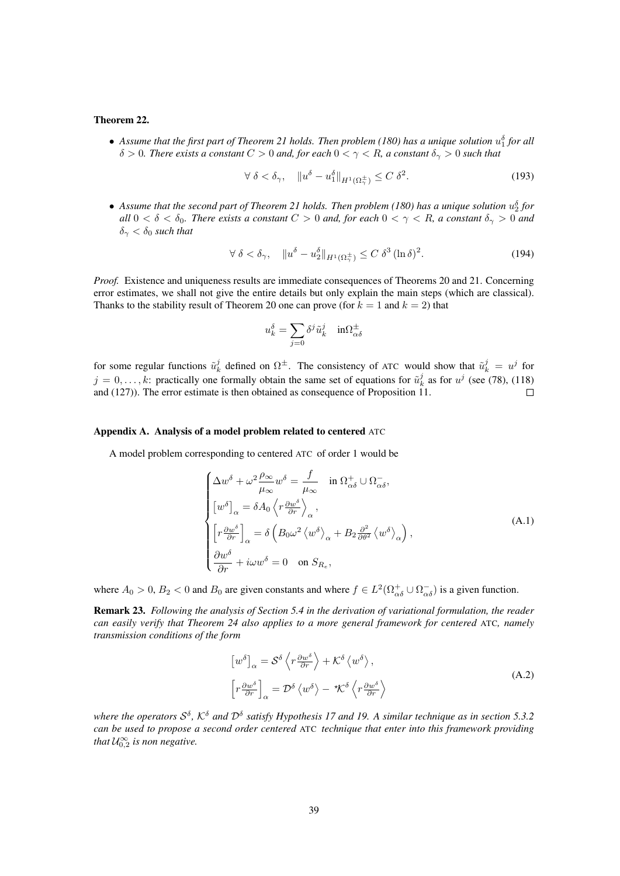#### Theorem 22.

• Assume that the first part of Theorem 21 holds. Then problem (180) has a unique solution  $u_1^{\delta}$  for all δ > 0*. There exists a constant* C > 0 *and, for each* 0 < γ < R*, a constant* δ<sup>γ</sup> > 0 *such that*

$$
\forall \delta < \delta_{\gamma}, \quad \|u^{\delta} - u_1^{\delta}\|_{H^1(\Omega^{\pm}_{\gamma})} \le C \delta^2. \tag{193}
$$

• Assume that the second part of Theorem 21 holds. Then problem (180) has a unique solution  $u_2^{\delta}$  for *all*  $0 < \delta < \delta_0$ *. There exists a constant*  $C > 0$  *and, for each*  $0 < \gamma < R$ *, a constant*  $\delta_{\gamma} > 0$  *and*  $\delta_{\gamma} < \delta_0$  such that

$$
\forall \delta < \delta_{\gamma}, \quad \|u^{\delta} - u_2^{\delta}\|_{H^1(\Omega^{\pm}_{\gamma})} \le C \delta^3 (\ln \delta)^2. \tag{194}
$$

*Proof.* Existence and uniqueness results are immediate consequences of Theorems 20 and 21. Concerning error estimates, we shall not give the entire details but only explain the main steps (which are classical). Thanks to the stability result of Theorem 20 one can prove (for  $k = 1$  and  $k = 2$ ) that

$$
u_k^\delta = \sum_{j=0} \delta^j \tilde{u}_k^j \quad \text{in} \Omega^{\pm}_{\alpha\delta}
$$

for some regular functions  $\tilde{u}_k^j$  defined on  $\Omega^{\pm}$ . The consistency of ATC would show that  $\tilde{u}_k^j = u^j$  for  $j = 0, \ldots, k$ : practically one formally obtain the same set of equations for  $\tilde{u}_k^j$  as for  $u^j$  (see (78), (118) and (127)). The error estimate is then obtained as consequence of Proposition 11.  $\Box$ 

#### Appendix A. Analysis of a model problem related to centered ATC

A model problem corresponding to centered ATC of order 1 would be

$$
\begin{cases}\n\Delta w^{\delta} + \omega^{2} \frac{\rho_{\infty}}{\mu_{\infty}} w^{\delta} = \frac{f}{\mu_{\infty}} & \text{in } \Omega_{\alpha\delta}^{+} \cup \Omega_{\alpha\delta}^{-}, \\
\left[w^{\delta}\right]_{\alpha} = \delta A_{0} \left\langle r \frac{\partial w^{\delta}}{\partial r} \right\rangle_{\alpha}, \\
\left[r \frac{\partial w^{\delta}}{\partial r}\right]_{\alpha} = \delta \left(B_{0} \omega^{2} \left\langle w^{\delta}\right\rangle_{\alpha} + B_{2} \frac{\partial^{2}}{\partial \theta^{2}} \left\langle w^{\delta}\right\rangle_{\alpha}\right), \\
\frac{\partial w^{\delta}}{\partial r} + i\omega w^{\delta} = 0 & \text{on } S_{R_{e}},\n\end{cases} (A.1)
$$

where  $A_0 > 0$ ,  $B_2 < 0$  and  $B_0$  are given constants and where  $f \in L^2(\Omega_{\alpha\delta}^+ \cup \Omega_{\alpha\delta}^-)$  is a given function.

Remark 23. *Following the analysis of Section 5.4 in the derivation of variational formulation, the reader can easily verify that Theorem 24 also applies to a more general framework for centered* ATC*, namely transmission conditions of the form*

$$
\begin{aligned}\n\left[w^{\delta}\right]_{\alpha} &= \mathcal{S}^{\delta}\left\langle r\frac{\partial w^{\delta}}{\partial r}\right\rangle + \mathcal{K}^{\delta}\left\langle w^{\delta}\right\rangle, \\
\left[r\frac{\partial w^{\delta}}{\partial r}\right]_{\alpha} &= \mathcal{D}^{\delta}\left\langle w^{\delta}\right\rangle - \mathcal{K}^{\delta}\left\langle r\frac{\partial w^{\delta}}{\partial r}\right\rangle\n\end{aligned} \tag{A.2}
$$

where the operators  $S^{\delta}$ ,  $K^{\delta}$  and  $\mathcal{D}^{\delta}$  satisfy Hypothesis 17 and 19. A similar technique as in section 5.3.2 *can be used to propose a second order centered* ATC *technique that enter into this framework providing* that  $\mathcal{U}_{0,2}^{\infty}$  is non negative.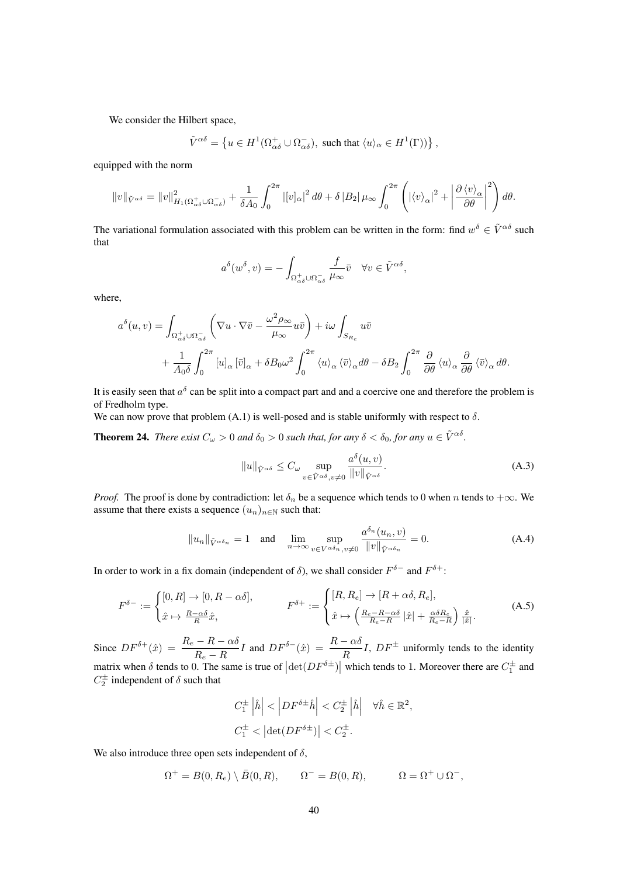We consider the Hilbert space,

$$
\tilde{V}^{\alpha\delta} = \left\{ u \in H^1(\Omega_{\alpha\delta}^+ \cup \Omega_{\alpha\delta}^-), \text{ such that } \langle u \rangle_\alpha \in H^1(\Gamma)) \right\},\,
$$

equipped with the norm

$$
||v||_{\tilde{V}^{\alpha\delta}} = ||v||^2_{H_1(\Omega_{\alpha\delta}^+ \cup \Omega_{\alpha\delta}^-)} + \frac{1}{\delta A_0} \int_0^{2\pi} |[v]_{\alpha}|^2 d\theta + \delta |B_2| \mu_{\infty} \int_0^{2\pi} \left( |\langle v \rangle_{\alpha}|^2 + \left| \frac{\partial \langle v \rangle_{\alpha}}{\partial \theta} \right|^2 \right) d\theta.
$$

The variational formulation associated with this problem can be written in the form: find  $w^{\delta} \in \tilde{V}^{\alpha\delta}$  such that

$$
a^{\delta}(w^{\delta}, v) = -\int_{\Omega_{\alpha\delta}^{+} \cup \Omega_{\alpha\delta}^{-}} \frac{f}{\mu_{\infty}} \bar{v} \quad \forall v \in \tilde{V}^{\alpha\delta},
$$

where,

$$
\begin{split} a^{\delta}(u,v) =& \int_{\Omega_{\alpha\delta}^{+}\cup \Omega_{\alpha\delta}^{-}}\left(\nabla u\cdot\nabla\bar{v}-\frac{\omega^{2}\rho_{\infty}}{\mu_{\infty}}u\bar{v}\right)+i\omega\int_{S_{R_{e}}}u\bar{v} \\ &+\frac{1}{A_{0}\delta}\int_{0}^{2\pi}\left[u\right]_{\alpha}\left[\bar{v}\right]_{\alpha}+\delta B_{0}\omega^{2}\int_{0}^{2\pi}\left\langle u\right\rangle_{\alpha}\left\langle\bar{v}\right\rangle_{\alpha}d\theta-\delta B_{2}\int_{0}^{2\pi}\frac{\partial}{\partial\theta}\left\langle u\right\rangle_{\alpha}\frac{\partial}{\partial\theta}\left\langle\bar{v}\right\rangle_{\alpha}d\theta. \end{split}
$$

It is easily seen that  $a^{\delta}$  can be split into a compact part and and a coercive one and therefore the problem is of Fredholm type.

We can now prove that problem (A.1) is well-posed and is stable uniformly with respect to  $\delta$ .

**Theorem 24.** *There exist*  $C_{\omega} > 0$  *and*  $\delta_0 > 0$  *such that, for any*  $\delta < \delta_0$ *, for any*  $u \in \tilde{V}^{\alpha\delta}$ *.* 

$$
||u||_{\tilde{V}^{\alpha\delta}} \leq C_{\omega} \sup_{v \in \tilde{V}^{\alpha\delta}, v \neq 0} \frac{a^{\delta}(u, v)}{||v||_{\tilde{V}^{\alpha\delta}}}.
$$
 (A.3)

*Proof.* The proof is done by contradiction: let  $\delta_n$  be a sequence which tends to 0 when n tends to + $\infty$ . We assume that there exists a sequence  $(u_n)_{n\in\mathbb{N}}$  such that:

$$
||u_n||_{\tilde{V}^{\alpha\delta_n}} = 1 \quad \text{and} \quad \lim_{n \to \infty} \sup_{v \in V^{\alpha\delta_n}, v \neq 0} \frac{a^{\delta_n}(u_n, v)}{||v||_{\tilde{V}^{\alpha\delta_n}}} = 0. \tag{A.4}
$$

In order to work in a fix domain (independent of  $\delta$ ), we shall consider  $F^{\delta-}$  and  $F^{\delta+}$ :

$$
F^{\delta-} := \begin{cases} [0,R] \to [0,R-\alpha\delta], \\ \hat{x} \mapsto \frac{R-\alpha\delta}{R}\hat{x}, \end{cases} F^{\delta+} := \begin{cases} [R,R_e] \to [R+\alpha\delta,R_e], \\ \hat{x} \mapsto \left(\frac{R_e - R - \alpha\delta}{R_e - R}\left|\hat{x}\right| + \frac{\alpha\delta R_e}{R_e - R}\right)\frac{\hat{x}}{\left|\hat{x}\right|}. \end{cases}
$$
(A.5)

Since  $DF^{\delta+}(\hat{x}) = \frac{R_e - R - \alpha \delta}{R_e}$  $R_e - R$ *I* and  $DF^{\delta-}(\hat{x}) = \frac{R - \alpha \delta}{R}I$ ,  $DF^{\pm}$  uniformly tends to the identity matrix when  $\delta$  tends to 0. The same is true of  $\left|\det(DF^{\delta\pm})\right|$  which tends to 1. Moreover there are  $C_1^{\pm}$  and  $C_2^{\pm}$  independent of  $\delta$  such that

$$
C_1^{\pm} \left| \hat{h} \right| < \left| DF^{\delta \pm} \hat{h} \right| < C_2^{\pm} \left| \hat{h} \right| \quad \forall \hat{h} \in \mathbb{R}^2,
$$
\n
$$
C_1^{\pm} < \left| \det(DF^{\delta \pm}) \right| < C_2^{\pm}.
$$

We also introduce three open sets independent of  $\delta$ ,

$$
\Omega^+ = B(0, R_e) \setminus \overline{B}(0, R), \qquad \Omega^- = B(0, R), \qquad \Omega = \Omega^+ \cup \Omega^-,
$$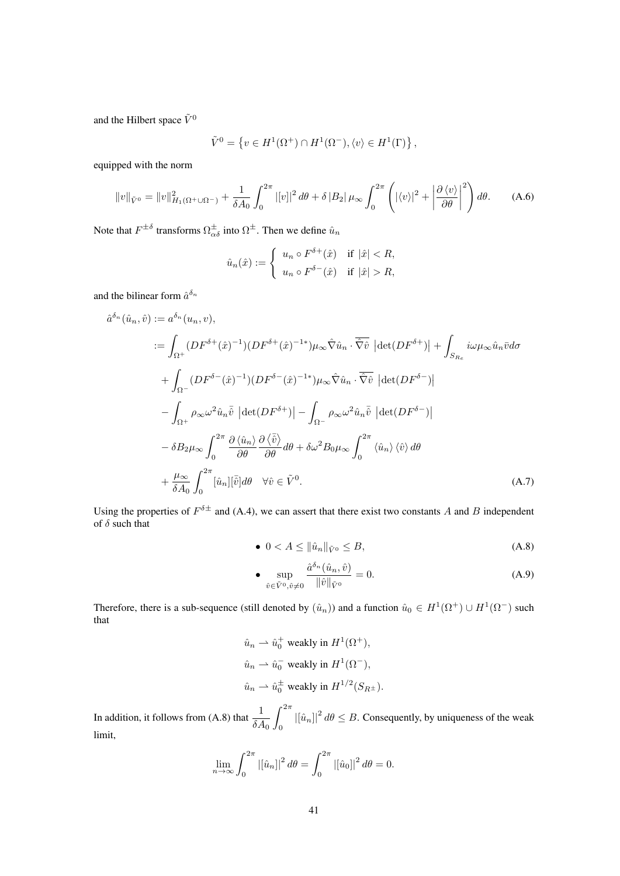and the Hilbert space  $\tilde{V}^0$ 

$$
\tilde{V}^0 = \left\{ v \in H^1(\Omega^+) \cap H^1(\Omega^-), \langle v \rangle \in H^1(\Gamma) \right\},\
$$

equipped with the norm

$$
||v||_{\tilde{V}^0} = ||v||_{H_1(\Omega^+\cup\Omega^-)}^2 + \frac{1}{\delta A_0} \int_0^{2\pi} |[v]|^2 d\theta + \delta |B_2| \mu_\infty \int_0^{2\pi} \left( |\langle v \rangle|^2 + \left| \frac{\partial \langle v \rangle}{\partial \theta} \right|^2 \right) d\theta. \tag{A.6}
$$

Note that  $F^{\pm\delta}$  transforms  $\Omega_{\alpha\delta}^{\pm}$  into  $\Omega^{\pm}$ . Then we define  $\hat{u}_n$ 

$$
\hat{u}_n(\hat{x}) := \begin{cases} u_n \circ F^{\delta+}(\hat{x}) & \text{if } |\hat{x}| < R, \\ u_n \circ F^{\delta-}(\hat{x}) & \text{if } |\hat{x}| > R, \end{cases}
$$

and the bilinear form  $\hat{a}^{\delta_n}$ 

$$
\hat{a}^{\delta_n}(\hat{u}_n, \hat{v}) := a^{\delta_n}(u_n, v),
$$
  
\n
$$
:= \int_{\Omega^+} (DF^{\delta+}(\hat{x})^{-1})(DF^{\delta+}(\hat{x})^{-1*})\mu_{\infty}\hat{\nabla}\hat{u}_n \cdot \overline{\hat{\nabla} \hat{v}} \left| \det(DF^{\delta+}) \right| + \int_{S_{R_e}} i\omega\mu_{\infty}\hat{u}_n \bar{v} d\sigma
$$
  
\n
$$
+ \int_{\Omega^-} (DF^{\delta-}(\hat{x})^{-1})(DF^{\delta-}(\hat{x})^{-1*})\mu_{\infty}\hat{\nabla}\hat{u}_n \cdot \overline{\hat{\nabla} \hat{v}} \left| \det(DF^{\delta-}) \right|
$$
  
\n
$$
- \int_{\Omega^+} \rho_{\infty}\omega^2 \hat{u}_n \bar{\hat{v}} \left| \det(DF^{\delta+}) \right| - \int_{\Omega^-} \rho_{\infty}\omega^2 \hat{u}_n \bar{\hat{v}} \left| \det(DF^{\delta-}) \right|
$$
  
\n
$$
- \delta B_2 \mu_{\infty} \int_0^{2\pi} \frac{\partial \langle \hat{u}_n \rangle}{\partial \theta} \frac{\partial \langle \bar{\hat{v}} \rangle}{\partial \theta} d\theta + \delta \omega^2 B_0 \mu_{\infty} \int_0^{2\pi} \langle \hat{u}_n \rangle \langle \hat{v} \rangle d\theta
$$
  
\n
$$
+ \frac{\mu_{\infty}}{\delta A_0} \int_0^{2\pi} [\hat{u}_n][\bar{\hat{v}}] d\theta \quad \forall \hat{v} \in \tilde{V}^0.
$$
 (A.7)

Using the properties of  $F^{\delta \pm}$  and (A.4), we can assert that there exist two constants A and B independent of  $\delta$  such that

$$
\bullet \ \ 0 < A \le \|\hat{u}_n\|_{\tilde{V}^0} \le B,\tag{A.8}
$$

$$
\bullet \quad \sup_{\hat{v}\in\tilde{V}^0,\hat{v}\neq 0} \frac{\hat{a}^{\delta_n}(\hat{u}_n,\hat{v})}{\|\hat{v}\|_{\tilde{V}^0}} = 0.
$$
\n(A.9)

Therefore, there is a sub-sequence (still denoted by  $(\hat{u}_n)$ ) and a function  $\hat{u}_0 \in H^1(\Omega^+) \cup H^1(\Omega^-)$  such that

> $\hat{u}_n \rightharpoonup \hat{u}_0^+$  weakly in  $H^1(\Omega^+),$  $\hat{u}_n \rightharpoonup \hat{u}_0^-$  weakly in  $H^1(\Omega^-)$ ,  $\hat{u}_n \rightharpoonup \hat{u}_0^{\pm}$  weakly in  $H^{1/2}(S_{R^{\pm}})$ .

In addition, it follows from (A.8) that  $\frac{1}{\delta A_0}$  $\int^{2\pi}$  $\int_{0}^{1} |[\hat{u}_n]|^2 d\theta \leq B$ . Consequently, by uniqueness of the weak limit,

$$
\lim_{n \to \infty} \int_0^{2\pi} |[\hat{u}_n]|^2 d\theta = \int_0^{2\pi} |[\hat{u}_0]|^2 d\theta = 0.
$$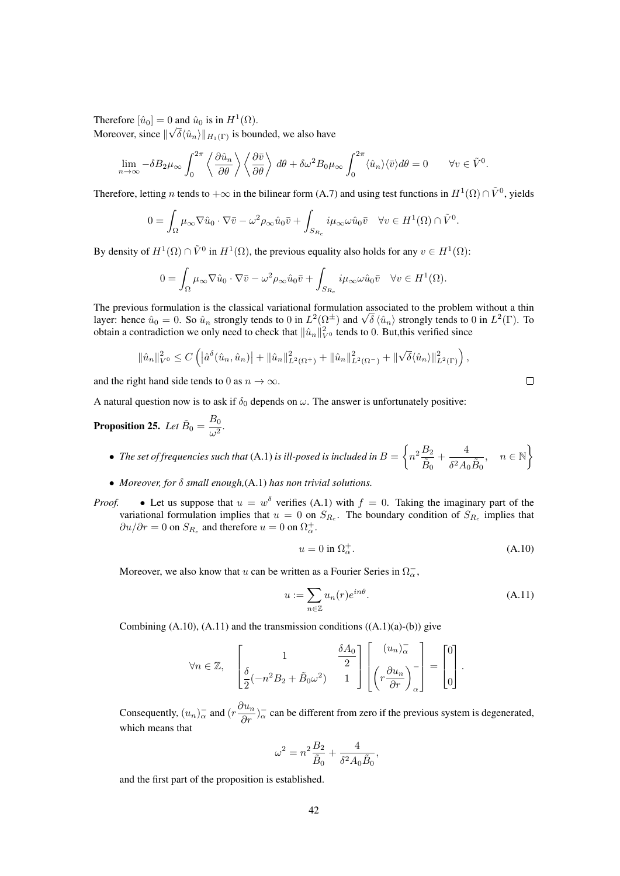Therefore  $[\hat{u}_0] = 0$  and  $\hat{u}_0$  is in  $H^1(\Omega)$ .

Moreover, since  $\|\sqrt{\delta} \langle \hat{u}_n \rangle \|_{H_1(\Gamma)}$  is bounded, we also have

$$
\lim_{n \to \infty} -\delta B_2 \mu_\infty \int_0^{2\pi} \left\langle \frac{\partial \hat{u}_n}{\partial \theta} \right\rangle \left\langle \frac{\partial \bar{v}}{\partial \theta} \right\rangle d\theta + \delta \omega^2 B_0 \mu_\infty \int_0^{2\pi} \langle \hat{u}_n \rangle \langle \bar{v} \rangle d\theta = 0 \qquad \forall v \in \tilde{V}^0.
$$

Therefore, letting *n* tends to  $+\infty$  in the bilinear form (A.7) and using test functions in  $H^1(\Omega) \cap \tilde{V}^0$ , yields

$$
0 = \int_{\Omega} \mu_{\infty} \nabla \hat{u}_0 \cdot \nabla \overline{v} - \omega^2 \rho_{\infty} \hat{u}_0 \overline{v} + \int_{S_{Re}} i \mu_{\infty} \omega \hat{u}_0 \overline{v} \quad \forall v \in H^1(\Omega) \cap \widetilde{V}^0.
$$

By density of  $H^1(\Omega) \cap \tilde{V}^0$  in  $H^1(\Omega)$ , the previous equality also holds for any  $v \in H^1(\Omega)$ :

$$
0=\int_{\Omega} \mu_{\infty} \nabla \hat{u}_0 \cdot \nabla \bar{v} - \omega^2 \rho_{\infty} \hat{u}_0 \bar{v} + \int_{S_{R_e}} i \mu_{\infty} \omega \hat{u}_0 \bar{v} \quad \forall v \in H^1(\Omega).
$$

The previous formulation is the classical variational formulation associated to the problem without a thin layer: hence  $\hat{u}_0 = 0$ . So  $\hat{u}_n$  strongly tends to 0 in  $L^2(\Omega^{\pm})$  and  $\sqrt{\delta} \langle \hat{u}_n \rangle$  strongly tends to 0 in  $L^2(\Gamma)$ . To obtain a contradiction we only need to check that  $\|\hat{u}_n\|_{V^0}^2$  tends to 0. But, this verified since

$$
\|\hat{u}_n\|_{V^0}^2 \leq C\left( \left|\hat{a}^{\delta}(\hat{u}_n, \hat{u}_n)\right| + \|\hat{u}_n\|_{L^2(\Omega^+)}^2 + \|\hat{u}_n\|_{L^2(\Omega^-)}^2 + \|\sqrt{\delta}\langle \hat{u}_n \rangle\|_{L^2(\Gamma)}^2 \right),\,
$$

and the right hand side tends to 0 as  $n \to \infty$ .

A natural question now is to ask if  $\delta_0$  depends on  $\omega$ . The answer is unfortunately positive:

**Proposition 25.** Let  $\tilde{B}_0 = \frac{B_0}{\sqrt{2}}$  $\frac{20}{\omega^2}$ .

- $\bullet$  The set of frequencies such that (A.1) is ill-posed is included in  $B=\left\{n^2\frac{B_2}{\tilde{B}_1}\right\}$  $\tilde{B}_0$  $+\frac{4}{224}$  $\frac{4}{\delta^2 A_0 \tilde{B}_0}, \quad n \in \mathbb{N}$
- *Moreover, for* δ *small enough,*(A.1) *has non trivial solutions.*
- *Proof.* Let us suppose that  $u = w^{\delta}$  verifies (A.1) with  $f = 0$ . Taking the imaginary part of the variational formulation implies that  $u = 0$  on  $S_{R_e}$ . The boundary condition of  $S_{R_e}$  implies that  $\partial u/\partial r = 0$  on  $S_{R_e}$  and therefore  $u = 0$  on  $\Omega^+_{\alpha}$ .

$$
u = 0 \text{ in } \Omega_{\alpha}^{+}.\tag{A.10}
$$

Moreover, we also know that u can be written as a Fourier Series in  $\Omega_{\alpha}^-$ ,

$$
u := \sum_{n \in \mathbb{Z}} u_n(r) e^{in\theta}.
$$
 (A.11)

Combining  $(A.10)$ ,  $(A.11)$  and the transmission conditions  $((A.1)(a)-(b))$  give

$$
\forall n \in \mathbb{Z}, \quad \begin{bmatrix} 1 & \frac{\delta A_0}{2} \\ \frac{\delta}{2}(-n^2 B_2 + \tilde{B}_0 \omega^2) & 1 \end{bmatrix} \begin{bmatrix} (u_n)_{\alpha}^- \\ \left(r \frac{\partial u_n}{\partial r} \right)_{\alpha}^- \end{bmatrix} = \begin{bmatrix} 0 \\ 0 \end{bmatrix}.
$$

Consequently,  $(u_n)_{\alpha}^-$  and  $(r \frac{\partial u_n}{\partial r})_{\alpha}^-$  can be different from zero if the previous system is degenerated, which means that

$$
\omega^2 = n^2 \frac{B_2}{\tilde{B}_0} + \frac{4}{\delta^2 A_0 \tilde{B}_0},
$$

and the first part of the proposition is established.

 $\Box$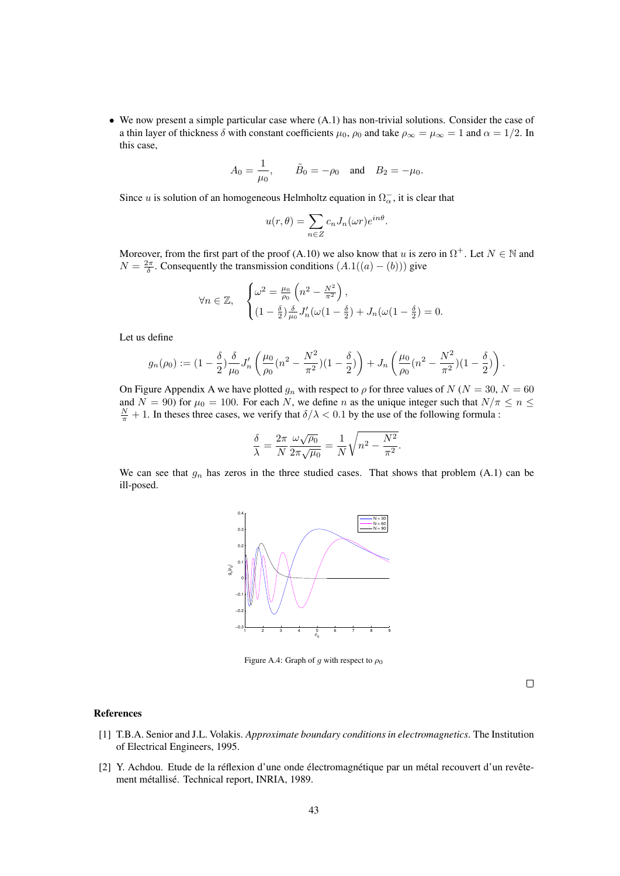• We now present a simple particular case where (A.1) has non-trivial solutions. Consider the case of a thin layer of thickness  $\delta$  with constant coefficients  $\mu_0$ ,  $\rho_0$  and take  $\rho_\infty = \mu_\infty = 1$  and  $\alpha = 1/2$ . In this case,

$$
A_0 = \frac{1}{\mu_0}
$$
,  $\tilde{B}_0 = -\rho_0$  and  $B_2 = -\mu_0$ .

Since u is solution of an homogeneous Helmholtz equation in  $\Omega_{\alpha}^-$ , it is clear that

$$
u(r,\theta) = \sum_{n \in \mathbb{Z}} c_n J_n(\omega r) e^{in\theta}
$$

.

Moreover, from the first part of the proof (A.10) we also know that u is zero in  $\Omega^+$ . Let  $N \in \mathbb{N}$  and  $N = \frac{2\pi}{\delta}$ . Consequently the transmission conditions  $(A.1((a) - (b)))$  give

$$
\forall n \in \mathbb{Z}, \quad \begin{cases} \omega^2 = \frac{\mu_0}{\rho_0} \left( n^2 - \frac{N^2}{\pi^2} \right), \\ \left( 1 - \frac{\delta}{2} \right) \frac{\delta}{\mu_0} J'_n(\omega(1 - \frac{\delta}{2}) + J_n(\omega(1 - \frac{\delta}{2})) = 0. \end{cases}
$$

Let us define

$$
g_n(\rho_0) := (1 - \frac{\delta}{2}) \frac{\delta}{\mu_0} J'_n \left( \frac{\mu_0}{\rho_0} (n^2 - \frac{N^2}{\pi^2}) (1 - \frac{\delta}{2}) \right) + J_n \left( \frac{\mu_0}{\rho_0} (n^2 - \frac{N^2}{\pi^2}) (1 - \frac{\delta}{2}) \right).
$$

On Figure Appendix A we have plotted  $g_n$  with respect to  $\rho$  for three values of  $N$  ( $N = 30, N = 60$ and  $N = 90$ ) for  $\mu_0 = 100$ . For each N, we define n as the unique integer such that  $N/\pi \le n \le$  $\frac{N}{\pi}$  + 1. In theses three cases, we verify that  $\delta/\lambda$  < 0.1 by the use of the following formula :

$$
\frac{\delta}{\lambda} = \frac{2\pi}{N} \frac{\omega \sqrt{\rho_0}}{2\pi \sqrt{\mu_0}} = \frac{1}{N} \sqrt{n^2 - \frac{N^2}{\pi^2}}.
$$

We can see that  $g_n$  has zeros in the three studied cases. That shows that problem (A.1) can be ill-posed.



Figure A.4: Graph of g with respect to  $\rho_0$ 

 $\Box$ 

#### References

- [1] T.B.A. Senior and J.L. Volakis. *Approximate boundary conditions in electromagnetics*. The Institution of Electrical Engineers, 1995.
- [2] Y. Achdou. Etude de la réflexion d'une onde électromagnétique par un métal recouvert d'un revêtement métallisé. Technical report, INRIA, 1989.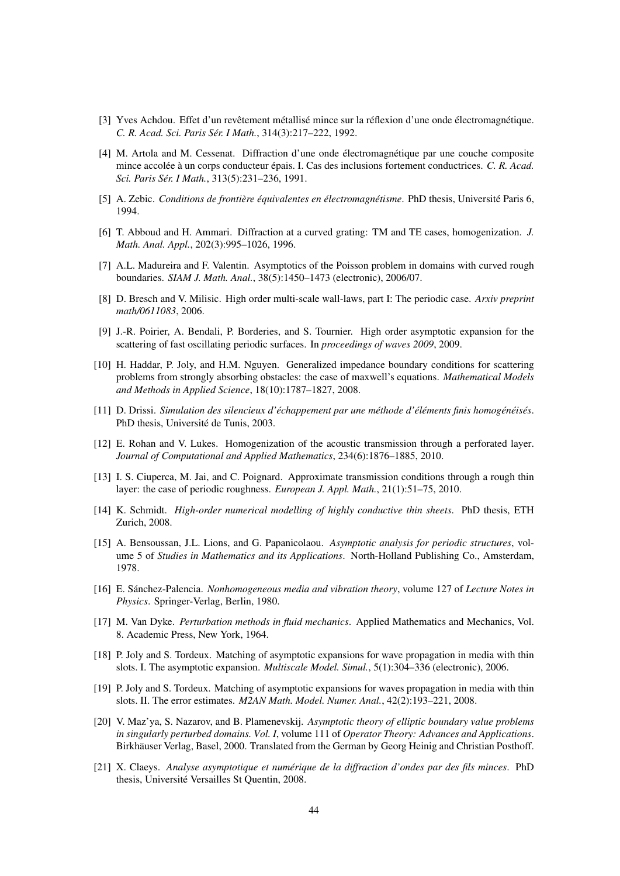- [3] Yves Achdou. Effet d'un revêtement métallisé mince sur la réflexion d'une onde électromagnétique. *C. R. Acad. Sci. Paris Sér. I Math.*, 314(3):217–222, 1992.
- [4] M. Artola and M. Cessenat. Diffraction d'une onde électromagnétique par une couche composite mince accolée à un corps conducteur épais. I. Cas des inclusions fortement conductrices. *C. R. Acad. Sci. Paris Sér. I Math.*, 313(5):231–236, 1991.
- [5] A. Zebic. *Conditions de frontière équivalentes en électromagnétisme*. PhD thesis, Université Paris 6, 1994.
- [6] T. Abboud and H. Ammari. Diffraction at a curved grating: TM and TE cases, homogenization. *J. Math. Anal. Appl.*, 202(3):995–1026, 1996.
- [7] A.L. Madureira and F. Valentin. Asymptotics of the Poisson problem in domains with curved rough boundaries. *SIAM J. Math. Anal.*, 38(5):1450–1473 (electronic), 2006/07.
- [8] D. Bresch and V. Milisic. High order multi-scale wall-laws, part I: The periodic case. *Arxiv preprint math/0611083*, 2006.
- [9] J.-R. Poirier, A. Bendali, P. Borderies, and S. Tournier. High order asymptotic expansion for the scattering of fast oscillating periodic surfaces. In *proceedings of waves 2009*, 2009.
- [10] H. Haddar, P. Joly, and H.M. Nguyen. Generalized impedance boundary conditions for scattering problems from strongly absorbing obstacles: the case of maxwell's equations. *Mathematical Models and Methods in Applied Science*, 18(10):1787–1827, 2008.
- [11] D. Drissi. *Simulation des silencieux d'échappement par une méthode d'éléments finis homogénéisés*. PhD thesis, Université de Tunis, 2003.
- [12] E. Rohan and V. Lukes. Homogenization of the acoustic transmission through a perforated layer. *Journal of Computational and Applied Mathematics*, 234(6):1876–1885, 2010.
- [13] I. S. Ciuperca, M. Jai, and C. Poignard. Approximate transmission conditions through a rough thin layer: the case of periodic roughness. *European J. Appl. Math.*, 21(1):51–75, 2010.
- [14] K. Schmidt. *High-order numerical modelling of highly conductive thin sheets*. PhD thesis, ETH Zurich, 2008.
- [15] A. Bensoussan, J.L. Lions, and G. Papanicolaou. *Asymptotic analysis for periodic structures*, volume 5 of *Studies in Mathematics and its Applications*. North-Holland Publishing Co., Amsterdam, 1978.
- [16] E. Sánchez-Palencia. *Nonhomogeneous media and vibration theory*, volume 127 of *Lecture Notes in Physics*. Springer-Verlag, Berlin, 1980.
- [17] M. Van Dyke. *Perturbation methods in fluid mechanics*. Applied Mathematics and Mechanics, Vol. 8. Academic Press, New York, 1964.
- [18] P. Joly and S. Tordeux. Matching of asymptotic expansions for wave propagation in media with thin slots. I. The asymptotic expansion. *Multiscale Model. Simul.*, 5(1):304–336 (electronic), 2006.
- [19] P. Joly and S. Tordeux. Matching of asymptotic expansions for waves propagation in media with thin slots. II. The error estimates. *M2AN Math. Model. Numer. Anal.*, 42(2):193–221, 2008.
- [20] V. Maz'ya, S. Nazarov, and B. Plamenevskij. *Asymptotic theory of elliptic boundary value problems in singularly perturbed domains. Vol. I*, volume 111 of *Operator Theory: Advances and Applications*. Birkhäuser Verlag, Basel, 2000. Translated from the German by Georg Heinig and Christian Posthoff.
- [21] X. Claeys. *Analyse asymptotique et numérique de la diffraction d'ondes par des fils minces*. PhD thesis, Université Versailles St Quentin, 2008.